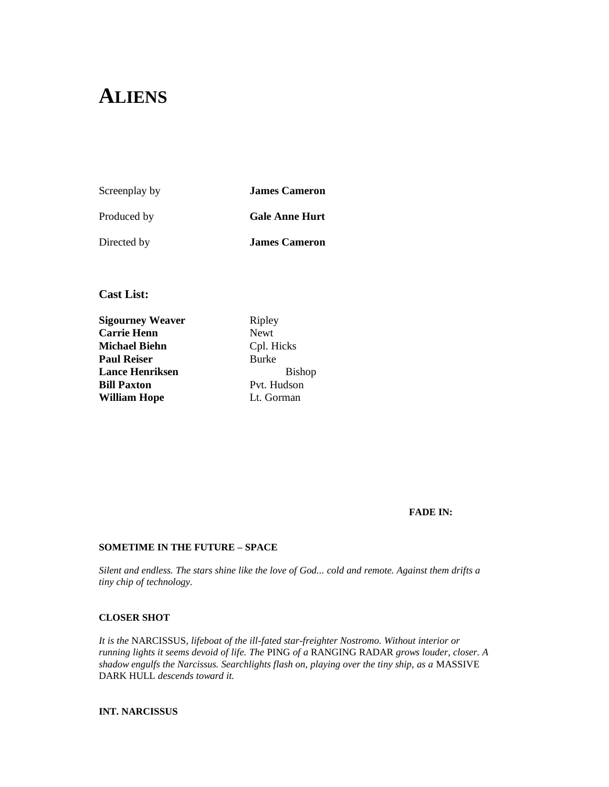# **ALIENS**

Screenplay by **James Cameron**

Produced by **Gale Anne Hurt** 

Directed by **James Cameron**

**Cast List:** 

**Sigourney Weaver** Ripley **Carrie Henn** Newt **Michael Biehn** Cpl. Hicks **Paul Reiser** Burke **Lance Henriksen** Bishop **Bill Paxton** Pvt. Hudson **William Hope** Lt. Gorman

### **FADE IN:**

### **SOMETIME IN THE FUTURE – SPACE**

*Silent and endless. The stars shine like the love of God... cold and remote. Against them drifts a tiny chip of technology.*

### **CLOSER SHOT**

*It is the* NARCISSUS*, lifeboat of the ill-fated star-freighter Nostromo. Without interior or running lights it seems devoid of life. The* PING *of a* RANGING RADAR *grows louder, closer. A shadow engulfs the Narcissus. Searchlights flash on, playing over the tiny ship, as a* MASSIVE DARK HULL *descends toward it.*

**INT. NARCISSUS**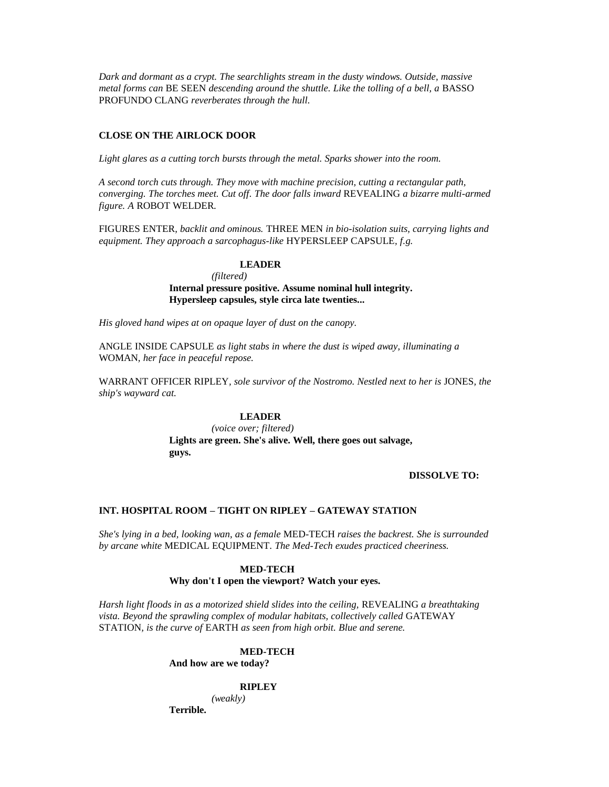*Dark and dormant as a crypt. The searchlights stream in the dusty windows. Outside, massive metal forms can BE SEEN descending around the shuttle. Like the tolling of a bell, a BASSO* PROFUNDO CLANG *reverberates through the hull.*

### **CLOSE ON THE AIRLOCK DOOR**

*Light glares as a cutting torch bursts through the metal. Sparks shower into the room.*

*A second torch cuts through. They move with machine precision, cutting a rectangular path, converging. The torches meet. Cut off. The door falls inward* REVEALING *a bizarre multi-armed figure. A* ROBOT WELDER*.*

FIGURES ENTER*, backlit and ominous.* THREE MEN *in bio-isolation suits, carrying lights and equipment. They approach a sarcophagus-like* HYPERSLEEP CAPSULE*, f.g.*

### **LEADER**

*(filtered)*

**Internal pressure positive. Assume nominal hull integrity. Hypersleep capsules, style circa late twenties...** 

*His gloved hand wipes at on opaque layer of dust on the canopy.*

ANGLE INSIDE CAPSULE *as light stabs in where the dust is wiped away, illuminating a* WOMAN*, her face in peaceful repose.*

WARRANT OFFICER RIPLEY*, sole survivor of the Nostromo. Nestled next to her is* JONES*, the ship's wayward cat.*

### **LEADER**

*(voice over; filtered)* **Lights are green. She's alive. Well, there goes out salvage, guys.**

### **DISSOLVE TO:**

#### **INT. HOSPITAL ROOM – TIGHT ON RIPLEY – GATEWAY STATION**

*She's lying in a bed, looking wan, as a female* MED-TECH *raises the backrest. She is surrounded by arcane white* MEDICAL EQUIPMENT*. The Med-Tech exudes practiced cheeriness.*

#### **MED-TECH**

### **Why don't I open the viewport? Watch your eyes.**

*Harsh light floods in as a motorized shield slides into the ceiling,* REVEALING *a breathtaking vista. Beyond the sprawling complex of modular habitats, collectively called* GATEWAY STATION*, is the curve of* EARTH *as seen from high orbit. Blue and serene.*

### **MED-TECH**

**And how are we today?**

#### **RIPLEY**

*(weakly)*

**Terrible.**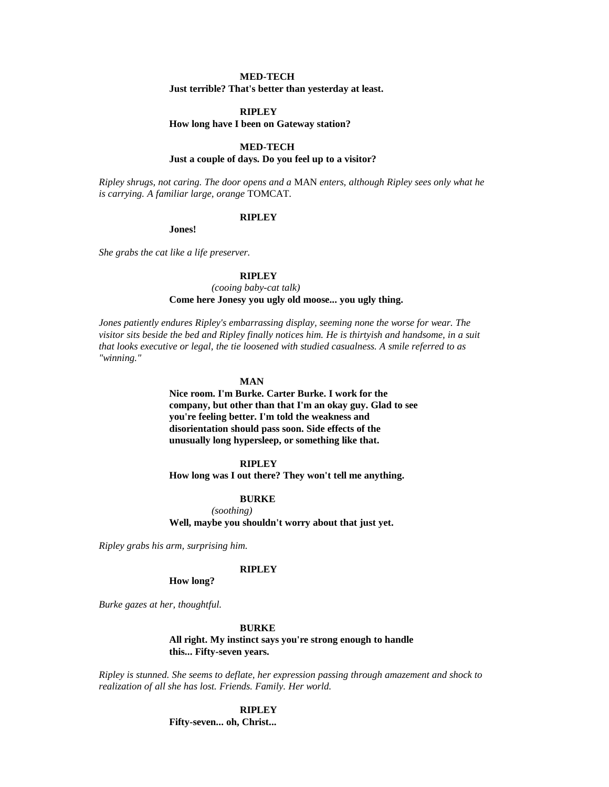### **MED-TECH**

**Just terrible? That's better than yesterday at least.**

#### **RIPLEY**

#### **How long have I been on Gateway station?**

### **MED-TECH**

### **Just a couple of days. Do you feel up to a visitor?**

*Ripley shrugs, not caring. The door opens and a* MAN *enters, although Ripley sees only what he is carrying. A familiar large, orange* TOMCAT*.*

#### **RIPLEY**

**Jones!**

*She grabs the cat like a life preserver.*

### **RIPLEY**

*(cooing baby-cat talk)* **Come here Jonesy you ugly old moose... you ugly thing.**

*Jones patiently endures Ripley's embarrassing display, seeming none the worse for wear. The visitor sits beside the bed and Ripley finally notices him. He is thirtyish and handsome, in a suit that looks executive or legal, the tie loosened with studied casualness. A smile referred to as "winning."*

### **MAN**

**Nice room. I'm Burke. Carter Burke. I work for the company, but other than that I'm an okay guy. Glad to see you're feeling better. I'm told the weakness and disorientation should pass soon. Side effects of the unusually long hypersleep, or something like that.**

#### **RIPLEY**

**How long was I out there? They won't tell me anything.**

### **BURKE**

*(soothing)* **Well, maybe you shouldn't worry about that just yet.**

*Ripley grabs his arm, surprising him.*

#### **RIPLEY**

### **How long?**

*Burke gazes at her, thoughtful.*

#### **BURKE**

**All right. My instinct says you're strong enough to handle this... Fifty-seven years.**

*Ripley is stunned. She seems to deflate, her expression passing through amazement and shock to realization of all she has lost. Friends. Family. Her world.*

> **RIPLEY Fifty-seven... oh, Christ...**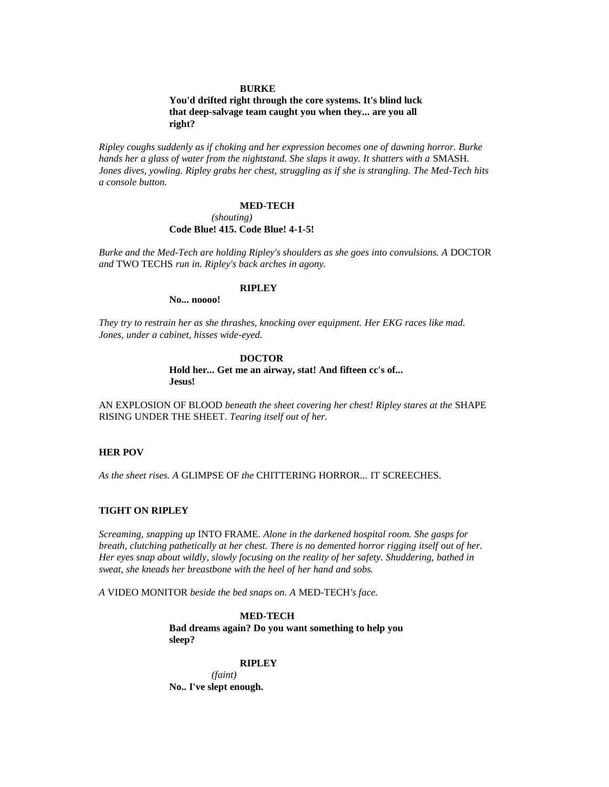#### **BURKE**

### **You'd drifted right through the core systems. It's blind luck that deep-salvage team caught you when they... are you all right?**

*Ripley coughs suddenly as if choking and her expression becomes one of dawning horror. Burke hands her a glass of water from the nightstand. She slaps it away. It shatters with a SMASH. Jones dives, yowling. Ripley grabs her chest, struggling as if she is strangling. The Med-Tech hits a console button.*

#### **MED-TECH**

#### *(shouting)*

### **Code Blue! 415. Code Blue! 4-1-5!**

*Burke and the Med-Tech are holding Ripley's shoulders as she goes into convulsions. A DOCTOR and* TWO TECHS *run in. Ripley's back arches in agony.*

### **RIPLEY**

**No... noooo!**

*They try to restrain her as she thrashes, knocking over equipment. Her EKG races like mad. Jones, under a cabinet, hisses wide-eyed.*

#### **DOCTOR**

### **Hold her... Get me an airway, stat! And fifteen cc's of... Jesus!**

AN EXPLOSION OF BLOOD *beneath the sheet covering her chest! Ripley stares at the* SHAPE RISING UNDER THE SHEET*. Tearing itself out of her.*

#### **HER POV**

*As the sheet rises. A* GLIMPSE OF *the* CHITTERING HORROR*...* IT SCREECHES*.*

### **TIGHT ON RIPLEY**

*Screaming, snapping up* INTO FRAME*. Alone in the darkened hospital room. She gasps for breath, clutching pathetically at her chest. There is no demented horror rigging itself out of her. Her eyes snap about wildly, slowly focusing on the reality of her safety. Shuddering, bathed in sweat, she kneads her breastbone with the heel of her hand and sobs.*

*A* VIDEO MONITOR *beside the bed snaps on. A* MED-TECH*'s face.*

### **MED-TECH**

**Bad dreams again? Do you want something to help you sleep?**

#### **RIPLEY**

*(faint)* **No.. I've slept enough.**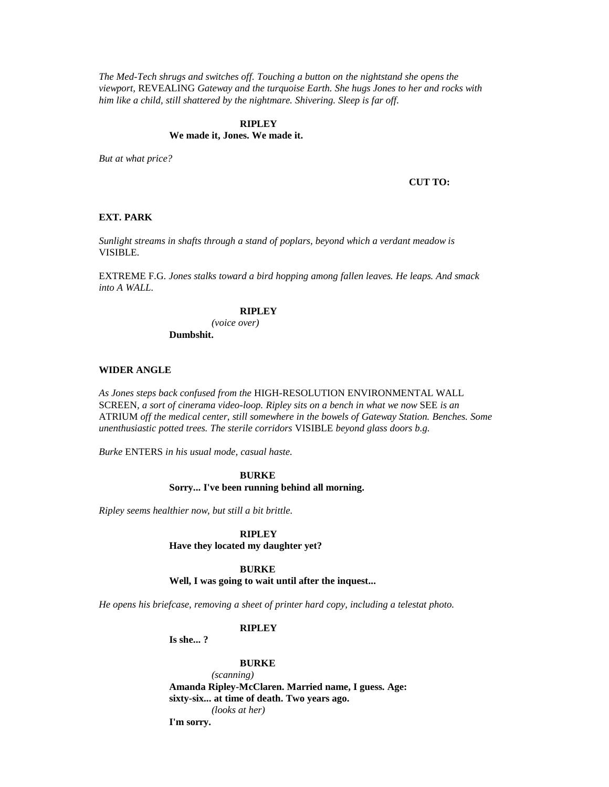*The Med-Tech shrugs and switches off. Touching a button on the nightstand she opens the viewport,* REVEALING *Gateway and the turquoise Earth. She hugs Jones to her and rocks with him like a child, still shattered by the nightmare. Shivering. Sleep is far off.*

### **RIPLEY**

### **We made it, Jones. We made it.**

*But at what price?*

**CUT TO:**

#### **EXT. PARK**

*Sunlight streams in shafts through a stand of poplars, beyond which a verdant meadow is*  VISIBLE*.*

EXTREME F.G. *Jones stalks toward a bird hopping among fallen leaves. He leaps. And smack into A WALL.*

### **RIPLEY**

*(voice over)* **Dumbshit.**

#### **WIDER ANGLE**

*As Jones steps back confused from the* HIGH-RESOLUTION ENVIRONMENTAL WALL SCREEN*, a sort of cinerama video-loop. Ripley sits on a bench in what we now* SEE *is an*  ATRIUM *off the medical center, still somewhere in the bowels of Gateway Station. Benches. Some unenthusiastic potted trees. The sterile corridors* VISIBLE *beyond glass doors b.g.*

*Burke* ENTERS *in his usual mode, casual haste.*

### **BURKE Sorry... I've been running behind all morning.**

*Ripley seems healthier now, but still a bit brittle.*

### **RIPLEY**

**Have they located my daughter yet?**

#### **BURKE**

**Well, I was going to wait until after the inquest...** 

*He opens his briefcase, removing a sheet of printer hard copy, including a telestat photo.*

### **RIPLEY**

**Is she... ?**

#### **BURKE**

*(scanning)* **Amanda Ripley-McClaren. Married name, I guess. Age: sixty-six... at time of death. Two years ago.** *(looks at her)* **I'm sorry.**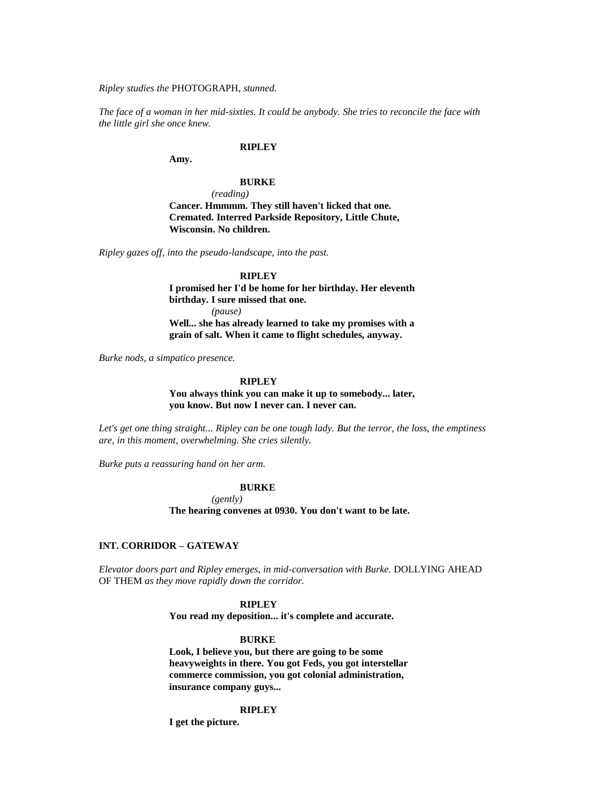*Ripley studies the* PHOTOGRAPH*, stunned.*

*The face of a woman in her mid-sixties. It could be anybody. She tries to reconcile the face with the little girl she once knew.*

### **RIPLEY**

**Amy.**

### **BURKE**

*(reading)* **Cancer. Hmmmm. They still haven't licked that one. Cremated. Interred Parkside Repository, Little Chute, Wisconsin. No children.**

*Ripley gazes off, into the pseudo-landscape, into the past.*

### **RIPLEY**

**I promised her I'd be home for her birthday. Her eleventh birthday. I sure missed that one.** *(pause)* **Well... she has already learned to take my promises with a grain of salt. When it came to flight schedules, anyway.**

*Burke nods, a simpatico presence.*

#### **RIPLEY**

**You always think you can make it up to somebody... later, you know. But now I never can. I never can.**

*Let's get one thing straight... Ripley can be one tough lady. But the terror, the loss, the emptiness are, in this moment, overwhelming. She cries silently.*

*Burke puts a reassuring hand on her arm.*

### **BURKE**

*(gently)*

**The hearing convenes at 0930. You don't want to be late.**

### **INT. CORRIDOR – GATEWAY**

*Elevator doors part and Ripley emerges, in mid-conversation with Burke.* DOLLYING AHEAD OF THEM *as they move rapidly down the corridor.*

#### **RIPLEY**

**You read my deposition... it's complete and accurate.**

#### **BURKE**

**Look, I believe you, but there are going to be some heavyweights in there. You got Feds, you got interstellar commerce commission, you got colonial administration, insurance company guys...** 

#### **RIPLEY**

**I get the picture.**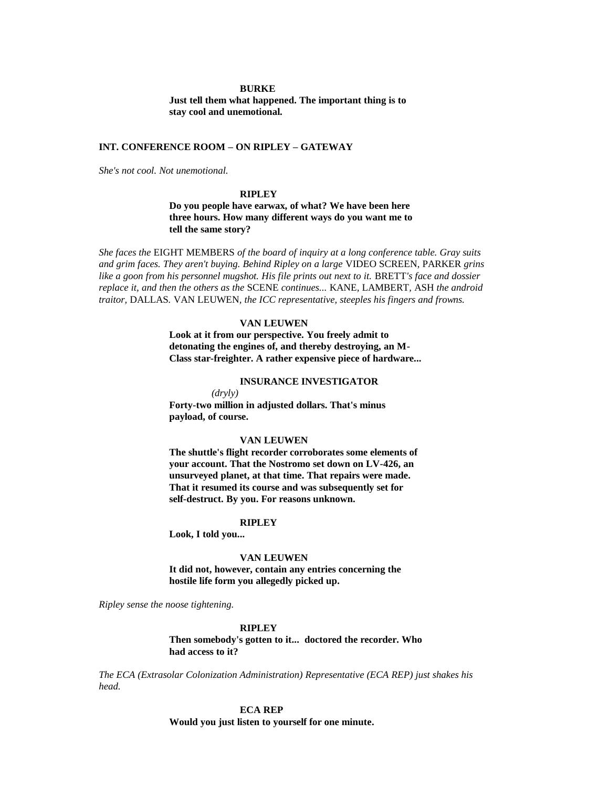#### **BURKE**

**Just tell them what happened. The important thing is to stay cool and unemotional.**

### **INT. CONFERENCE ROOM – ON RIPLEY – GATEWAY**

*She's not cool. Not unemotional.*

### **RIPLEY**

**Do you people have earwax, of what? We have been here three hours. How many different ways do you want me to tell the same story?**

*She faces the* EIGHT MEMBERS *of the board of inquiry at a long conference table. Gray suits and grim faces. They aren't buying. Behind Ripley on a large* VIDEO SCREEN, PARKER *grins*  like a goon from his personnel mugshot. His file prints out next to it. BRETT's face and dossier *replace it, and then the others as the* SCENE *continues...* KANE*,* LAMBERT*,* ASH *the android traitor,* DALLAS*.* VAN LEUWEN*, the ICC representative, steeples his fingers and frowns.*

### **VAN LEUWEN**

**Look at it from our perspective. You freely admit to detonating the engines of, and thereby destroying, an M-Class star-freighter. A rather expensive piece of hardware...** 

### **INSURANCE INVESTIGATOR**

*(dryly)* **Forty-two million in adjusted dollars. That's minus payload, of course.**

#### **VAN LEUWEN**

**The shuttle's flight recorder corroborates some elements of your account. That the Nostromo set down on LV-426, an unsurveyed planet, at that time. That repairs were made. That it resumed its course and was subsequently set for self-destruct. By you. For reasons unknown.**

#### **RIPLEY**

**Look, I told you...** 

#### **VAN LEUWEN**

**It did not, however, contain any entries concerning the hostile life form you allegedly picked up.**

*Ripley sense the noose tightening.*

### **RIPLEY**

**Then somebody's gotten to it... doctored the recorder. Who had access to it?**

*The ECA (Extrasolar Colonization Administration) Representative (ECA REP) just shakes his head.*

> **ECA REP Would you just listen to yourself for one minute.**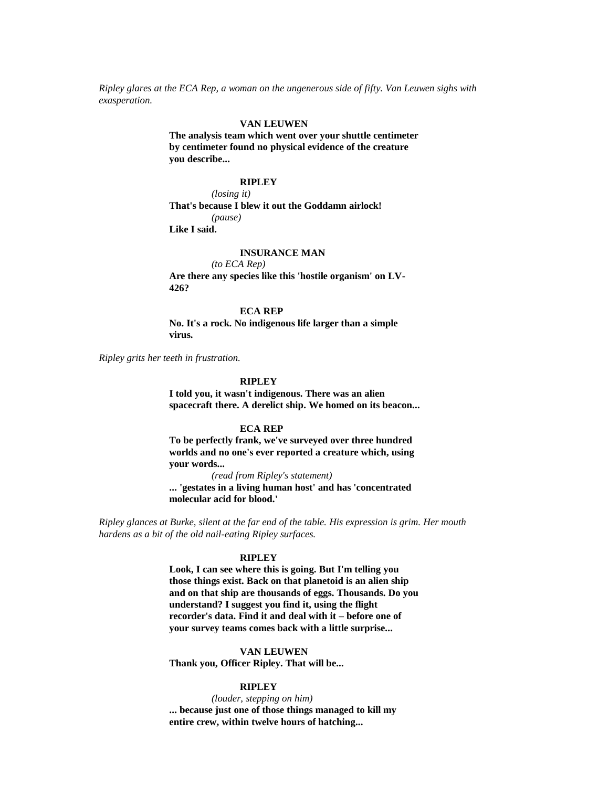*Ripley glares at the ECA Rep, a woman on the ungenerous side of fifty. Van Leuwen sighs with exasperation.*

#### **VAN LEUWEN**

**The analysis team which went over your shuttle centimeter by centimeter found no physical evidence of the creature you describe...** 

### **RIPLEY**

*(losing it)* **That's because I blew it out the Goddamn airlock!** *(pause)* **Like I said.**

### **INSURANCE MAN**

*(to ECA Rep)* **Are there any species like this 'hostile organism' on LV-426?**

#### **ECA REP**

**No. It's a rock. No indigenous life larger than a simple virus.**

*Ripley grits her teeth in frustration.*

### **RIPLEY**

**I told you, it wasn't indigenous. There was an alien spacecraft there. A derelict ship. We homed on its beacon...** 

#### **ECA REP**

**To be perfectly frank, we've surveyed over three hundred worlds and no one's ever reported a creature which, using your words...** 

*(read from Ripley's statement)*

**... 'gestates in a living human host' and has 'concentrated molecular acid for blood.'**

*Ripley glances at Burke, silent at the far end of the table. His expression is grim. Her mouth hardens as a bit of the old nail-eating Ripley surfaces.*

#### **RIPLEY**

**Look, I can see where this is going. But I'm telling you those things exist. Back on that planetoid is an alien ship and on that ship are thousands of eggs. Thousands. Do you understand? I suggest you find it, using the flight recorder's data. Find it and deal with it – before one of your survey teams comes back with a little surprise...** 

### **VAN LEUWEN**

**Thank you, Officer Ripley. That will be...** 

#### **RIPLEY**

*(louder, stepping on him)* **... because just one of those things managed to kill my entire crew, within twelve hours of hatching...**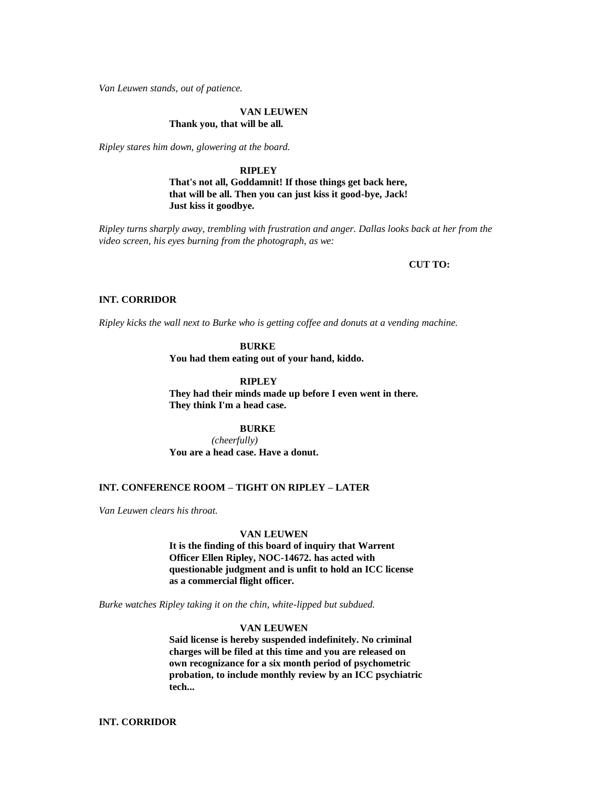*Van Leuwen stands, out of patience.*

#### **VAN LEUWEN Thank you, that will be all.**

*Ripley stares him down, glowering at the board.*

**RIPLEY That's not all, Goddamnit! If those things get back here, that will be all. Then you can just kiss it good-bye, Jack! Just kiss it goodbye.**

*Ripley turns sharply away, trembling with frustration and anger. Dallas looks back at her from the video screen, his eyes burning from the photograph, as we:*

### **CUT TO:**

#### **INT. CORRIDOR**

*Ripley kicks the wall next to Burke who is getting coffee and donuts at a vending machine.*

### **BURKE**

**You had them eating out of your hand, kiddo.**

**RIPLEY**

**They had their minds made up before I even went in there. They think I'm a head case.**

**BURKE**

*(cheerfully)* **You are a head case. Have a donut.**

### **INT. CONFERENCE ROOM – TIGHT ON RIPLEY – LATER**

*Van Leuwen clears his throat.*

#### **VAN LEUWEN**

**It is the finding of this board of inquiry that Warrent Officer Ellen Ripley, NOC-14672. has acted with questionable judgment and is unfit to hold an ICC license as a commercial flight officer.**

*Burke watches Ripley taking it on the chin, white-lipped but subdued.*

### **VAN LEUWEN**

**Said license is hereby suspended indefinitely. No criminal charges will be filed at this time and you are released on own recognizance for a six month period of psychometric probation, to include monthly review by an ICC psychiatric tech...** 

**INT. CORRIDOR**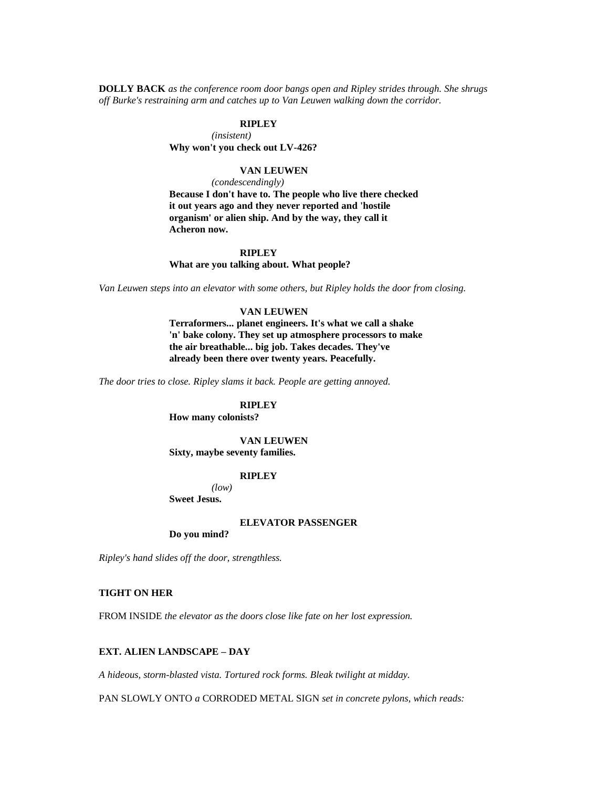**DOLLY BACK** *as the conference room door bangs open and Ripley strides through. She shrugs off Burke's restraining arm and catches up to Van Leuwen walking down the corridor.*

### **RIPLEY**

*(insistent)* **Why won't you check out LV-426?**

### **VAN LEUWEN**

*(condescendingly)*

**Because I don't have to. The people who live there checked it out years ago and they never reported and 'hostile organism' or alien ship. And by the way, they call it Acheron now.**

### **RIPLEY**

**What are you talking about. What people?**

*Van Leuwen steps into an elevator with some others, but Ripley holds the door from closing.*

### **VAN LEUWEN**

**Terraformers... planet engineers. It's what we call a shake 'n' bake colony. They set up atmosphere processors to make the air breathable... big job. Takes decades. They've already been there over twenty years. Peacefully.**

*The door tries to close. Ripley slams it back. People are getting annoyed.*

### **RIPLEY**

**How many colonists?**

### **VAN LEUWEN Sixty, maybe seventy families.**

### **RIPLEY**

*(low)*

**Sweet Jesus.**

#### **ELEVATOR PASSENGER**

**Do you mind?**

*Ripley's hand slides off the door, strengthless.*

### **TIGHT ON HER**

FROM INSIDE *the elevator as the doors close like fate on her lost expression.*

### **EXT. ALIEN LANDSCAPE – DAY**

*A hideous, storm-blasted vista. Tortured rock forms. Bleak twilight at midday.*

PAN SLOWLY ONTO *a* CORRODED METAL SIGN *set in concrete pylons, which reads:*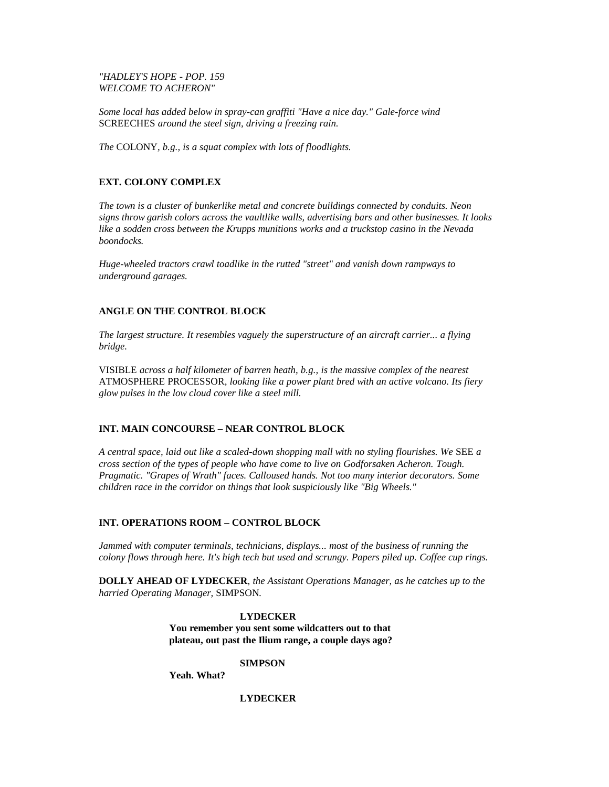### *"HADLEY'S HOPE - POP. 159 WELCOME TO ACHERON"*

*Some local has added below in spray-can graffiti "Have a nice day." Gale-force wind* SCREECHES *around the steel sign, driving a freezing rain.*

*The* COLONY*, b.g., is a squat complex with lots of floodlights.*

### **EXT. COLONY COMPLEX**

*The town is a cluster of bunkerlike metal and concrete buildings connected by conduits. Neon signs throw garish colors across the vaultlike walls, advertising bars and other businesses. It looks like a sodden cross between the Krupps munitions works and a truckstop casino in the Nevada boondocks.*

*Huge-wheeled tractors crawl toadlike in the rutted "street" and vanish down rampways to underground garages.*

### **ANGLE ON THE CONTROL BLOCK**

*The largest structure. It resembles vaguely the superstructure of an aircraft carrier... a flying bridge.*

VISIBLE *across a half kilometer of barren heath, b.g., is the massive complex of the nearest*  ATMOSPHERE PROCESSOR*, looking like a power plant bred with an active volcano. Its fiery glow pulses in the low cloud cover like a steel mill.*

### **INT. MAIN CONCOURSE – NEAR CONTROL BLOCK**

*A central space, laid out like a scaled-down shopping mall with no styling flourishes. We* SEE *a cross section of the types of people who have come to live on Godforsaken Acheron. Tough. Pragmatic. "Grapes of Wrath" faces. Calloused hands. Not too many interior decorators. Some children race in the corridor on things that look suspiciously like "Big Wheels."*

### **INT. OPERATIONS ROOM – CONTROL BLOCK**

*Jammed with computer terminals, technicians, displays... most of the business of running the colony flows through here. It's high tech but used and scrungy. Papers piled up. Coffee cup rings.*

**DOLLY AHEAD OF LYDECKER***, the Assistant Operations Manager, as he catches up to the harried Operating Manager,* SIMPSON*.*

> **LYDECKER You remember you sent some wildcatters out to that plateau, out past the Ilium range, a couple days ago?**

### **SIMPSON**

**Yeah. What?**

### **LYDECKER**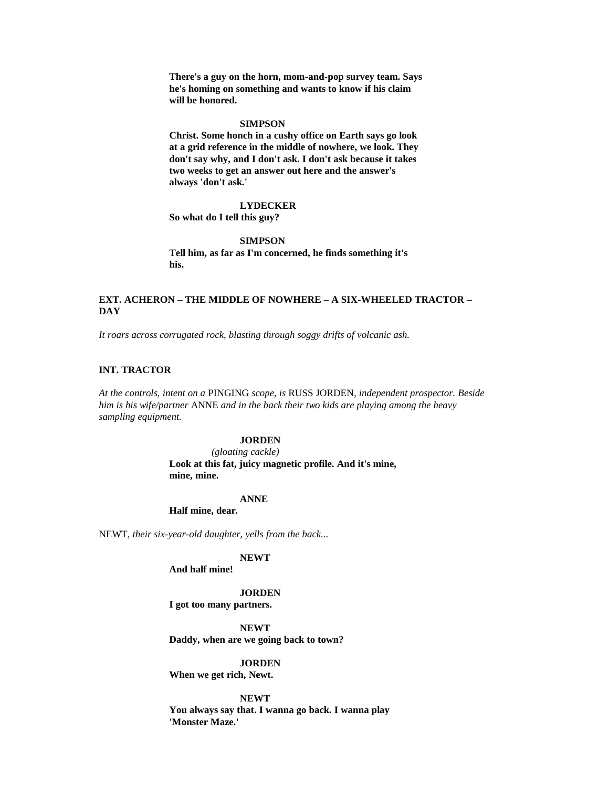**There's a guy on the horn, mom-and-pop survey team. Says he's homing on something and wants to know if his claim will be honored.**

#### **SIMPSON**

**Christ. Some honch in a cushy office on Earth says go look at a grid reference in the middle of nowhere, we look. They don't say why, and I don't ask. I don't ask because it takes two weeks to get an answer out here and the answer's always 'don't ask.'**

#### **LYDECKER**

**So what do I tell this guy?**

#### **SIMPSON**

**Tell him, as far as I'm concerned, he finds something it's his.**

### **EXT. ACHERON – THE MIDDLE OF NOWHERE – A SIX-WHEELED TRACTOR – DAY**

*It roars across corrugated rock, blasting through soggy drifts of volcanic ash.*

#### **INT. TRACTOR**

*At the controls, intent on a* PINGING *scope, is* RUSS JORDEN*, independent prospector. Beside him is his wife/partner* ANNE *and in the back their two kids are playing among the heavy sampling equipment.*

#### **JORDEN**

*(gloating cackle)* **Look at this fat, juicy magnetic profile. And it's mine, mine, mine.**

#### **ANNE**

**Half mine, dear.**

NEWT*, their six-year-old daughter, yells from the back...* 

### **NEWT**

**And half mine!**

#### **JORDEN**

**I got too many partners.**

**NEWT Daddy, when are we going back to town?**

**JORDEN**

**When we get rich, Newt.**

### **NEWT**

**You always say that. I wanna go back. I wanna play 'Monster Maze.'**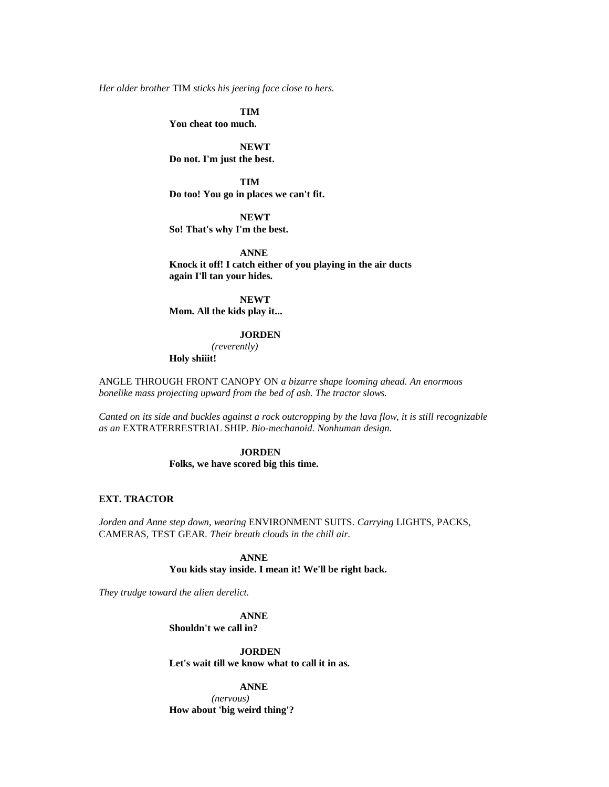*Her older brother* TIM *sticks his jeering face close to hers.*

**TIM You cheat too much.**

**NEWT Do not. I'm just the best.**

**TIM Do too! You go in places we can't fit.**

**NEWT So! That's why I'm the best.**

**ANNE Knock it off! I catch either of you playing in the air ducts again I'll tan your hides.**

**NEWT Mom. All the kids play it...** 

### **JORDEN**

*(reverently)* **Holy shiiit!**

ANGLE THROUGH FRONT CANOPY ON *a bizarre shape looming ahead. An enormous bonelike mass projecting upward from the bed of ash. The tractor slows.*

*Canted on its side and buckles against a rock outcropping by the lava flow, it is still recognizable as an* EXTRATERRESTRIAL SHIP*. Bio-mechanoid. Nonhuman design.*

### **JORDEN**

**Folks, we have scored big this time.**

### **EXT. TRACTOR**

*Jorden and Anne step down, wearing* ENVIRONMENT SUITS*. Carrying* LIGHTS, PACKS, CAMERAS, TEST GEAR*. Their breath clouds in the chill air.*

> **ANNE You kids stay inside. I mean it! We'll be right back.**

*They trudge toward the alien derelict.*

**ANNE Shouldn't we call in?**

**JORDEN**

**Let's wait till we know what to call it in as.**

**ANNE**

*(nervous)* **How about 'big weird thing'?**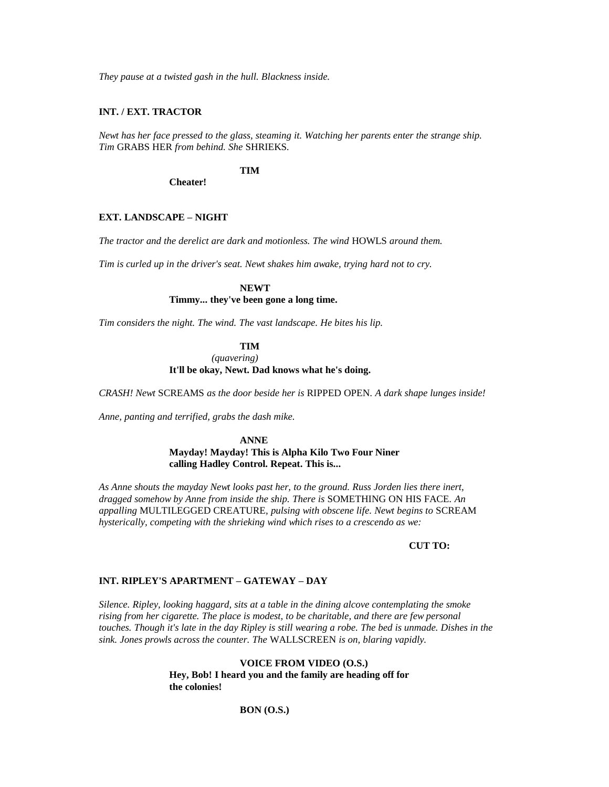*They pause at a twisted gash in the hull. Blackness inside.*

### **INT. / EXT. TRACTOR**

*Newt has her face pressed to the glass, steaming it. Watching her parents enter the strange ship. Tim* GRABS HER *from behind. She* SHRIEKS*.*

**TIM**

**Cheater!**

### **EXT. LANDSCAPE – NIGHT**

*The tractor and the derelict are dark and motionless. The wind* HOWLS *around them.*

*Tim is curled up in the driver's seat. Newt shakes him awake, trying hard not to cry.*

**NEWT Timmy... they've been gone a long time.**

*Tim considers the night. The wind. The vast landscape. He bites his lip.*

**TIM**

*(quavering)*

**It'll be okay, Newt. Dad knows what he's doing.**

*CRASH! Newt* SCREAMS *as the door beside her is* RIPPED OPEN*. A dark shape lunges inside!*

*Anne, panting and terrified, grabs the dash mike.*

**ANNE Mayday! Mayday! This is Alpha Kilo Two Four Niner calling Hadley Control. Repeat. This is...** 

*As Anne shouts the mayday Newt looks past her, to the ground. Russ Jorden lies there inert, dragged somehow by Anne from inside the ship. There is* SOMETHING ON HIS FACE*. An appalling* MULTILEGGED CREATURE*, pulsing with obscene life. Newt begins to* SCREAM *hysterically, competing with the shrieking wind which rises to a crescendo as we:*

#### **CUT TO:**

### **INT. RIPLEY'S APARTMENT – GATEWAY – DAY**

*Silence. Ripley, looking haggard, sits at a table in the dining alcove contemplating the smoke rising from her cigarette. The place is modest, to be charitable, and there are few personal touches. Though it's late in the day Ripley is still wearing a robe. The bed is unmade. Dishes in the sink. Jones prowls across the counter. The* WALLSCREEN *is on, blaring vapidly.*

> **VOICE FROM VIDEO (O.S.) Hey, Bob! I heard you and the family are heading off for the colonies!**

### **BON (O.S.)**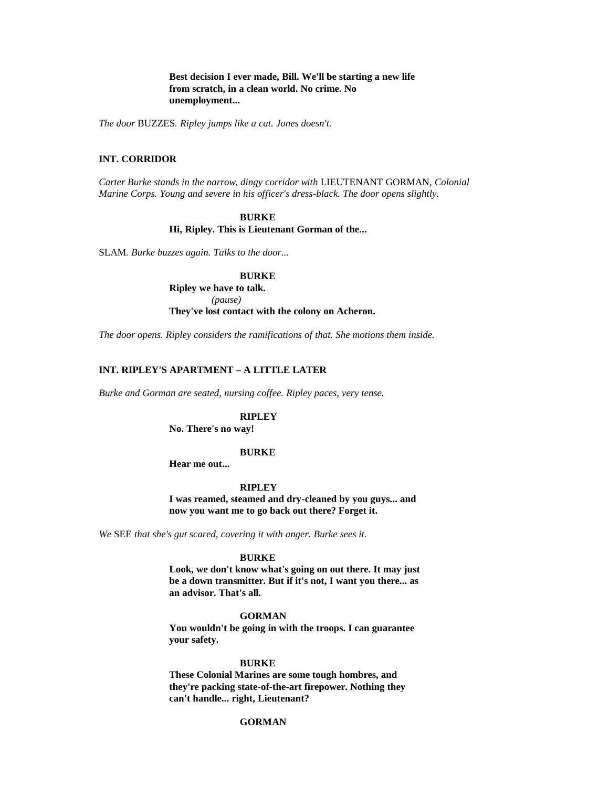**Best decision I ever made, Bill. We'll be starting a new life from scratch, in a clean world. No crime. No unemployment...** 

*The door* BUZZES*. Ripley jumps like a cat. Jones doesn't.*

### **INT. CORRIDOR**

*Carter Burke stands in the narrow, dingy corridor with* LIEUTENANT GORMAN*, Colonial Marine Corps. Young and severe in his officer's dress-black. The door opens slightly.*

### **BURKE Hi, Ripley. This is Lieutenant Gorman of the...**

SLAM*. Burke buzzes again. Talks to the door...* 

**BURKE Ripley we have to talk.** *(pause)* **They've lost contact with the colony on Acheron.**

*The door opens. Ripley considers the ramifications of that. She motions them inside.*

### **INT. RIPLEY'S APARTMENT – A LITTLE LATER**

*Burke and Gorman are seated, nursing coffee. Ripley paces, very tense.*

#### **RIPLEY**

**No. There's no way!**

#### **BURKE**

**Hear me out...** 

### **RIPLEY**

**I was reamed, steamed and dry-cleaned by you guys... and now you want me to go back out there? Forget it.**

*We* SEE *that she's gut scared, covering it with anger. Burke sees it.*

#### **BURKE**

**Look, we don't know what's going on out there. It may just be a down transmitter. But if it's not, I want you there... as an advisor. That's all.**

#### **GORMAN**

**You wouldn't be going in with the troops. I can guarantee your safety.**

#### **BURKE**

**These Colonial Marines are some tough hombres, and they're packing state-of-the-art firepower. Nothing they can't handle... right, Lieutenant?**

### **GORMAN**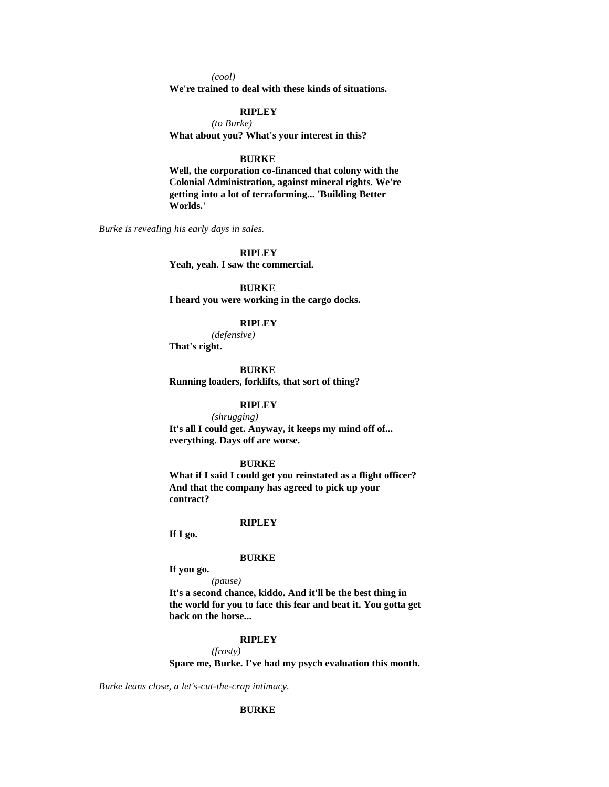*(cool)*

**We're trained to deal with these kinds of situations.**

### **RIPLEY**

*(to Burke)* **What about you? What's your interest in this?**

### **BURKE**

**Well, the corporation co-financed that colony with the Colonial Administration, against mineral rights. We're getting into a lot of terraforming... 'Building Better Worlds.'**

*Burke is revealing his early days in sales.*

**RIPLEY Yeah, yeah. I saw the commercial.**

**BURKE I heard you were working in the cargo docks.**

### **RIPLEY**

*(defensive)*

**That's right.**

#### **BURKE**

**Running loaders, forklifts, that sort of thing?**

### **RIPLEY**

*(shrugging)* **It's all I could get. Anyway, it keeps my mind off of... everything. Days off are worse.**

### **BURKE**

**What if I said I could get you reinstated as a flight officer? And that the company has agreed to pick up your contract?**

#### **RIPLEY**

**If I go.**

#### **BURKE**

**If you go.**

*(pause)*

**It's a second chance, kiddo. And it'll be the best thing in the world for you to face this fear and beat it. You gotta get back on the horse...** 

#### **RIPLEY**

*(frosty)*

**Spare me, Burke. I've had my psych evaluation this month.**

*Burke leans close, a let's-cut-the-crap intimacy.*

### **BURKE**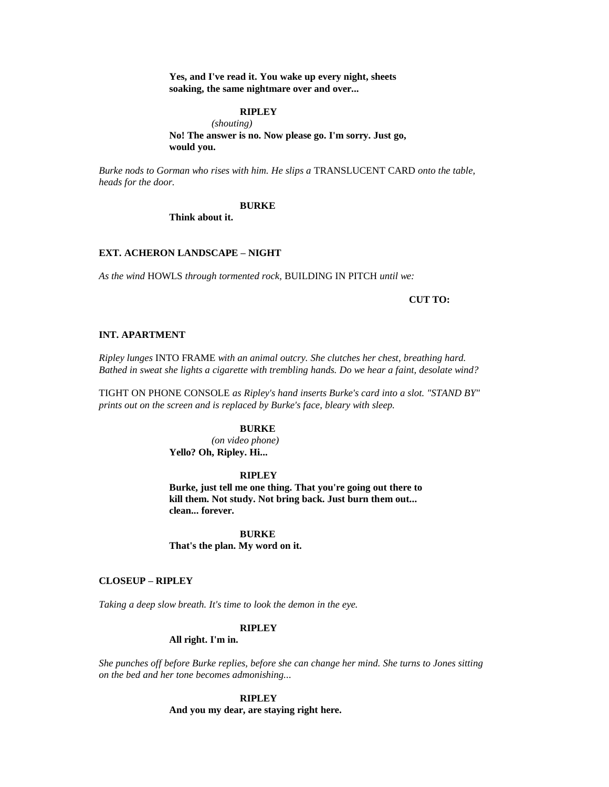**Yes, and I've read it. You wake up every night, sheets soaking, the same nightmare over and over...** 

### **RIPLEY**

*(shouting)* **No! The answer is no. Now please go. I'm sorry. Just go, would you.**

*Burke nods to Gorman who rises with him. He slips a* TRANSLUCENT CARD *onto the table, heads for the door.*

#### **BURKE**

**Think about it.**

### **EXT. ACHERON LANDSCAPE – NIGHT**

*As the wind* HOWLS *through tormented rock,* BUILDING IN PITCH *until we:*

#### **CUT TO:**

### **INT. APARTMENT**

*Ripley lunges* INTO FRAME *with an animal outcry. She clutches her chest, breathing hard. Bathed in sweat she lights a cigarette with trembling hands. Do we hear a faint, desolate wind?*

TIGHT ON PHONE CONSOLE *as Ripley's hand inserts Burke's card into a slot. "STAND BY" prints out on the screen and is replaced by Burke's face, bleary with sleep.*

### **BURKE**

*(on video phone)* **Yello? Oh, Ripley. Hi...** 

### **RIPLEY**

**Burke, just tell me one thing. That you're going out there to kill them. Not study. Not bring back. Just burn them out... clean... forever.**

**BURKE That's the plan. My word on it.**

#### **CLOSEUP – RIPLEY**

*Taking a deep slow breath. It's time to look the demon in the eye.*

#### **RIPLEY**

#### **All right. I'm in.**

*She punches off before Burke replies, before she can change her mind. She turns to Jones sitting on the bed and her tone becomes admonishing...* 

### **RIPLEY**

**And you my dear, are staying right here.**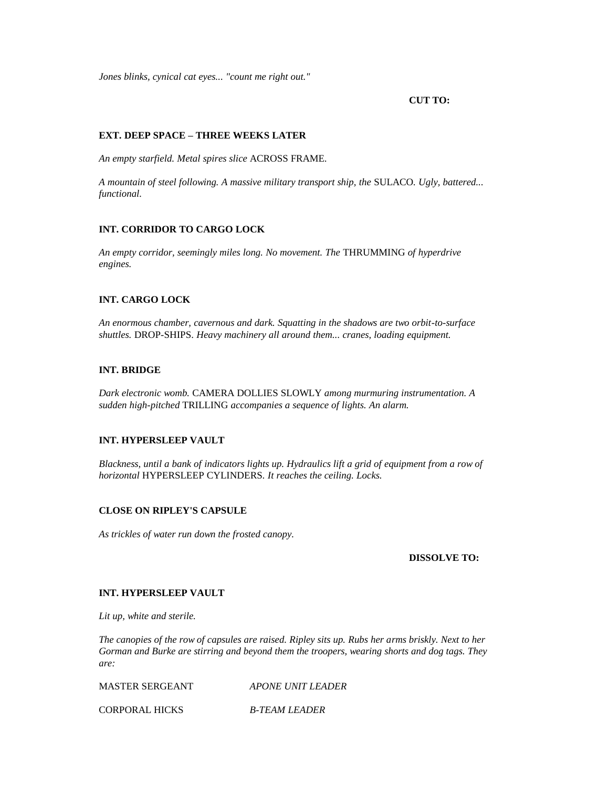*Jones blinks, cynical cat eyes... "count me right out."*

### **CUT TO:**

### **EXT. DEEP SPACE – THREE WEEKS LATER**

*An empty starfield. Metal spires slice* ACROSS FRAME*.*

*A mountain of steel following. A massive military transport ship, the* SULACO*. Ugly, battered... functional.*

### **INT. CORRIDOR TO CARGO LOCK**

*An empty corridor, seemingly miles long. No movement. The* THRUMMING *of hyperdrive engines.*

### **INT. CARGO LOCK**

*An enormous chamber, cavernous and dark. Squatting in the shadows are two orbit-to-surface shuttles.* DROP-SHIPS. *Heavy machinery all around them... cranes, loading equipment.*

### **INT. BRIDGE**

*Dark electronic womb.* CAMERA DOLLIES SLOWLY *among murmuring instrumentation. A sudden high-pitched* TRILLING *accompanies a sequence of lights. An alarm.*

### **INT. HYPERSLEEP VAULT**

*Blackness, until a bank of indicators lights up. Hydraulics lift a grid of equipment from a row of horizontal* HYPERSLEEP CYLINDERS*. It reaches the ceiling. Locks.*

### **CLOSE ON RIPLEY'S CAPSULE**

*As trickles of water run down the frosted canopy.*

### **DISSOLVE TO:**

### **INT. HYPERSLEEP VAULT**

*Lit up, white and sterile.*

*The canopies of the row of capsules are raised. Ripley sits up. Rubs her arms briskly. Next to her Gorman and Burke are stirring and beyond them the troopers, wearing shorts and dog tags. They are:*

MASTER SERGEANT *APONE UNIT LEADER*

CORPORAL HICKS *B-TEAM LEADER*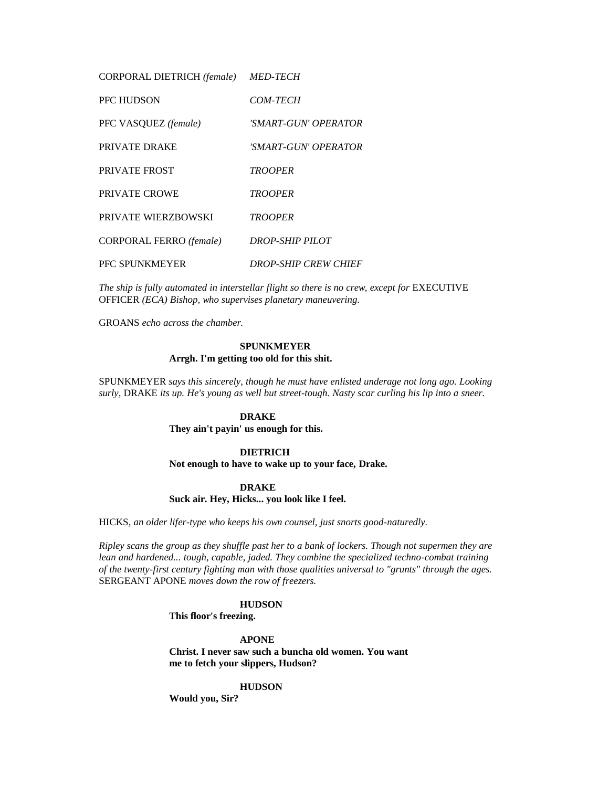CORPORAL DIETRICH *(female) MED-TECH*

| PFC HUDSON              | <i>COM-TECH</i>             |
|-------------------------|-----------------------------|
| PFC VASQUEZ (female)    | 'SMART-GUN' OPERATOR        |
| PRIVATE DRAKE           | 'SMART-GUN' OPERATOR        |
| PRIVATE FROST           | <b>TROOPER</b>              |
| PRIVATE CROWE           | <b>TROOPER</b>              |
| PRIVATE WIERZBOWSKI     | <b>TROOPER</b>              |
| CORPORAL FERRO (female) | DROP-SHIP PILOT             |
| <b>PFC SPUNKMEYER</b>   | <b>DROP-SHIP CREW CHIEF</b> |

The ship is fully automated in interstellar flight so there is no crew, except for EXECUTIVE OFFICER *(ECA) Bishop, who supervises planetary maneuvering.*

GROANS *echo across the chamber.*

### **SPUNKMEYER Arrgh. I'm getting too old for this shit.**

SPUNKMEYER *says this sincerely, though he must have enlisted underage not long ago. Looking surly,* DRAKE *its up. He's young as well but street-tough. Nasty scar curling his lip into a sneer.*

### **DRAKE**

**They ain't payin' us enough for this.**

#### **DIETRICH**

**Not enough to have to wake up to your face, Drake.**

#### **DRAKE**

**Suck air. Hey, Hicks... you look like I feel.**

HICKS*, an older lifer-type who keeps his own counsel, just snorts good-naturedly.*

*Ripley scans the group as they shuffle past her to a bank of lockers. Though not supermen they are lean and hardened... tough, capable, jaded. They combine the specialized techno-combat training of the twenty-first century fighting man with those qualities universal to "grunts" through the ages.*  SERGEANT APONE *moves down the row of freezers.*

#### **HUDSON**

**This floor's freezing.**

**APONE**

**Christ. I never saw such a buncha old women. You want me to fetch your slippers, Hudson?**

#### **HUDSON**

**Would you, Sir?**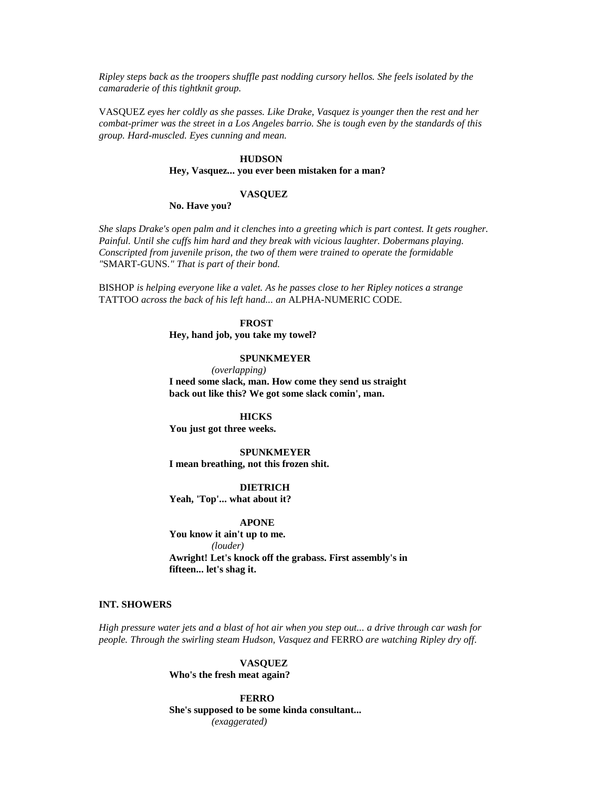*Ripley steps back as the troopers shuffle past nodding cursory hellos. She feels isolated by the camaraderie of this tightknit group.*

VASQUEZ *eyes her coldly as she passes. Like Drake, Vasquez is younger then the rest and her combat-primer was the street in a Los Angeles barrio. She is tough even by the standards of this group. Hard-muscled. Eyes cunning and mean.*

### **HUDSON**

#### **Hey, Vasquez... you ever been mistaken for a man?**

#### **VASQUEZ**

#### **No. Have you?**

*She slaps Drake's open palm and it clenches into a greeting which is part contest. It gets rougher. Painful. Until she cuffs him hard and they break with vicious laughter. Dobermans playing. Conscripted from juvenile prison, the two of them were trained to operate the formidable "*SMART-GUNS*." That is part of their bond.*

BISHOP *is helping everyone like a valet. As he passes close to her Ripley notices a strange*  TATTOO *across the back of his left hand... an* ALPHA-NUMERIC CODE*.*

#### **FROST**

**Hey, hand job, you take my towel?**

### **SPUNKMEYER**

*(overlapping)* **I need some slack, man. How come they send us straight back out like this? We got some slack comin', man.**

### **HICKS**

**You just got three weeks.**

**SPUNKMEYER I mean breathing, not this frozen shit.**

### **DIETRICH**

**Yeah, 'Top'... what about it?**

### **APONE**

**You know it ain't up to me.** *(louder)* **Awright! Let's knock off the grabass. First assembly's in fifteen... let's shag it.**

#### **INT. SHOWERS**

*High pressure water jets and a blast of hot air when you step out... a drive through car wash for people. Through the swirling steam Hudson, Vasquez and* FERRO *are watching Ripley dry off.*

### **VASQUEZ**

**Who's the fresh meat again?**

**FERRO She's supposed to be some kinda consultant...**  *(exaggerated)*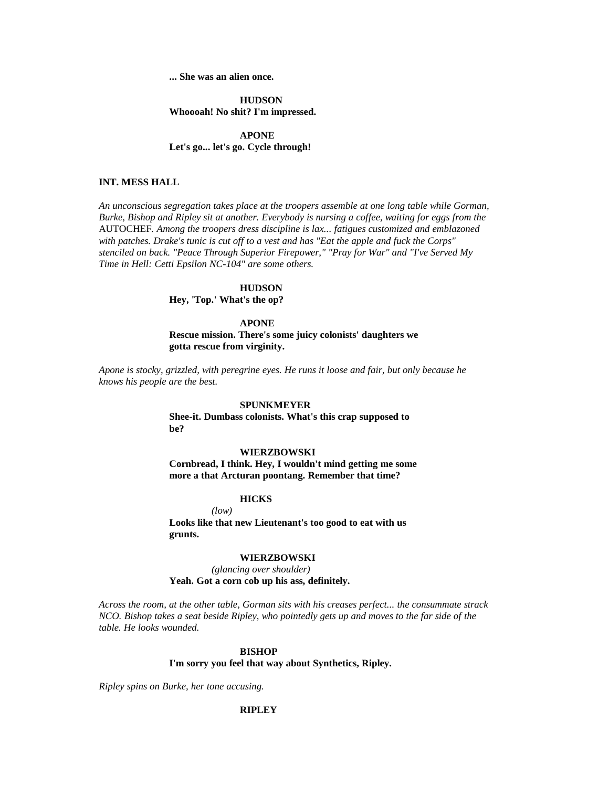**... She was an alien once.**

**HUDSON Whoooah! No shit? I'm impressed.**

**APONE Let's go... let's go. Cycle through!**

### **INT. MESS HALL**

*An unconscious segregation takes place at the troopers assemble at one long table while Gorman, Burke, Bishop and Ripley sit at another. Everybody is nursing a coffee, waiting for eggs from the*  AUTOCHEF*. Among the troopers dress discipline is lax... fatigues customized and emblazoned with patches. Drake's tunic is cut off to a vest and has "Eat the apple and fuck the Corps" stenciled on back. "Peace Through Superior Firepower," "Pray for War" and "I've Served My Time in Hell: Cetti Epsilon NC-104" are some others.*

### **HUDSON**

**Hey, 'Top.' What's the op?**

#### **APONE**

**Rescue mission. There's some juicy colonists' daughters we gotta rescue from virginity.**

*Apone is stocky, grizzled, with peregrine eyes. He runs it loose and fair, but only because he knows his people are the best.*

### **SPUNKMEYER**

**Shee-it. Dumbass colonists. What's this crap supposed to be?**

#### **WIERZBOWSKI**

**Cornbread, I think. Hey, I wouldn't mind getting me some more a that Arcturan poontang. Remember that time?**

### **HICKS**

*(low)*

**Looks like that new Lieutenant's too good to eat with us grunts.**

#### **WIERZBOWSKI**

*(glancing over shoulder)* **Yeah. Got a corn cob up his ass, definitely.**

*Across the room, at the other table, Gorman sits with his creases perfect... the consummate strack NCO. Bishop takes a seat beside Ripley, who pointedly gets up and moves to the far side of the table. He looks wounded.*

#### **BISHOP**

**I'm sorry you feel that way about Synthetics, Ripley.**

*Ripley spins on Burke, her tone accusing.*

#### **RIPLEY**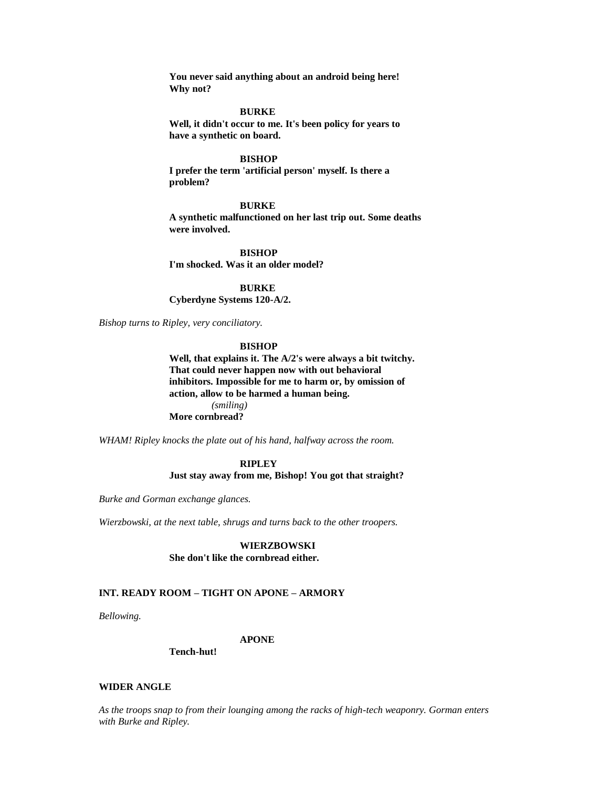**You never said anything about an android being here! Why not?**

#### **BURKE**

**Well, it didn't occur to me. It's been policy for years to have a synthetic on board.**

#### **BISHOP**

**I prefer the term 'artificial person' myself. Is there a problem?**

#### **BURKE**

**A synthetic malfunctioned on her last trip out. Some deaths were involved.**

**BISHOP I'm shocked. Was it an older model?**

**BURKE Cyberdyne Systems 120-A/2.**

*Bishop turns to Ripley, very conciliatory.*

#### **BISHOP**

**Well, that explains it. The A/2's were always a bit twitchy. That could never happen now with out behavioral inhibitors. Impossible for me to harm or, by omission of action, allow to be harmed a human being.** *(smiling)* **More cornbread?**

*WHAM! Ripley knocks the plate out of his hand, halfway across the room.*

### **RIPLEY Just stay away from me, Bishop! You got that straight?**

*Burke and Gorman exchange glances.*

*Wierzbowski, at the next table, shrugs and turns back to the other troopers.*

### **WIERZBOWSKI She don't like the cornbread either.**

### **INT. READY ROOM – TIGHT ON APONE – ARMORY**

*Bellowing.*

#### **APONE**

**Tench-hut!**

#### **WIDER ANGLE**

*As the troops snap to from their lounging among the racks of high-tech weaponry. Gorman enters with Burke and Ripley.*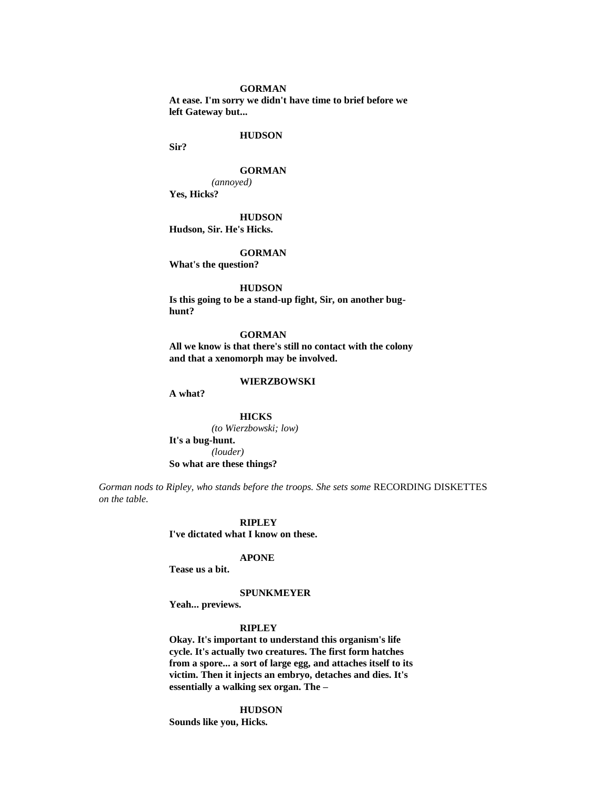#### **GORMAN**

**At ease. I'm sorry we didn't have time to brief before we left Gateway but...** 

#### **HUDSON**

**Sir?**

### **GORMAN**

*(annoyed)* **Yes, Hicks?**

#### **HUDSON**

**Hudson, Sir. He's Hicks.**

### **GORMAN**

**What's the question?**

#### **HUDSON**

**Is this going to be a stand-up fight, Sir, on another bughunt?**

**GORMAN All we know is that there's still no contact with the colony and that a xenomorph may be involved.**

#### **WIERZBOWSKI**

**A what?**

**HICKS** *(to Wierzbowski; low)* **It's a bug-hunt.** *(louder)* **So what are these things?**

*Gorman nods to Ripley, who stands before the troops. She sets some* RECORDING DISKETTES *on the table.*

#### **RIPLEY**

**I've dictated what I know on these.**

### **APONE**

**Tease us a bit.**

#### **SPUNKMEYER**

**Yeah... previews.**

### **RIPLEY**

**Okay. It's important to understand this organism's life cycle. It's actually two creatures. The first form hatches from a spore... a sort of large egg, and attaches itself to its victim. Then it injects an embryo, detaches and dies. It's essentially a walking sex organ. The –**

### **HUDSON**

**Sounds like you, Hicks.**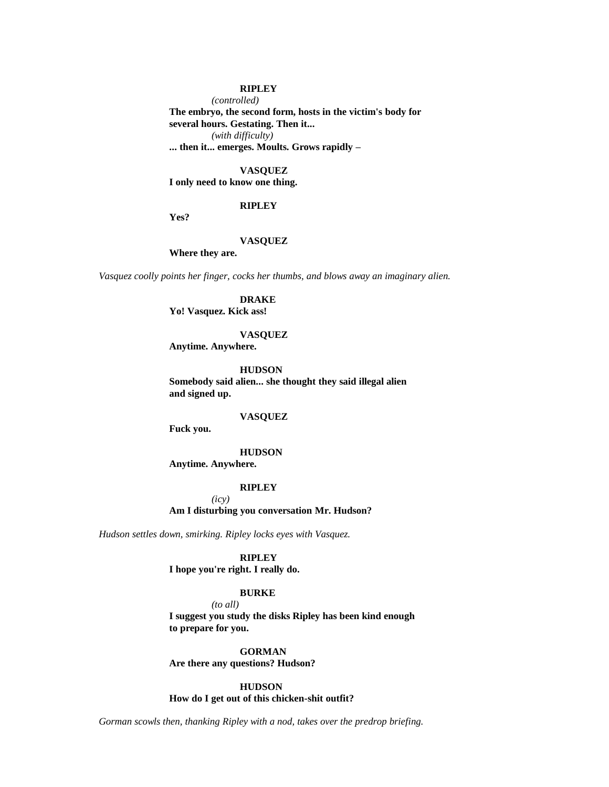### **RIPLEY**

*(controlled)*

**The embryo, the second form, hosts in the victim's body for several hours. Gestating. Then it...**  *(with difficulty)* **... then it... emerges. Moults. Grows rapidly –**

### **VASQUEZ**

**I only need to know one thing.**

#### **RIPLEY**

**Yes?**

### **VASQUEZ**

**Where they are.**

*Vasquez coolly points her finger, cocks her thumbs, and blows away an imaginary alien.*

#### **DRAKE**

**Yo! Vasquez. Kick ass!**

#### **VASQUEZ**

**Anytime. Anywhere.**

**HUDSON**

**Somebody said alien... she thought they said illegal alien and signed up.**

#### **VASQUEZ**

**Fuck you.**

### **HUDSON**

**Anytime. Anywhere.**

### **RIPLEY**

*(icy)* **Am I disturbing you conversation Mr. Hudson?**

*Hudson settles down, smirking. Ripley locks eyes with Vasquez.*

**RIPLEY I hope you're right. I really do.**

### **BURKE**

*(to all)* **I suggest you study the disks Ripley has been kind enough to prepare for you.**

**GORMAN Are there any questions? Hudson?**

**HUDSON How do I get out of this chicken-shit outfit?**

*Gorman scowls then, thanking Ripley with a nod, takes over the predrop briefing.*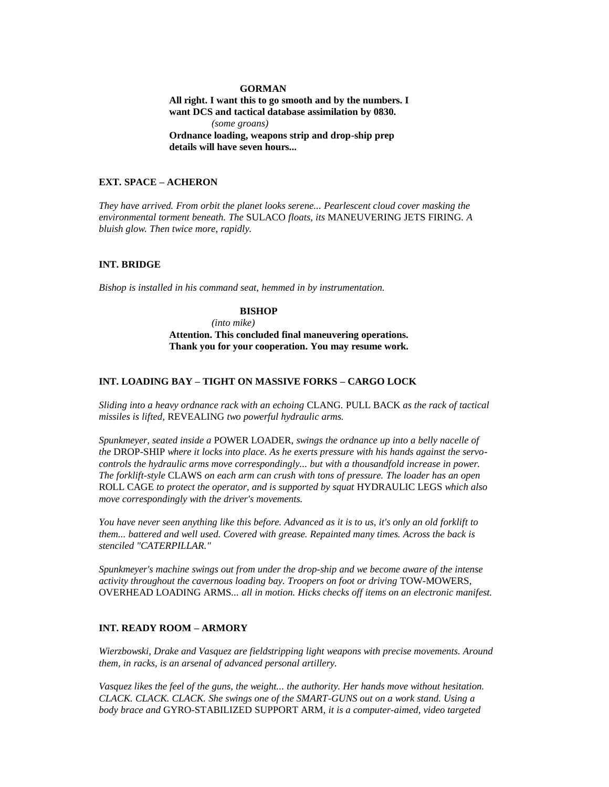#### **GORMAN**

**All right. I want this to go smooth and by the numbers. I want DCS and tactical database assimilation by 0830.** *(some groans)* **Ordnance loading, weapons strip and drop-ship prep details will have seven hours...** 

### **EXT. SPACE – ACHERON**

*They have arrived. From orbit the planet looks serene... Pearlescent cloud cover masking the environmental torment beneath. The* SULACO *floats, its* MANEUVERING JETS FIRING*. A bluish glow. Then twice more, rapidly.*

#### **INT. BRIDGE**

*Bishop is installed in his command seat, hemmed in by instrumentation.*

### **BISHOP**

*(into mike)* **Attention. This concluded final maneuvering operations. Thank you for your cooperation. You may resume work.**

### **INT. LOADING BAY – TIGHT ON MASSIVE FORKS – CARGO LOCK**

*Sliding into a heavy ordnance rack with an echoing* CLANG*.* PULL BACK *as the rack of tactical missiles is lifted,* REVEALING *two powerful hydraulic arms.*

*Spunkmeyer, seated inside a* POWER LOADER*, swings the ordnance up into a belly nacelle of the* DROP-SHIP *where it locks into place. As he exerts pressure with his hands against the servocontrols the hydraulic arms move correspondingly... but with a thousandfold increase in power. The forklift-style* CLAWS *on each arm can crush with tons of pressure. The loader has an open*  ROLL CAGE *to protect the operator, and is supported by squat* HYDRAULIC LEGS *which also move correspondingly with the driver's movements.*

*You have never seen anything like this before. Advanced as it is to us, it's only an old forklift to them... battered and well used. Covered with grease. Repainted many times. Across the back is stenciled "CATERPILLAR."*

*Spunkmeyer's machine swings out from under the drop-ship and we become aware of the intense activity throughout the cavernous loading bay. Troopers on foot or driving* TOW-MOWERS*,*  OVERHEAD LOADING ARMS*... all in motion. Hicks checks off items on an electronic manifest.*

### **INT. READY ROOM – ARMORY**

*Wierzbowski, Drake and Vasquez are fieldstripping light weapons with precise movements. Around them, in racks, is an arsenal of advanced personal artillery.*

*Vasquez likes the feel of the guns, the weight... the authority. Her hands move without hesitation. CLACK. CLACK. CLACK. She swings one of the SMART-GUNS out on a work stand. Using a body brace and* GYRO*-*STABILIZED SUPPORT ARM*, it is a computer-aimed, video targeted*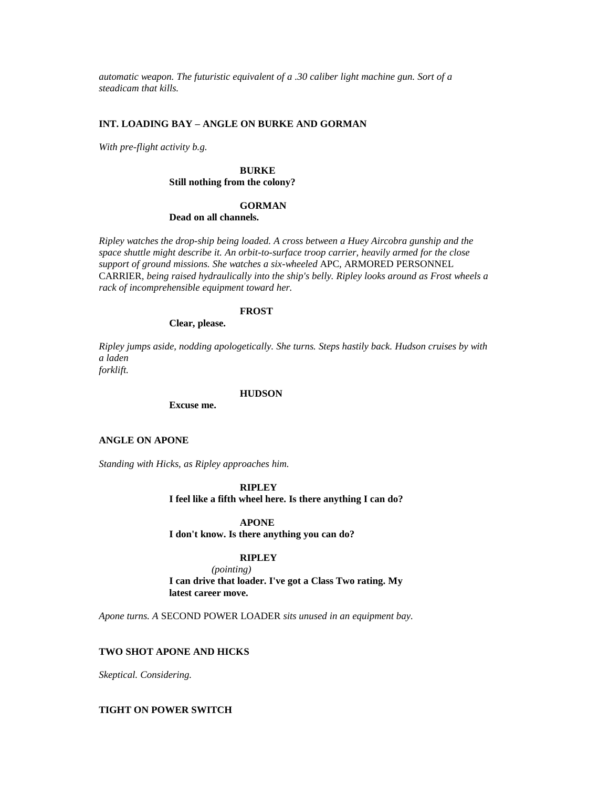*automatic weapon. The futuristic equivalent of a .30 caliber light machine gun. Sort of a steadicam that kills.*

### **INT. LOADING BAY – ANGLE ON BURKE AND GORMAN**

*With pre-flight activity b.g.*

### **BURKE Still nothing from the colony?**

### **GORMAN**

#### **Dead on all channels.**

*Ripley watches the drop-ship being loaded. A cross between a Huey Aircobra gunship and the space shuttle might describe it. An orbit-to-surface troop carrier, heavily armed for the close support of ground missions. She watches a six-wheeled* APC*,* ARMORED PERSONNEL CARRIER*, being raised hydraulically into the ship's belly. Ripley looks around as Frost wheels a rack of incomprehensible equipment toward her.*

### **FROST**

### **Clear, please.**

*Ripley jumps aside, nodding apologetically. She turns. Steps hastily back. Hudson cruises by with a laden*

*forklift.*

### **HUDSON**

**Excuse me.**

#### **ANGLE ON APONE**

*Standing with Hicks, as Ripley approaches him.*

### **RIPLEY**

**I feel like a fifth wheel here. Is there anything I can do?**

#### **APONE**

**I don't know. Is there anything you can do?**

### **RIPLEY**

*(pointing)* **I can drive that loader. I've got a Class Two rating. My latest career move.**

*Apone turns. A* SECOND POWER LOADER *sits unused in an equipment bay.*

### **TWO SHOT APONE AND HICKS**

*Skeptical. Considering.*

### **TIGHT ON POWER SWITCH**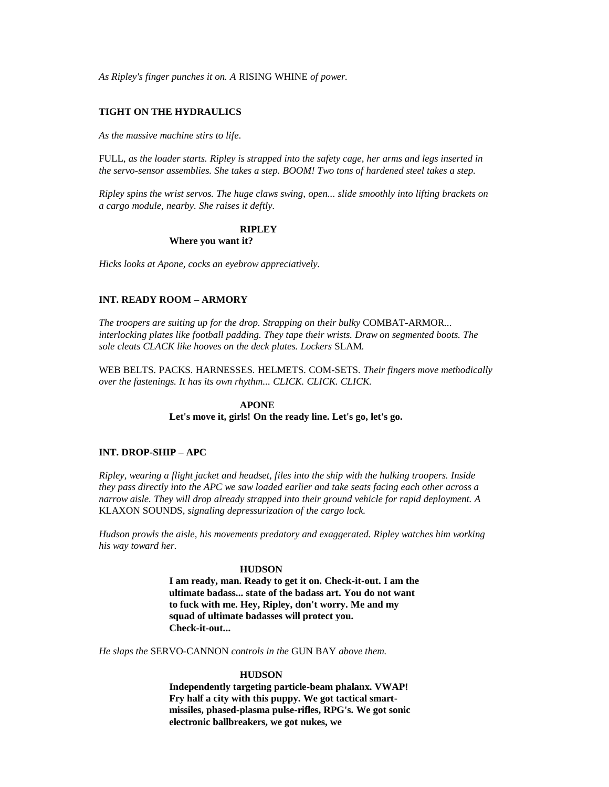*As Ripley's finger punches it on. A* RISING WHINE *of power.*

### **TIGHT ON THE HYDRAULICS**

*As the massive machine stirs to life.*

FULL*, as the loader starts. Ripley is strapped into the safety cage, her arms and legs inserted in the servo-sensor assemblies. She takes a step. BOOM! Two tons of hardened steel takes a step.*

*Ripley spins the wrist servos. The huge claws swing, open... slide smoothly into lifting brackets on a cargo module, nearby. She raises it deftly.*

### **RIPLEY**

### **Where you want it?**

*Hicks looks at Apone, cocks an eyebrow appreciatively.*

### **INT. READY ROOM – ARMORY**

*The troopers are suiting up for the drop. Strapping on their bulky* COMBAT-ARMOR*... interlocking plates like football padding. They tape their wrists. Draw on segmented boots. The sole cleats CLACK like hooves on the deck plates. Lockers* SLAM*.*

WEB BELTS*.* PACKS*.* HARNESSES*.* HELMETS*.* COM-SETS*. Their fingers move methodically over the fastenings. It has its own rhythm... CLICK. CLICK. CLICK.*

### **APONE**

### **Let's move it, girls! On the ready line. Let's go, let's go.**

#### **INT. DROP-SHIP – APC**

*Ripley, wearing a flight jacket and headset, files into the ship with the hulking troopers. Inside they pass directly into the APC we saw loaded earlier and take seats facing each other across a narrow aisle. They will drop already strapped into their ground vehicle for rapid deployment. A*  KLAXON SOUNDS*, signaling depressurization of the cargo lock.*

*Hudson prowls the aisle, his movements predatory and exaggerated. Ripley watches him working his way toward her.*

#### **HUDSON**

**I am ready, man. Ready to get it on. Check-it-out. I am the ultimate badass... state of the badass art. You do not want to fuck with me. Hey, Ripley, don't worry. Me and my squad of ultimate badasses will protect you. Check-it-out...** 

*He slaps the* SERVO-CANNON *controls in the* GUN BAY *above them.*

### **HUDSON**

**Independently targeting particle-beam phalanx. VWAP! Fry half a city with this puppy. We got tactical smartmissiles, phased-plasma pulse-rifles, RPG's. We got sonic electronic ballbreakers, we got nukes, we**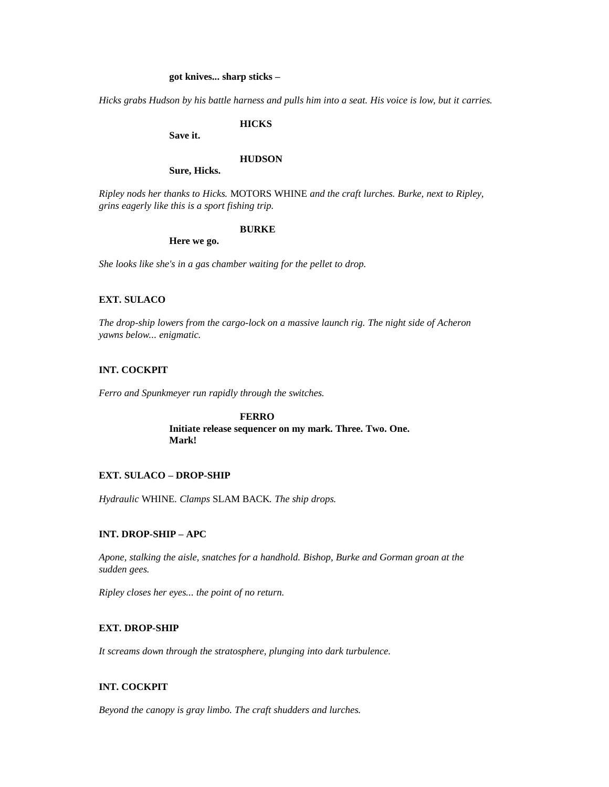### **got knives... sharp sticks –**

*Hicks grabs Hudson by his battle harness and pulls him into a seat. His voice is low, but it carries.*

### **HICKS**

**Save it.**

#### **HUDSON**

**Sure, Hicks.**

*Ripley nods her thanks to Hicks.* MOTORS WHINE *and the craft lurches. Burke, next to Ripley, grins eagerly like this is a sport fishing trip.*

### **BURKE**

**Here we go.**

*She looks like she's in a gas chamber waiting for the pellet to drop.*

#### **EXT. SULACO**

*The drop-ship lowers from the cargo-lock on a massive launch rig. The night side of Acheron yawns below... enigmatic.*

### **INT. COCKPIT**

*Ferro and Spunkmeyer run rapidly through the switches.*

**FERRO Initiate release sequencer on my mark. Three. Two. One. Mark!**

### **EXT. SULACO – DROP-SHIP**

*Hydraulic* WHINE*. Clamps* SLAM BACK*. The ship drops.*

### **INT. DROP-SHIP – APC**

*Apone, stalking the aisle, snatches for a handhold. Bishop, Burke and Gorman groan at the sudden gees.*

*Ripley closes her eyes... the point of no return.*

### **EXT. DROP-SHIP**

*It screams down through the stratosphere, plunging into dark turbulence.*

### **INT. COCKPIT**

*Beyond the canopy is gray limbo. The craft shudders and lurches.*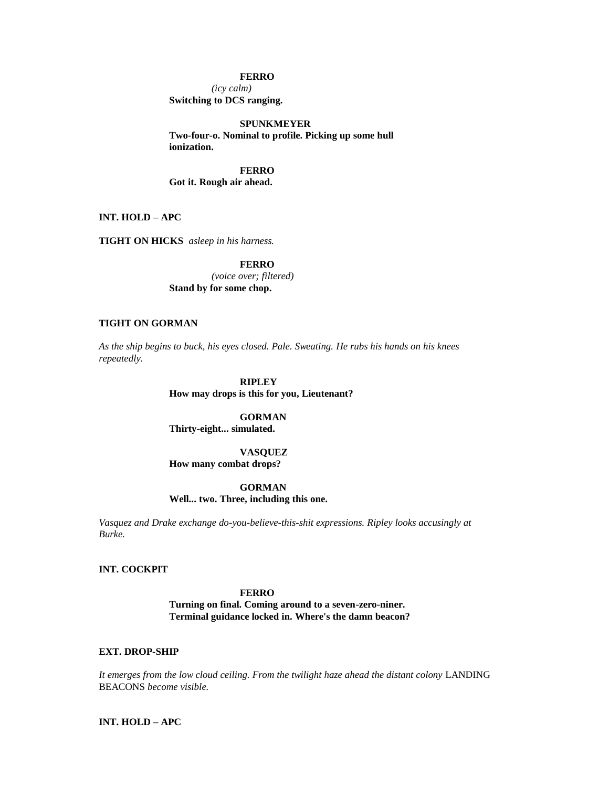### **FERRO**

*(icy calm)* **Switching to DCS ranging.**

**SPUNKMEYER Two-four-o. Nominal to profile. Picking up some hull ionization.**

**FERRO Got it. Rough air ahead.**

**INT. HOLD – APC**

**TIGHT ON HICKS** *asleep in his harness.*

**FERRO** *(voice over; filtered)* **Stand by for some chop.**

### **TIGHT ON GORMAN**

*As the ship begins to buck, his eyes closed. Pale. Sweating. He rubs his hands on his knees repeatedly.*

> **RIPLEY How may drops is this for you, Lieutenant?**

**GORMAN Thirty-eight... simulated.**

**VASQUEZ How many combat drops?**

### **GORMAN**

**Well... two. Three, including this one.**

*Vasquez and Drake exchange do-you-believe-this-shit expressions. Ripley looks accusingly at Burke.*

### **INT. COCKPIT**

### **FERRO**

**Turning on final. Coming around to a seven-zero-niner. Terminal guidance locked in. Where's the damn beacon?**

### **EXT. DROP-SHIP**

*It emerges from the low cloud ceiling. From the twilight haze ahead the distant colony* LANDING BEACONS *become visible.*

**INT. HOLD – APC**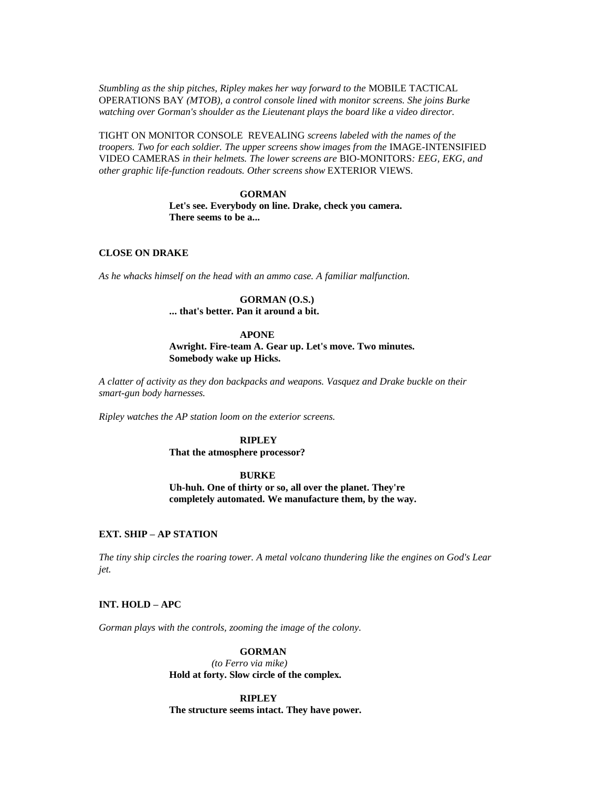*Stumbling as the ship pitches, Ripley makes her way forward to the* MOBILE TACTICAL OPERATIONS BAY *(MTOB), a control console lined with monitor screens. She joins Burke watching over Gorman's shoulder as the Lieutenant plays the board like a video director.*

TIGHT ON MONITOR CONSOLE REVEALING *screens labeled with the names of the troopers. Two for each soldier. The upper screens show images from the IMAGE-INTENSIFIED* VIDEO CAMERAS *in their helmets. The lower screens are* BIO-MONITORS*: EEG, EKG, and other graphic life-function readouts. Other screens show* EXTERIOR VIEWS*.*

#### **GORMAN**

**Let's see. Everybody on line. Drake, check you camera. There seems to be a...** 

### **CLOSE ON DRAKE**

*As he whacks himself on the head with an ammo case. A familiar malfunction.*

### **GORMAN (O.S.)**

**... that's better. Pan it around a bit.**

#### **APONE**

**Awright. Fire-team A. Gear up. Let's move. Two minutes. Somebody wake up Hicks.**

*A clatter of activity as they don backpacks and weapons. Vasquez and Drake buckle on their smart-gun body harnesses.*

*Ripley watches the AP station loom on the exterior screens.*

### **RIPLEY**

**That the atmosphere processor?**

### **BURKE**

**Uh-huh. One of thirty or so, all over the planet. They're completely automated. We manufacture them, by the way.**

### **EXT. SHIP – AP STATION**

*The tiny ship circles the roaring tower. A metal volcano thundering like the engines on God's Lear jet.*

### **INT. HOLD – APC**

*Gorman plays with the controls, zooming the image of the colony.*

### **GORMAN**

*(to Ferro via mike)* **Hold at forty. Slow circle of the complex.**

**RIPLEY The structure seems intact. They have power.**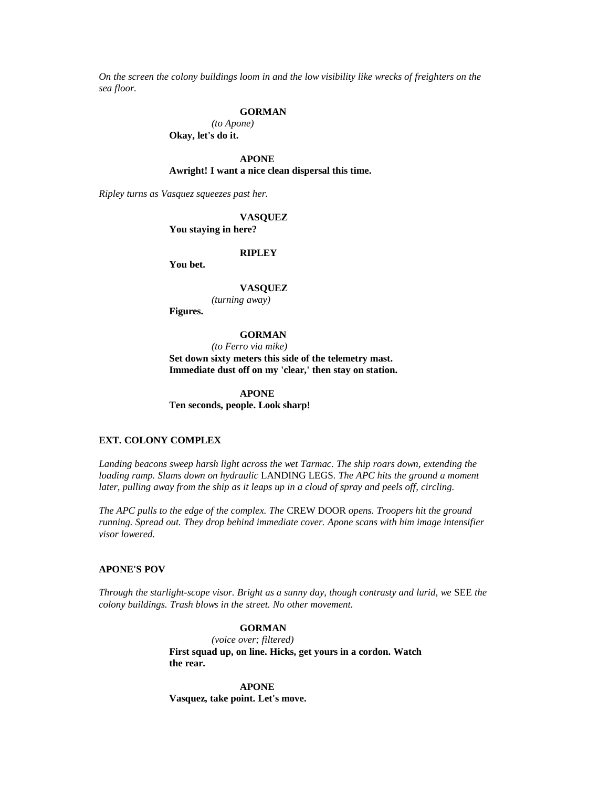*On the screen the colony buildings loom in and the low visibility like wrecks of freighters on the sea floor.*

### **GORMAN**

*(to Apone)* **Okay, let's do it.**

**APONE Awright! I want a nice clean dispersal this time.**

*Ripley turns as Vasquez squeezes past her.*

**VASQUEZ**

**You staying in here?**

### **RIPLEY**

**You bet.**

#### **VASQUEZ**

*(turning away)*

**Figures.**

#### **GORMAN**

*(to Ferro via mike)*

**Set down sixty meters this side of the telemetry mast. Immediate dust off on my 'clear,' then stay on station.**

**APONE Ten seconds, people. Look sharp!**

### **EXT. COLONY COMPLEX**

*Landing beacons sweep harsh light across the wet Tarmac. The ship roars down, extending the loading ramp. Slams down on hydraulic* LANDING LEGS*. The APC hits the ground a moment later, pulling away from the ship as it leaps up in a cloud of spray and peels off, circling.*

*The APC pulls to the edge of the complex. The* CREW DOOR *opens. Troopers hit the ground running. Spread out. They drop behind immediate cover. Apone scans with him image intensifier visor lowered.*

### **APONE'S POV**

*Through the starlight-scope visor. Bright as a sunny day, though contrasty and lurid, we* SEE *the colony buildings. Trash blows in the street. No other movement.*

### **GORMAN**

*(voice over; filtered)* **First squad up, on line. Hicks, get yours in a cordon. Watch the rear.**

**APONE Vasquez, take point. Let's move.**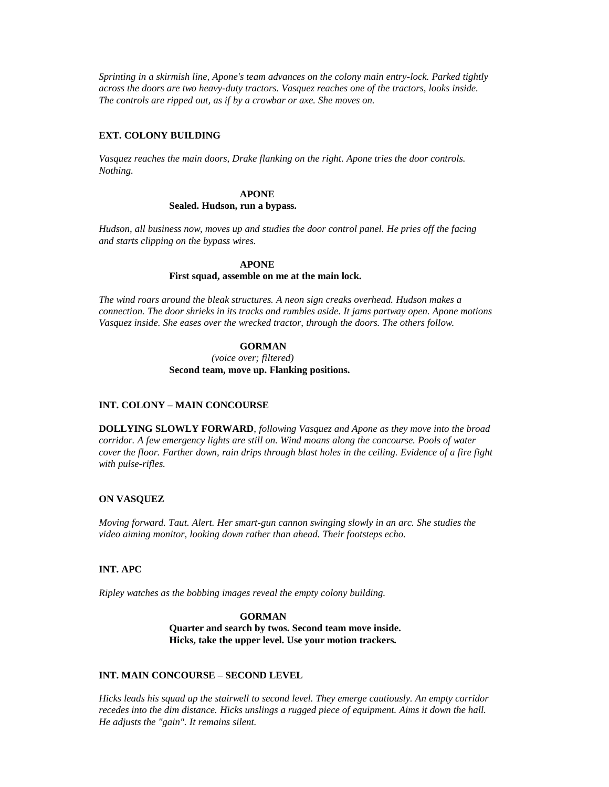*Sprinting in a skirmish line, Apone's team advances on the colony main entry-lock. Parked tightly across the doors are two heavy-duty tractors. Vasquez reaches one of the tractors, looks inside. The controls are ripped out, as if by a crowbar or axe. She moves on.*

### **EXT. COLONY BUILDING**

*Vasquez reaches the main doors, Drake flanking on the right. Apone tries the door controls. Nothing.*

### **APONE**

### **Sealed. Hudson, run a bypass.**

*Hudson, all business now, moves up and studies the door control panel. He pries off the facing and starts clipping on the bypass wires.*

#### **APONE**

#### **First squad, assemble on me at the main lock.**

*The wind roars around the bleak structures. A neon sign creaks overhead. Hudson makes a connection. The door shrieks in its tracks and rumbles aside. It jams partway open. Apone motions Vasquez inside. She eases over the wrecked tractor, through the doors. The others follow.*

### **GORMAN**

*(voice over; filtered)* **Second team, move up. Flanking positions.**

### **INT. COLONY – MAIN CONCOURSE**

**DOLLYING SLOWLY FORWARD**, *following Vasquez and Apone as they move into the broad corridor. A few emergency lights are still on. Wind moans along the concourse. Pools of water cover the floor. Farther down, rain drips through blast holes in the ceiling. Evidence of a fire fight with pulse-rifles.*

### **ON VASQUEZ**

*Moving forward. Taut. Alert. Her smart-gun cannon swinging slowly in an arc. She studies the video aiming monitor, looking down rather than ahead. Their footsteps echo.*

### **INT. APC**

*Ripley watches as the bobbing images reveal the empty colony building.*

**GORMAN Quarter and search by twos. Second team move inside. Hicks, take the upper level. Use your motion trackers.**

### **INT. MAIN CONCOURSE – SECOND LEVEL**

*Hicks leads his squad up the stairwell to second level. They emerge cautiously. An empty corridor recedes into the dim distance. Hicks unslings a rugged piece of equipment. Aims it down the hall. He adjusts the "gain". It remains silent.*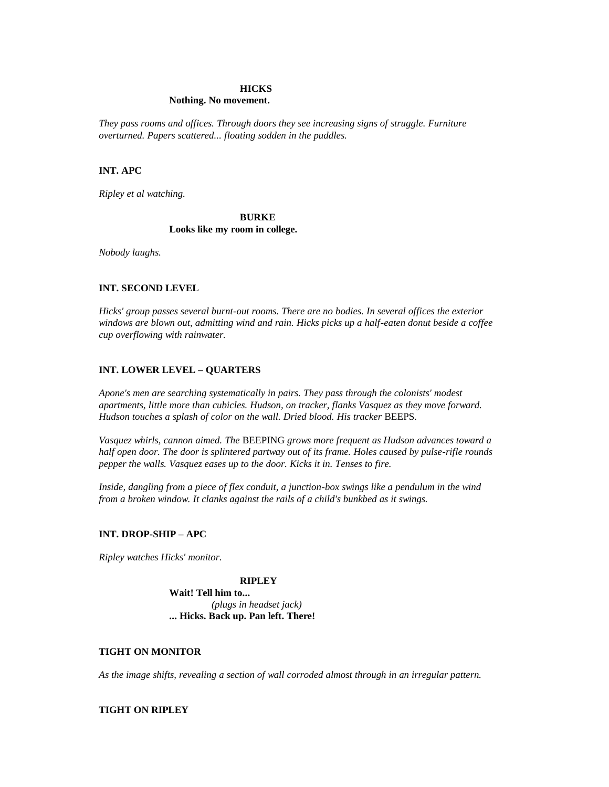### **HICKS**

### **Nothing. No movement.**

*They pass rooms and offices. Through doors they see increasing signs of struggle. Furniture overturned. Papers scattered... floating sodden in the puddles.*

### **INT. APC**

*Ripley et al watching.*

### **BURKE Looks like my room in college.**

*Nobody laughs.*

### **INT. SECOND LEVEL**

*Hicks' group passes several burnt-out rooms. There are no bodies. In several offices the exterior windows are blown out, admitting wind and rain. Hicks picks up a half-eaten donut beside a coffee cup overflowing with rainwater.*

### **INT. LOWER LEVEL – QUARTERS**

*Apone's men are searching systematically in pairs. They pass through the colonists' modest apartments, little more than cubicles. Hudson, on tracker, flanks Vasquez as they move forward. Hudson touches a splash of color on the wall. Dried blood. His tracker* BEEPS*.*

*Vasquez whirls, cannon aimed. The* BEEPING *grows more frequent as Hudson advances toward a half open door. The door is splintered partway out of its frame. Holes caused by pulse-rifle rounds pepper the walls. Vasquez eases up to the door. Kicks it in. Tenses to fire.*

*Inside, dangling from a piece of flex conduit, a junction-box swings like a pendulum in the wind from a broken window. It clanks against the rails of a child's bunkbed as it swings.*

### **INT. DROP-SHIP – APC**

*Ripley watches Hicks' monitor.*

### **RIPLEY**

**Wait! Tell him to...**  *(plugs in headset jack)* **... Hicks. Back up. Pan left. There!**

### **TIGHT ON MONITOR**

*As the image shifts, revealing a section of wall corroded almost through in an irregular pattern.*

### **TIGHT ON RIPLEY**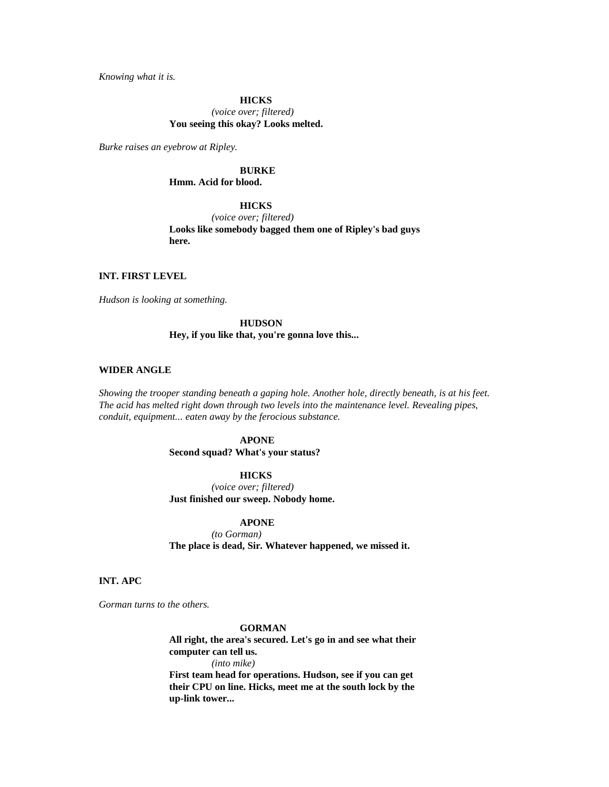*Knowing what it is.*

**HICKS** *(voice over; filtered)* **You seeing this okay? Looks melted.**

*Burke raises an eyebrow at Ripley.*

## **BURKE**

### **Hmm. Acid for blood.**

### **HICKS**

*(voice over; filtered)* **Looks like somebody bagged them one of Ripley's bad guys here.**

### **INT. FIRST LEVEL**

*Hudson is looking at something.*

### **HUDSON**

### **Hey, if you like that, you're gonna love this...**

#### **WIDER ANGLE**

*Showing the trooper standing beneath a gaping hole. Another hole, directly beneath, is at his feet. The acid has melted right down through two levels into the maintenance level. Revealing pipes, conduit, equipment... eaten away by the ferocious substance.*

### **APONE**

**Second squad? What's your status?**

#### **HICKS**

*(voice over; filtered)* **Just finished our sweep. Nobody home.**

#### **APONE**

*(to Gorman)* **The place is dead, Sir. Whatever happened, we missed it.**

### **INT. APC**

*Gorman turns to the others.*

### **GORMAN**

**All right, the area's secured. Let's go in and see what their computer can tell us.** *(into mike)*

**First team head for operations. Hudson, see if you can get their CPU on line. Hicks, meet me at the south lock by the up-link tower...**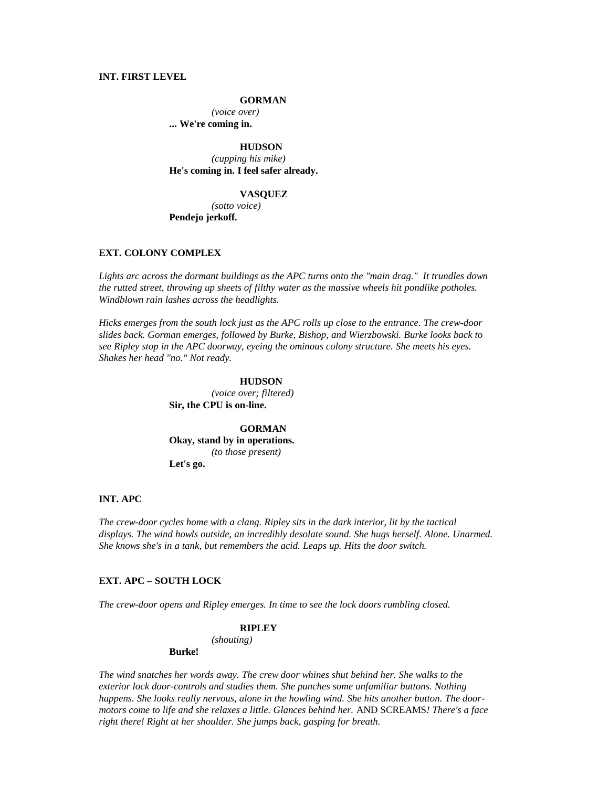### **INT. FIRST LEVEL**

### **GORMAN**

*(voice over)* **... We're coming in.**

**HUDSON** *(cupping his mike)* **He's coming in. I feel safer already.**

#### **VASQUEZ**

*(sotto voice)* **Pendejo jerkoff.**

### **EXT. COLONY COMPLEX**

*Lights arc across the dormant buildings as the APC turns onto the "main drag." It trundles down the rutted street, throwing up sheets of filthy water as the massive wheels hit pondlike potholes. Windblown rain lashes across the headlights.*

*Hicks emerges from the south lock just as the APC rolls up close to the entrance. The crew-door slides back. Gorman emerges, followed by Burke, Bishop, and Wierzbowski. Burke looks back to see Ripley stop in the APC doorway, eyeing the ominous colony structure. She meets his eyes. Shakes her head "no." Not ready.*

### **HUDSON**

*(voice over; filtered)* **Sir, the CPU is on-line.**

**GORMAN Okay, stand by in operations.** *(to those present)* **Let's go.**

### **INT. APC**

*The crew-door cycles home with a clang. Ripley sits in the dark interior, lit by the tactical displays. The wind howls outside, an incredibly desolate sound. She hugs herself. Alone. Unarmed. She knows she's in a tank, but remembers the acid. Leaps up. Hits the door switch.*

### **EXT. APC – SOUTH LOCK**

*The crew-door opens and Ripley emerges. In time to see the lock doors rumbling closed.*

#### **RIPLEY**

*(shouting)*

### **Burke!**

*The wind snatches her words away. The crew door whines shut behind her. She walks to the exterior lock door-controls and studies them. She punches some unfamiliar buttons. Nothing happens. She looks really nervous, alone in the howling wind. She hits another button. The doormotors come to life and she relaxes a little. Glances behind her.* AND SCREAMS*! There's a face right there! Right at her shoulder. She jumps back, gasping for breath.*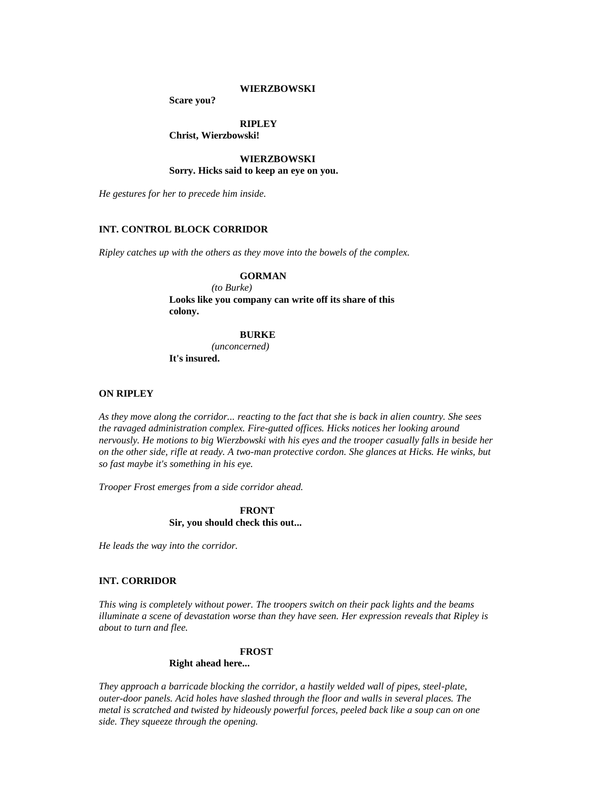### **WIERZBOWSKI**

**Scare you?**

### **RIPLEY**

### **Christ, Wierzbowski!**

### **WIERZBOWSKI Sorry. Hicks said to keep an eye on you.**

*He gestures for her to precede him inside.*

### **INT. CONTROL BLOCK CORRIDOR**

*Ripley catches up with the others as they move into the bowels of the complex.*

### **GORMAN**

*(to Burke)* **Looks like you company can write off its share of this colony.**

### **BURKE**

*(unconcerned)* **It's insured.**

### **ON RIPLEY**

*As they move along the corridor... reacting to the fact that she is back in alien country. She sees the ravaged administration complex. Fire-gutted offices. Hicks notices her looking around nervously. He motions to big Wierzbowski with his eyes and the trooper casually falls in beside her on the other side, rifle at ready. A two-man protective cordon. She glances at Hicks. He winks, but so fast maybe it's something in his eye.*

*Trooper Frost emerges from a side corridor ahead.*

**FRONT Sir, you should check this out...** 

*He leads the way into the corridor.*

### **INT. CORRIDOR**

*This wing is completely without power. The troopers switch on their pack lights and the beams illuminate a scene of devastation worse than they have seen. Her expression reveals that Ripley is about to turn and flee.*

### **FROST**

### **Right ahead here...**

*They approach a barricade blocking the corridor, a hastily welded wall of pipes, steel-plate, outer-door panels. Acid holes have slashed through the floor and walls in several places. The metal is scratched and twisted by hideously powerful forces, peeled back like a soup can on one side. They squeeze through the opening.*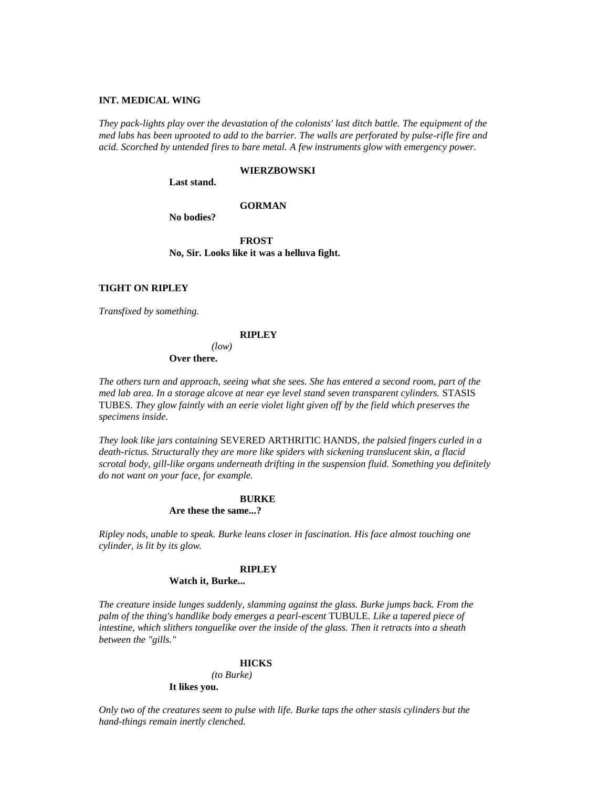### **INT. MEDICAL WING**

*They pack-lights play over the devastation of the colonists' last ditch battle. The equipment of the med labs has been uprooted to add to the barrier. The walls are perforated by pulse-rifle fire and acid. Scorched by untended fires to bare metal. A few instruments glow with emergency power.*

#### **WIERZBOWSKI**

**Last stand.**

### **GORMAN**

**No bodies?**

**FROST No, Sir. Looks like it was a helluva fight.**

#### **TIGHT ON RIPLEY**

*Transfixed by something.*

#### **RIPLEY**

*(low)* **Over there.**

*The others turn and approach, seeing what she sees. She has entered a second room, part of the med lab area. In a storage alcove at near eye level stand seven transparent cylinders.* STASIS TUBES*. They glow faintly with an eerie violet light given off by the field which preserves the specimens inside.*

*They look like jars containing* SEVERED ARTHRITIC HANDS*, the palsied fingers curled in a death-rictus. Structurally they are more like spiders with sickening translucent skin, a flacid scrotal body, gill-like organs underneath drifting in the suspension fluid. Something you definitely do not want on your face, for example.*

### **BURKE**

**Are these the same...?**

*Ripley nods, unable to speak. Burke leans closer in fascination. His face almost touching one cylinder, is lit by its glow.*

## **RIPLEY**

#### **Watch it, Burke...**

*The creature inside lunges suddenly, slamming against the glass. Burke jumps back. From the palm of the thing's handlike body emerges a pearl-escent* TUBULE*. Like a tapered piece of intestine, which slithers tonguelike over the inside of the glass. Then it retracts into a sheath between the "gills."*

#### **HICKS**

*(to Burke)*

### **It likes you.**

*Only two of the creatures seem to pulse with life. Burke taps the other stasis cylinders but the hand-things remain inertly clenched.*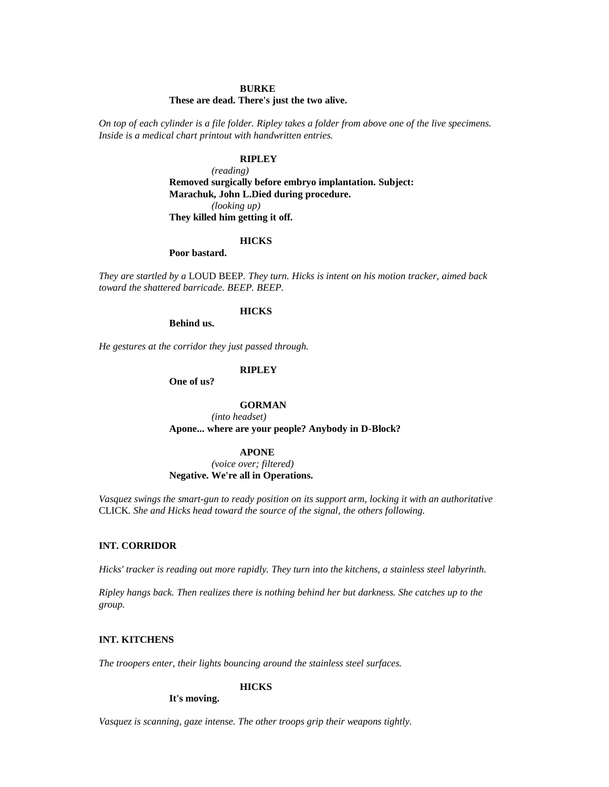### **BURKE**

### **These are dead. There's just the two alive.**

*On top of each cylinder is a file folder. Ripley takes a folder from above one of the live specimens. Inside is a medical chart printout with handwritten entries.*

## **RIPLEY**

*(reading)* **Removed surgically before embryo implantation. Subject: Marachuk, John L.Died during procedure.** *(looking up)* **They killed him getting it off.**

#### **HICKS**

### **Poor bastard.**

*They are startled by a* LOUD BEEP*. They turn. Hicks is intent on his motion tracker, aimed back toward the shattered barricade. BEEP. BEEP.*

## **HICKS**

**Behind us.**

*He gestures at the corridor they just passed through.*

#### **RIPLEY**

**One of us?**

### **GORMAN**

*(into headset)* **Apone... where are your people? Anybody in D-Block?**

#### **APONE**

*(voice over; filtered)* **Negative. We're all in Operations.**

*Vasquez swings the smart-gun to ready position on its support arm, locking it with an authoritative*  CLICK*. She and Hicks head toward the source of the signal, the others following.*

#### **INT. CORRIDOR**

*Hicks' tracker is reading out more rapidly. They turn into the kitchens, a stainless steel labyrinth.*

*Ripley hangs back. Then realizes there is nothing behind her but darkness. She catches up to the group.*

## **INT. KITCHENS**

*The troopers enter, their lights bouncing around the stainless steel surfaces.*

#### **HICKS**

**It's moving.**

*Vasquez is scanning, gaze intense. The other troops grip their weapons tightly.*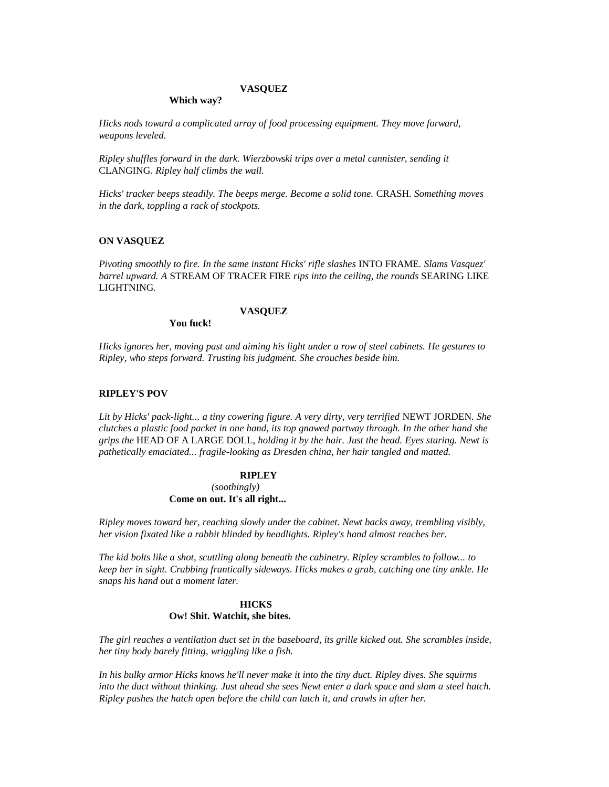#### **VASQUEZ**

#### **Which way?**

*Hicks nods toward a complicated array of food processing equipment. They move forward, weapons leveled.*

*Ripley shuffles forward in the dark. Wierzbowski trips over a metal cannister, sending it*  CLANGING*. Ripley half climbs the wall.*

*Hicks' tracker beeps steadily. The beeps merge. Become a solid tone.* CRASH*. Something moves in the dark, toppling a rack of stockpots.*

### **ON VASQUEZ**

*Pivoting smoothly to fire. In the same instant Hicks' rifle slashes* INTO FRAME*. Slams Vasquez' barrel upward. A* STREAM OF TRACER FIRE *rips into the ceiling, the rounds* SEARING LIKE LIGHTNING*.*

### **VASQUEZ**

**You fuck!**

*Hicks ignores her, moving past and aiming his light under a row of steel cabinets. He gestures to Ripley, who steps forward. Trusting his judgment. She crouches beside him.*

## **RIPLEY'S POV**

*Lit by Hicks' pack-light... a tiny cowering figure. A very dirty, very terrified* NEWT JORDEN*. She clutches a plastic food packet in one hand, its top gnawed partway through. In the other hand she grips the* HEAD OF A LARGE DOLL*, holding it by the hair. Just the head. Eyes staring. Newt is pathetically emaciated... fragile-looking as Dresden china, her hair tangled and matted.*

#### **RIPLEY**

*(soothingly)* **Come on out. It's all right...** 

*Ripley moves toward her, reaching slowly under the cabinet. Newt backs away, trembling visibly, her vision fixated like a rabbit blinded by headlights. Ripley's hand almost reaches her.*

*The kid bolts like a shot, scuttling along beneath the cabinetry. Ripley scrambles to follow... to keep her in sight. Crabbing frantically sideways. Hicks makes a grab, catching one tiny ankle. He snaps his hand out a moment later.*

## **HICKS Ow! Shit. Watchit, she bites.**

*The girl reaches a ventilation duct set in the baseboard, its grille kicked out. She scrambles inside, her tiny body barely fitting, wriggling like a fish.*

*In his bulky armor Hicks knows he'll never make it into the tiny duct. Ripley dives. She squirms into the duct without thinking. Just ahead she sees Newt enter a dark space and slam a steel hatch. Ripley pushes the hatch open before the child can latch it, and crawls in after her.*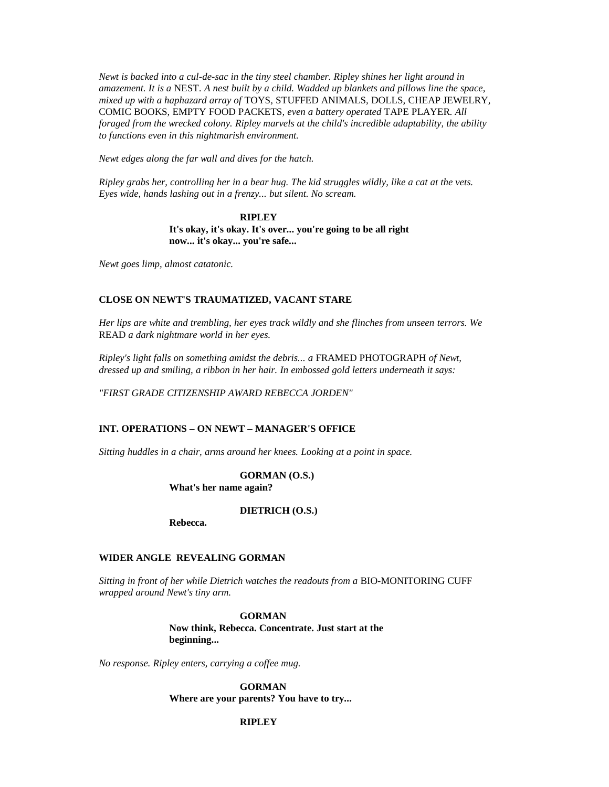*Newt is backed into a cul-de-sac in the tiny steel chamber. Ripley shines her light around in amazement. It is a* NEST*. A nest built by a child. Wadded up blankets and pillows line the space, mixed up with a haphazard array of* TOYS*,* STUFFED ANIMALS*,* DOLLS*,* CHEAP JEWELRY*,*  COMIC BOOKS*,* EMPTY FOOD PACKETS*, even a battery operated* TAPE PLAYER*. All foraged from the wrecked colony. Ripley marvels at the child's incredible adaptability, the ability to functions even in this nightmarish environment.*

*Newt edges along the far wall and dives for the hatch.*

*Ripley grabs her, controlling her in a bear hug. The kid struggles wildly, like a cat at the vets. Eyes wide, hands lashing out in a frenzy... but silent. No scream.*

> **RIPLEY It's okay, it's okay. It's over... you're going to be all right now... it's okay... you're safe...**

*Newt goes limp, almost catatonic.*

### **CLOSE ON NEWT'S TRAUMATIZED, VACANT STARE**

*Her lips are white and trembling, her eyes track wildly and she flinches from unseen terrors. We*  READ *a dark nightmare world in her eyes.*

*Ripley's light falls on something amidst the debris... a* FRAMED PHOTOGRAPH *of Newt, dressed up and smiling, a ribbon in her hair. In embossed gold letters underneath it says:*

*"FIRST GRADE CITIZENSHIP AWARD REBECCA JORDEN"*

## **INT. OPERATIONS – ON NEWT – MANAGER'S OFFICE**

*Sitting huddles in a chair, arms around her knees. Looking at a point in space.*

**GORMAN (O.S.)**

**What's her name again?**

**DIETRICH (O.S.)**

**Rebecca.**

## **WIDER ANGLE REVEALING GORMAN**

*Sitting in front of her while Dietrich watches the readouts from a* BIO-MONITORING CUFF *wrapped around Newt's tiny arm.*

> **GORMAN Now think, Rebecca. Concentrate. Just start at the beginning...**

*No response. Ripley enters, carrying a coffee mug.*

**GORMAN Where are your parents? You have to try...** 

## **RIPLEY**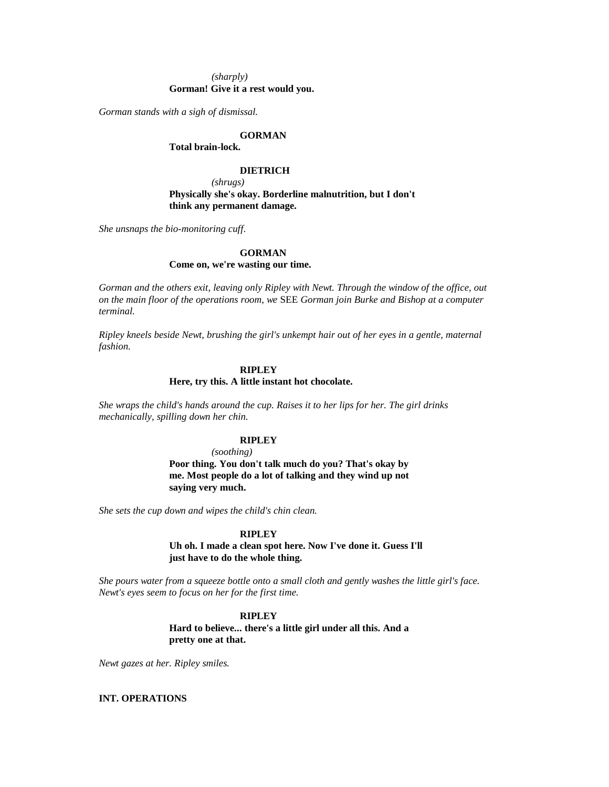### *(sharply)* **Gorman! Give it a rest would you.**

*Gorman stands with a sigh of dismissal.*

### **GORMAN**

**Total brain-lock.**

#### **DIETRICH**

*(shrugs)* **Physically she's okay. Borderline malnutrition, but I don't think any permanent damage.**

*She unsnaps the bio-monitoring cuff.*

## **GORMAN**

**Come on, we're wasting our time.**

*Gorman and the others exit, leaving only Ripley with Newt. Through the window of the office, out on the main floor of the operations room, we* SEE *Gorman join Burke and Bishop at a computer terminal.*

*Ripley kneels beside Newt, brushing the girl's unkempt hair out of her eyes in a gentle, maternal fashion.*

### **RIPLEY**

## **Here, try this. A little instant hot chocolate.**

*She wraps the child's hands around the cup. Raises it to her lips for her. The girl drinks mechanically, spilling down her chin.*

## **RIPLEY**

*(soothing)*

**Poor thing. You don't talk much do you? That's okay by me. Most people do a lot of talking and they wind up not saying very much.**

*She sets the cup down and wipes the child's chin clean.*

### **RIPLEY**

**Uh oh. I made a clean spot here. Now I've done it. Guess I'll just have to do the whole thing.**

*She pours water from a squeeze bottle onto a small cloth and gently washes the little girl's face. Newt's eyes seem to focus on her for the first time.*

> **RIPLEY Hard to believe... there's a little girl under all this. And a pretty one at that.**

*Newt gazes at her. Ripley smiles.*

### **INT. OPERATIONS**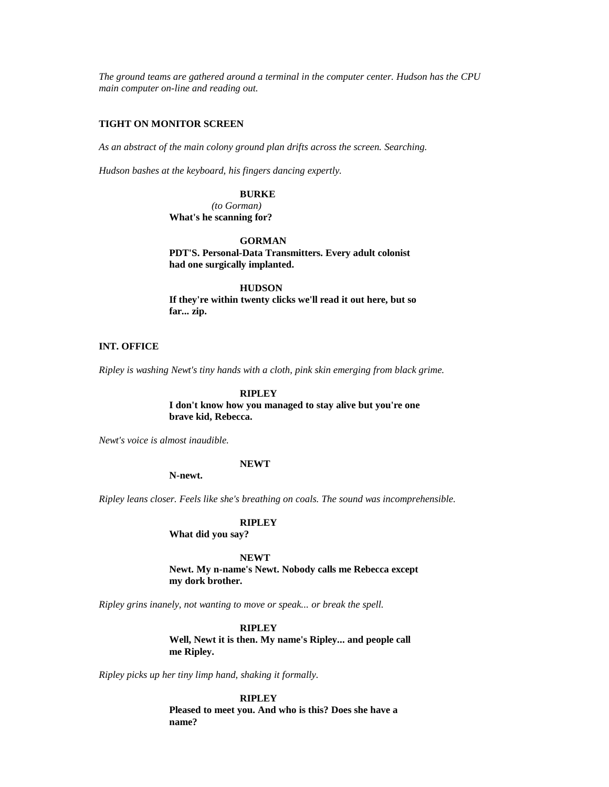*The ground teams are gathered around a terminal in the computer center. Hudson has the CPU main computer on-line and reading out.*

## **TIGHT ON MONITOR SCREEN**

*As an abstract of the main colony ground plan drifts across the screen. Searching.*

*Hudson bashes at the keyboard, his fingers dancing expertly.*

**BURKE**

*(to Gorman)* **What's he scanning for?**

## **GORMAN**

**PDT'S. Personal-Data Transmitters. Every adult colonist had one surgically implanted.**

**HUDSON**

**If they're within twenty clicks we'll read it out here, but so far... zip.**

#### **INT. OFFICE**

*Ripley is washing Newt's tiny hands with a cloth, pink skin emerging from black grime.*

#### **RIPLEY**

**I don't know how you managed to stay alive but you're one brave kid, Rebecca.**

*Newt's voice is almost inaudible.*

### **NEWT**

**N-newt.**

*Ripley leans closer. Feels like she's breathing on coals. The sound was incomprehensible.*

### **RIPLEY**

**What did you say?**

**NEWT Newt. My n-name's Newt. Nobody calls me Rebecca except my dork brother.**

*Ripley grins inanely, not wanting to move or speak... or break the spell.*

# **RIPLEY**

**Well, Newt it is then. My name's Ripley... and people call me Ripley.**

*Ripley picks up her tiny limp hand, shaking it formally.*

**RIPLEY Pleased to meet you. And who is this? Does she have a name?**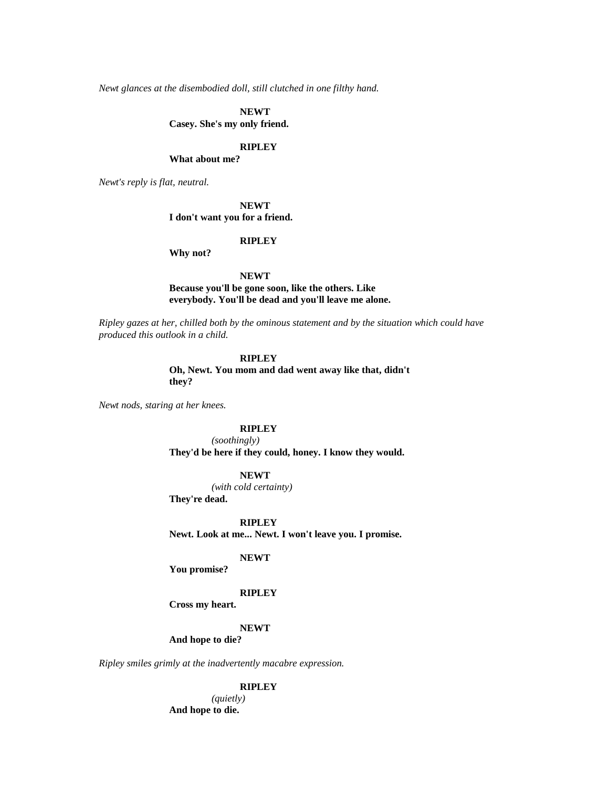*Newt glances at the disembodied doll, still clutched in one filthy hand.*

**NEWT**

**Casey. She's my only friend.**

## **RIPLEY**

**What about me?**

*Newt's reply is flat, neutral.*

**NEWT I don't want you for a friend.**

### **RIPLEY**

**Why not?**

## **NEWT**

**Because you'll be gone soon, like the others. Like everybody. You'll be dead and you'll leave me alone.**

*Ripley gazes at her, chilled both by the ominous statement and by the situation which could have produced this outlook in a child.*

#### **RIPLEY**

**Oh, Newt. You mom and dad went away like that, didn't they?**

*Newt nods, staring at her knees.*

## **RIPLEY**

*(soothingly)* **They'd be here if they could, honey. I know they would.**

#### **NEWT**

*(with cold certainty)*

**They're dead.**

#### **RIPLEY**

**Newt. Look at me... Newt. I won't leave you. I promise.**

## **NEWT**

**You promise?**

#### **RIPLEY**

**Cross my heart.**

#### **NEWT**

**And hope to die?**

*Ripley smiles grimly at the inadvertently macabre expression.*

### **RIPLEY**

*(quietly)* **And hope to die.**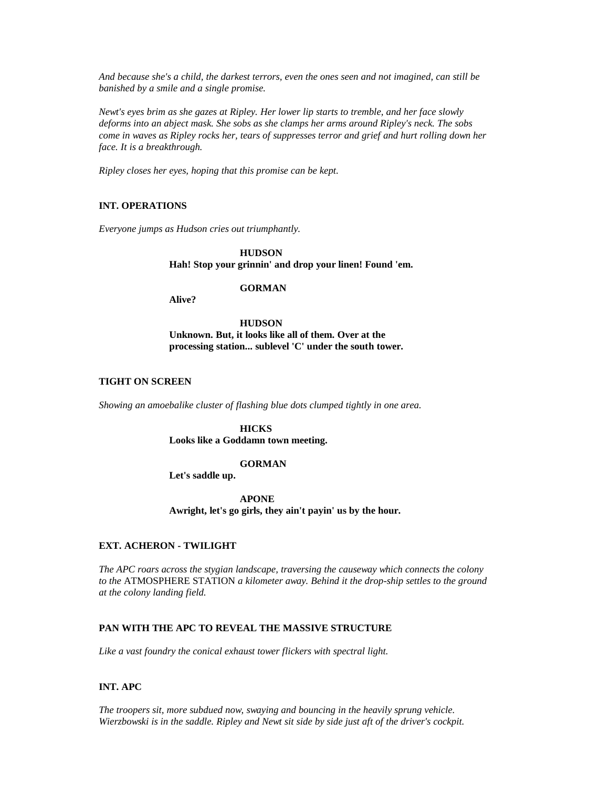*And because she's a child, the darkest terrors, even the ones seen and not imagined, can still be banished by a smile and a single promise.*

*Newt's eyes brim as she gazes at Ripley. Her lower lip starts to tremble, and her face slowly deforms into an abject mask. She sobs as she clamps her arms around Ripley's neck. The sobs come in waves as Ripley rocks her, tears of suppresses terror and grief and hurt rolling down her face. It is a breakthrough.*

*Ripley closes her eyes, hoping that this promise can be kept.*

## **INT. OPERATIONS**

*Everyone jumps as Hudson cries out triumphantly.*

**HUDSON Hah! Stop your grinnin' and drop your linen! Found 'em.**

### **GORMAN**

**Alive?**

**HUDSON Unknown. But, it looks like all of them. Over at the processing station... sublevel 'C' under the south tower.**

## **TIGHT ON SCREEN**

*Showing an amoebalike cluster of flashing blue dots clumped tightly in one area.*

**HICKS Looks like a Goddamn town meeting.**

#### **GORMAN**

**Let's saddle up.**

**APONE Awright, let's go girls, they ain't payin' us by the hour.**

## **EXT. ACHERON - TWILIGHT**

*The APC roars across the stygian landscape, traversing the causeway which connects the colony to the* ATMOSPHERE STATION *a kilometer away. Behind it the drop-ship settles to the ground at the colony landing field.*

## **PAN WITH THE APC TO REVEAL THE MASSIVE STRUCTURE**

*Like a vast foundry the conical exhaust tower flickers with spectral light.*

### **INT. APC**

*The troopers sit, more subdued now, swaying and bouncing in the heavily sprung vehicle. Wierzbowski is in the saddle. Ripley and Newt sit side by side just aft of the driver's cockpit.*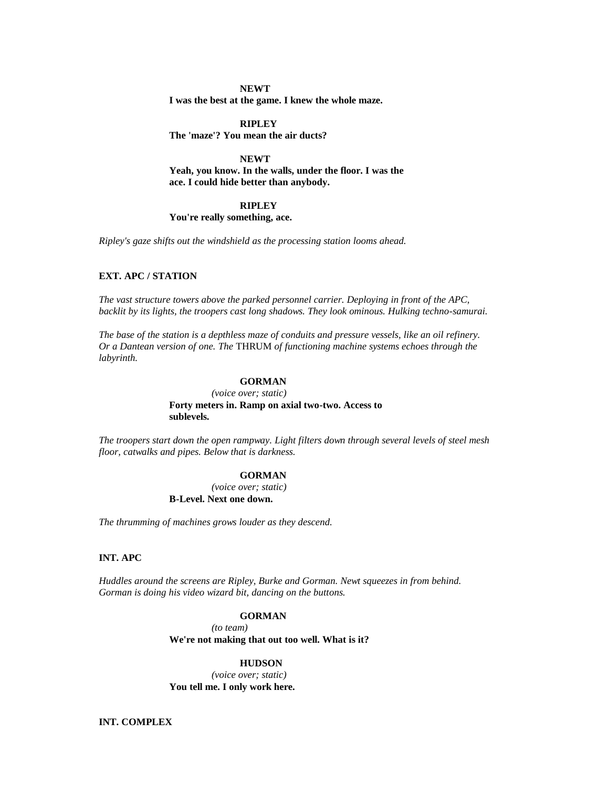## **NEWT I was the best at the game. I knew the whole maze.**

**RIPLEY The 'maze'? You mean the air ducts?**

**NEWT Yeah, you know. In the walls, under the floor. I was the ace. I could hide better than anybody.**

#### **RIPLEY You're really something, ace.**

*Ripley's gaze shifts out the windshield as the processing station looms ahead.*

# **EXT. APC / STATION**

*The vast structure towers above the parked personnel carrier. Deploying in front of the APC, backlit by its lights, the troopers cast long shadows. They look ominous. Hulking techno-samurai.*

*The base of the station is a depthless maze of conduits and pressure vessels, like an oil refinery. Or a Dantean version of one. The* THRUM *of functioning machine systems echoes through the labyrinth.*

## **GORMAN**

*(voice over; static)* **Forty meters in. Ramp on axial two-two. Access to sublevels.**

*The troopers start down the open rampway. Light filters down through several levels of steel mesh floor, catwalks and pipes. Below that is darkness.*

### **GORMAN**

*(voice over; static)* **B-Level. Next one down.**

*The thrumming of machines grows louder as they descend.*

## **INT. APC**

*Huddles around the screens are Ripley, Burke and Gorman. Newt squeezes in from behind. Gorman is doing his video wizard bit, dancing on the buttons.*

### **GORMAN**

*(to team)*

**We're not making that out too well. What is it?**

## **HUDSON**

*(voice over; static)* **You tell me. I only work here.**

**INT. COMPLEX**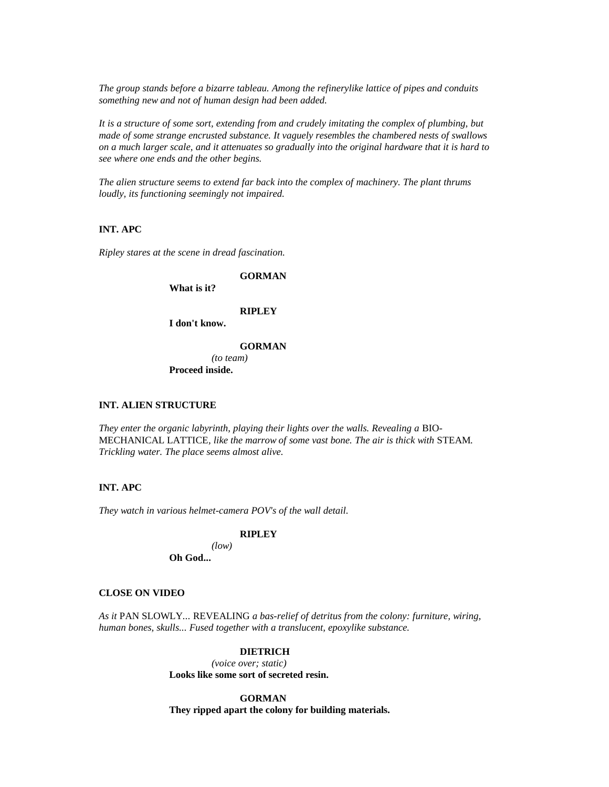*The group stands before a bizarre tableau. Among the refinerylike lattice of pipes and conduits something new and not of human design had been added.*

*It is a structure of some sort, extending from and crudely imitating the complex of plumbing, but made of some strange encrusted substance. It vaguely resembles the chambered nests of swallows on a much larger scale, and it attenuates so gradually into the original hardware that it is hard to see where one ends and the other begins.*

*The alien structure seems to extend far back into the complex of machinery. The plant thrums loudly, its functioning seemingly not impaired.*

# **INT. APC**

*Ripley stares at the scene in dread fascination.*

### **GORMAN**

**What is it?**

# **RIPLEY**

**I don't know.**

#### **GORMAN**

*(to team)* **Proceed inside.**

## **INT. ALIEN STRUCTURE**

*They enter the organic labyrinth, playing their lights over the walls. Revealing a BIO-*MECHANICAL LATTICE*, like the marrow of some vast bone. The air is thick with* STEAM*. Trickling water. The place seems almost alive.*

# **INT. APC**

*They watch in various helmet-camera POV's of the wall detail.*

### **RIPLEY**

*(low)* **Oh God...** 

#### **CLOSE ON VIDEO**

*As it* PAN SLOWLY*...* REVEALING *a bas-relief of detritus from the colony: furniture, wiring, human bones, skulls... Fused together with a translucent, epoxylike substance.*

## **DIETRICH**

*(voice over; static)* **Looks like some sort of secreted resin.**

**GORMAN They ripped apart the colony for building materials.**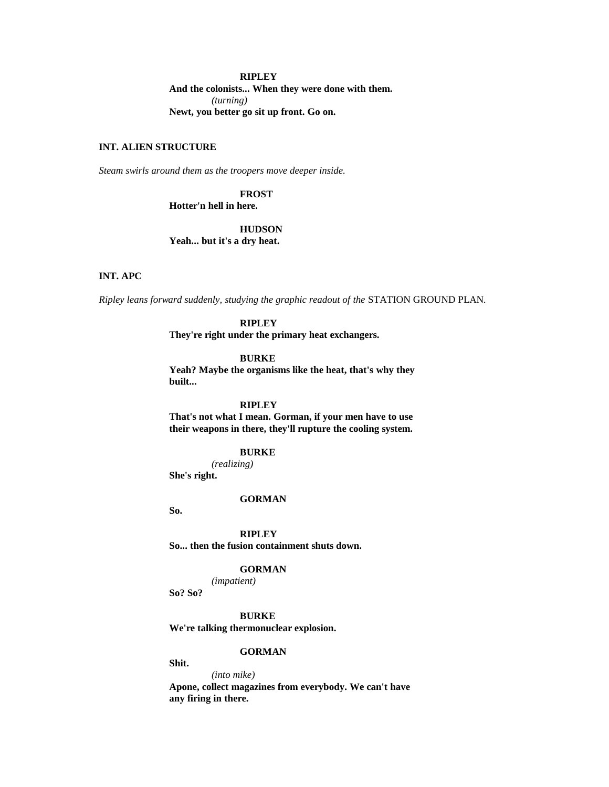### **RIPLEY**

**And the colonists... When they were done with them.** *(turning)* **Newt, you better go sit up front. Go on.**

# **INT. ALIEN STRUCTURE**

*Steam swirls around them as the troopers move deeper inside.*

## **FROST**

**Hotter'n hell in here.**

# **HUDSON**

**Yeah... but it's a dry heat.**

### **INT. APC**

*Ripley leans forward suddenly, studying the graphic readout of the* STATION GROUND PLAN*.*

## **RIPLEY**

**They're right under the primary heat exchangers.**

#### **BURKE**

**Yeah? Maybe the organisms like the heat, that's why they built...** 

## **RIPLEY**

**That's not what I mean. Gorman, if your men have to use their weapons in there, they'll rupture the cooling system.**

### **BURKE**

*(realizing)*

**She's right.**

#### **GORMAN**

**So.**

### **RIPLEY**

**So... then the fusion containment shuts down.**

### **GORMAN**

*(impatient)*

**So? So?**

**BURKE**

**We're talking thermonuclear explosion.**

## **GORMAN**

**Shit.**

*(into mike)* **Apone, collect magazines from everybody. We can't have any firing in there.**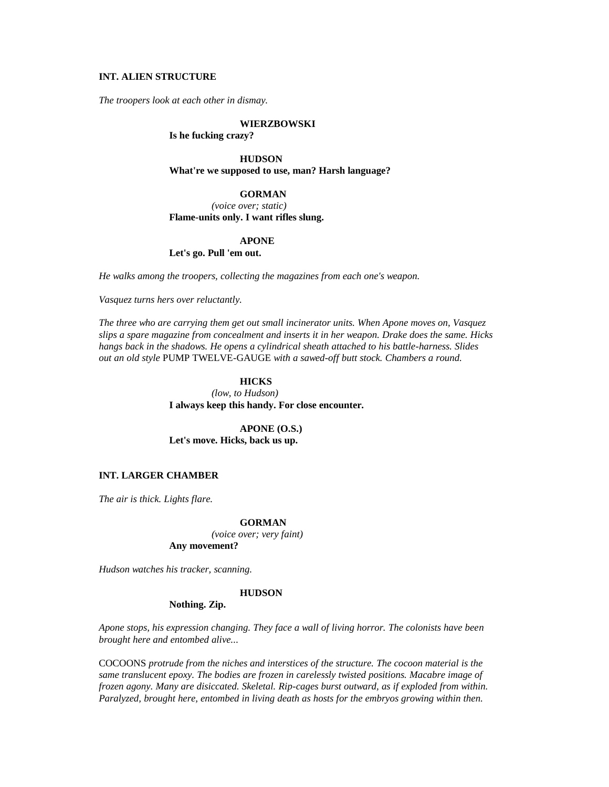## **INT. ALIEN STRUCTURE**

*The troopers look at each other in dismay.*

#### **WIERZBOWSKI**

### **Is he fucking crazy?**

**HUDSON What're we supposed to use, man? Harsh language?**

#### **GORMAN**

*(voice over; static)* **Flame-units only. I want rifles slung.**

#### **APONE**

## **Let's go. Pull 'em out.**

*He walks among the troopers, collecting the magazines from each one's weapon.*

*Vasquez turns hers over reluctantly.*

*The three who are carrying them get out small incinerator units. When Apone moves on, Vasquez slips a spare magazine from concealment and inserts it in her weapon. Drake does the same. Hicks hangs back in the shadows. He opens a cylindrical sheath attached to his battle-harness. Slides out an old style* PUMP TWELVE-GAUGE *with a sawed-off butt stock. Chambers a round.*

# **HICKS**

*(low, to Hudson)* **I always keep this handy. For close encounter.**

**APONE (O.S.) Let's move. Hicks, back us up.**

## **INT. LARGER CHAMBER**

*The air is thick. Lights flare.*

#### **GORMAN**

*(voice over; very faint)* **Any movement?**

*Hudson watches his tracker, scanning.*

#### **HUDSON**

### **Nothing. Zip.**

*Apone stops, his expression changing. They face a wall of living horror. The colonists have been brought here and entombed alive...* 

COCOONS *protrude from the niches and interstices of the structure. The cocoon material is the same translucent epoxy. The bodies are frozen in carelessly twisted positions. Macabre image of frozen agony. Many are disiccated. Skeletal. Rip-cages burst outward, as if exploded from within. Paralyzed, brought here, entombed in living death as hosts for the embryos growing within then.*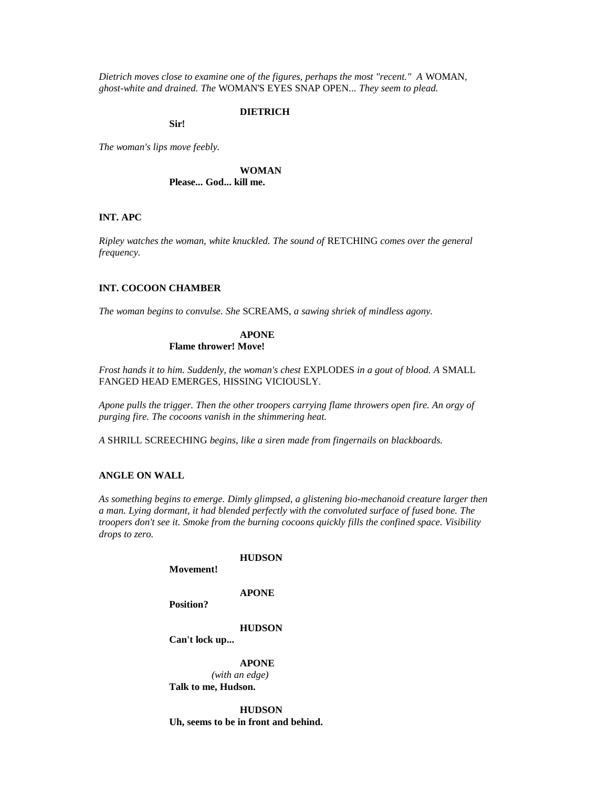*Dietrich moves close to examine one of the figures, perhaps the most "recent." A* WOMAN*, ghost-white and drained. The* WOMAN'S EYES SNAP OPEN*... They seem to plead.*

### **DIETRICH**

**Sir!**

*The woman's lips move feebly.*

**WOMAN Please... God... kill me.**

#### **INT. APC**

*Ripley watches the woman, white knuckled. The sound of* RETCHING *comes over the general frequency.*

### **INT. COCOON CHAMBER**

*The woman begins to convulse. She* SCREAMS*, a sawing shriek of mindless agony.*

### **APONE Flame thrower! Move!**

*Frost hands it to him. Suddenly, the woman's chest* EXPLODES *in a gout of blood. A* SMALL FANGED HEAD EMERGES*,* HISSING VICIOUSLY*.*

*Apone pulls the trigger. Then the other troopers carrying flame throwers open fire. An orgy of purging fire. The cocoons vanish in the shimmering heat.*

*A* SHRILL SCREECHING *begins, like a siren made from fingernails on blackboards.*

## **ANGLE ON WALL**

*As something begins to emerge. Dimly glimpsed, a glistening bio-mechanoid creature larger then a man. Lying dormant, it had blended perfectly with the convoluted surface of fused bone. The troopers don't see it. Smoke from the burning cocoons quickly fills the confined space. Visibility drops to zero.*

|           | <b>HUDSON</b> |
|-----------|---------------|
| Movement! |               |

**APONE**

**Position?**

**HUDSON**

**Can't lock up...** 

**APONE**

*(with an edge)* **Talk to me, Hudson.**

**HUDSON Uh, seems to be in front and behind.**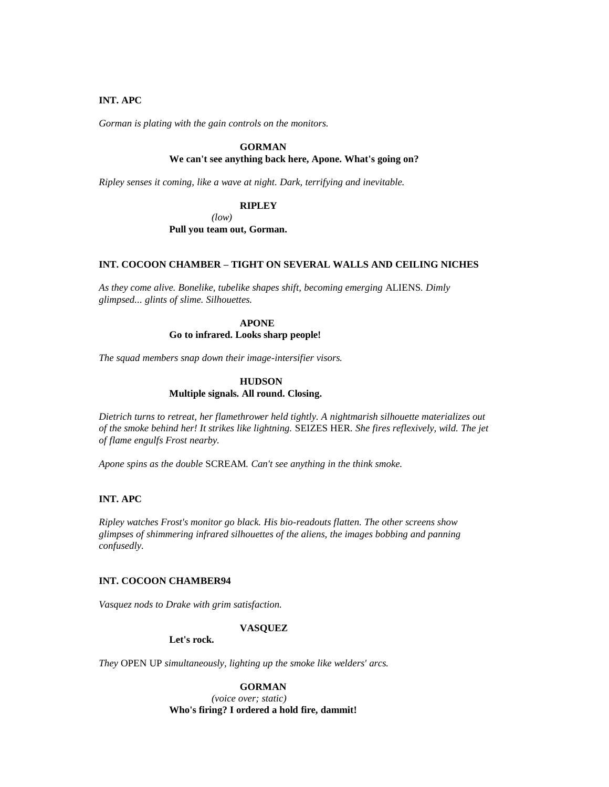## **INT. APC**

*Gorman is plating with the gain controls on the monitors.*

## **GORMAN**

# **We can't see anything back here, Apone. What's going on?**

*Ripley senses it coming, like a wave at night. Dark, terrifying and inevitable.*

## **RIPLEY**

*(low)*

**Pull you team out, Gorman.**

## **INT. COCOON CHAMBER – TIGHT ON SEVERAL WALLS AND CEILING NICHES**

*As they come alive. Bonelike, tubelike shapes shift, becoming emerging* ALIENS*. Dimly glimpsed... glints of slime. Silhouettes.*

# **APONE**

## **Go to infrared. Looks sharp people!**

*The squad members snap down their image-intersifier visors.*

## **HUDSON Multiple signals. All round. Closing.**

*Dietrich turns to retreat, her flamethrower held tightly. A nightmarish silhouette materializes out of the smoke behind her! It strikes like lightning.* SEIZES HER*. She fires reflexively, wild. The jet of flame engulfs Frost nearby.*

*Apone spins as the double* SCREAM*. Can't see anything in the think smoke.*

### **INT. APC**

*Ripley watches Frost's monitor go black. His bio-readouts flatten. The other screens show glimpses of shimmering infrared silhouettes of the aliens, the images bobbing and panning confusedly.*

### **INT. COCOON CHAMBER94**

*Vasquez nods to Drake with grim satisfaction.*

### **VASQUEZ**

**Let's rock.**

*They* OPEN UP *simultaneously, lighting up the smoke like welders' arcs.*

**GORMAN**

*(voice over; static)* **Who's firing? I ordered a hold fire, dammit!**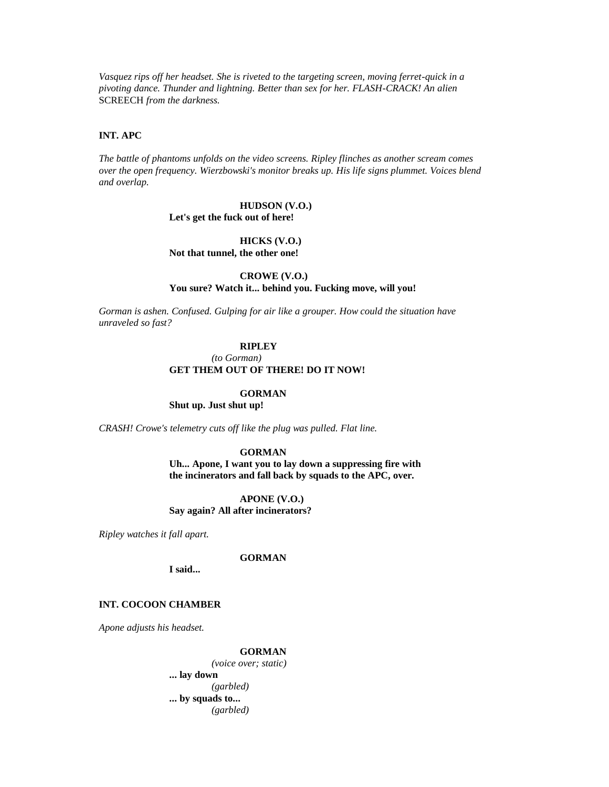*Vasquez rips off her headset. She is riveted to the targeting screen, moving ferret-quick in a pivoting dance. Thunder and lightning. Better than sex for her. FLASH-CRACK! An alien*  SCREECH *from the darkness.*

### **INT. APC**

*The battle of phantoms unfolds on the video screens. Ripley flinches as another scream comes over the open frequency. Wierzbowski's monitor breaks up. His life signs plummet. Voices blend and overlap.*

### **HUDSON (V.O.) Let's get the fuck out of here!**

# **HICKS (V.O.)**

**Not that tunnel, the other one!**

**CROWE (V.O.)**

### **You sure? Watch it... behind you. Fucking move, will you!**

*Gorman is ashen. Confused. Gulping for air like a grouper. How could the situation have unraveled so fast?*

#### **RIPLEY**

#### *(to Gorman)* **GET THEM OUT OF THERE! DO IT NOW!**

#### **GORMAN**

**Shut up. Just shut up!**

*CRASH! Crowe's telemetry cuts off like the plug was pulled. Flat line.*

#### **GORMAN**

**Uh... Apone, I want you to lay down a suppressing fire with the incinerators and fall back by squads to the APC, over.**

**APONE (V.O.) Say again? All after incinerators?**

*Ripley watches it fall apart.*

**GORMAN**

**I said...** 

## **INT. COCOON CHAMBER**

*Apone adjusts his headset.*

#### **GORMAN**

*(voice over; static)* **... lay down** *(garbled)* **... by squads to...** *(garbled)*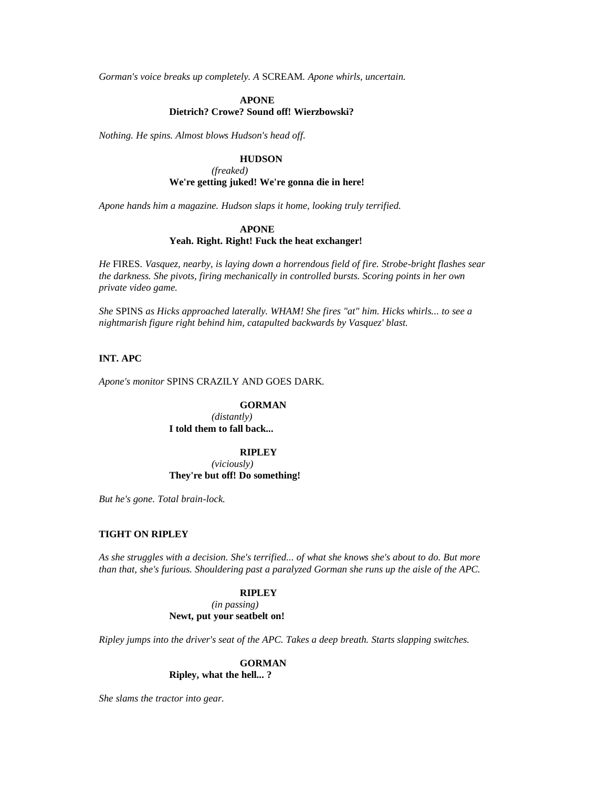*Gorman's voice breaks up completely. A* SCREAM*. Apone whirls, uncertain.*

## **APONE Dietrich? Crowe? Sound off! Wierzbowski?**

*Nothing. He spins. Almost blows Hudson's head off.*

## **HUDSON**

*(freaked)* **We're getting juked! We're gonna die in here!**

*Apone hands him a magazine. Hudson slaps it home, looking truly terrified.*

## **APONE**

### **Yeah. Right. Right! Fuck the heat exchanger!**

*He* FIRES*. Vasquez, nearby, is laying down a horrendous field of fire. Strobe-bright flashes sear the darkness. She pivots, firing mechanically in controlled bursts. Scoring points in her own private video game.*

*She* SPINS *as Hicks approached laterally. WHAM! She fires "at" him. Hicks whirls... to see a nightmarish figure right behind him, catapulted backwards by Vasquez' blast.*

## **INT. APC**

*Apone's monitor* SPINS CRAZILY AND GOES DARK*.*

### **GORMAN**

*(distantly)* **I told them to fall back...** 

#### **RIPLEY**

*(viciously)* **They're but off! Do something!**

*But he's gone. Total brain-lock.*

## **TIGHT ON RIPLEY**

*As she struggles with a decision. She's terrified... of what she knows she's about to do. But more than that, she's furious. Shouldering past a paralyzed Gorman she runs up the aisle of the APC.*

### **RIPLEY**

*(in passing)* **Newt, put your seatbelt on!**

*Ripley jumps into the driver's seat of the APC. Takes a deep breath. Starts slapping switches.*

### **GORMAN Ripley, what the hell... ?**

*She slams the tractor into gear.*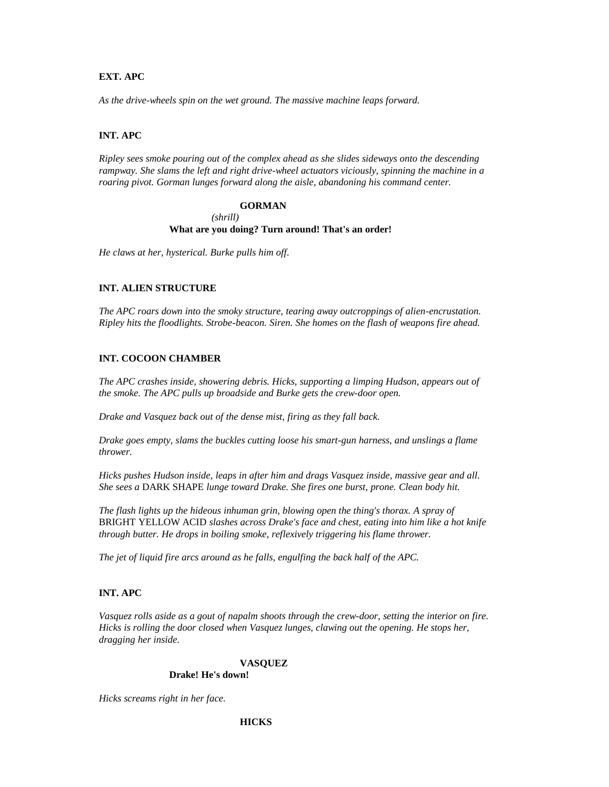## **EXT. APC**

*As the drive-wheels spin on the wet ground. The massive machine leaps forward.*

## **INT. APC**

*Ripley sees smoke pouring out of the complex ahead as she slides sideways onto the descending rampway. She slams the left and right drive-wheel actuators viciously, spinning the machine in a roaring pivot. Gorman lunges forward along the aisle, abandoning his command center.*

## **GORMAN**

## *(shrill)* **What are you doing? Turn around! That's an order!**

*He claws at her, hysterical. Burke pulls him off.*

## **INT. ALIEN STRUCTURE**

*The APC roars down into the smoky structure, tearing away outcroppings of alien-encrustation. Ripley hits the floodlights. Strobe-beacon. Siren. She homes on the flash of weapons fire ahead.*

# **INT. COCOON CHAMBER**

*The APC crashes inside, showering debris. Hicks, supporting a limping Hudson, appears out of the smoke. The APC pulls up broadside and Burke gets the crew-door open.*

*Drake and Vasquez back out of the dense mist, firing as they fall back.*

*Drake goes empty, slams the buckles cutting loose his smart-gun harness, and unslings a flame thrower.*

*Hicks pushes Hudson inside, leaps in after him and drags Vasquez inside, massive gear and all. She sees a* DARK SHAPE *lunge toward Drake. She fires one burst, prone. Clean body hit.*

*The flash lights up the hideous inhuman grin, blowing open the thing's thorax. A spray of*  BRIGHT YELLOW ACID *slashes across Drake's face and chest, eating into him like a hot knife through butter. He drops in boiling smoke, reflexively triggering his flame thrower.*

*The jet of liquid fire arcs around as he falls, engulfing the back half of the APC.*

## **INT. APC**

*Vasquez rolls aside as a gout of napalm shoots through the crew-door, setting the interior on fire. Hicks is rolling the door closed when Vasquez lunges, clawing out the opening. He stops her, dragging her inside.*

## **VASQUEZ**

### **Drake! He's down!**

*Hicks screams right in her face.*

## **HICKS**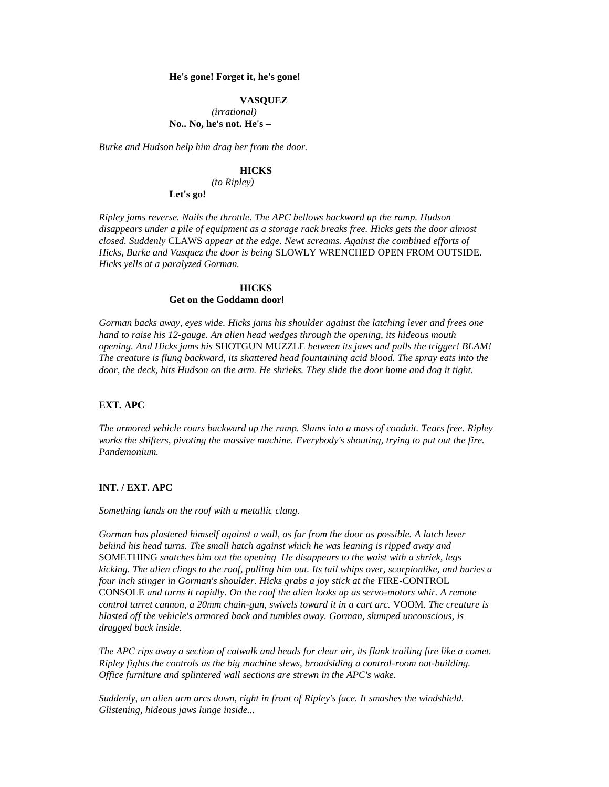#### **He's gone! Forget it, he's gone!**

#### **VASQUEZ**

*(irrational)* **No.. No, he's not. He's –**

*Burke and Hudson help him drag her from the door.*

#### **HICKS**

*(to Ripley)*

**Let's go!**

*Ripley jams reverse. Nails the throttle. The APC bellows backward up the ramp. Hudson disappears under a pile of equipment as a storage rack breaks free. Hicks gets the door almost closed. Suddenly* CLAWS *appear at the edge. Newt screams. Against the combined efforts of Hicks, Burke and Vasquez the door is being* SLOWLY WRENCHED OPEN FROM OUTSIDE*. Hicks yells at a paralyzed Gorman.*

### **HICKS Get on the Goddamn door!**

*Gorman backs away, eyes wide. Hicks jams his shoulder against the latching lever and frees one hand to raise his 12-gauge. An alien head wedges through the opening, its hideous mouth opening. And Hicks jams his* SHOTGUN MUZZLE *between its jaws and pulls the trigger! BLAM! The creature is flung backward, its shattered head fountaining acid blood. The spray eats into the door, the deck, hits Hudson on the arm. He shrieks. They slide the door home and dog it tight.*

## **EXT. APC**

*The armored vehicle roars backward up the ramp. Slams into a mass of conduit. Tears free. Ripley works the shifters, pivoting the massive machine. Everybody's shouting, trying to put out the fire. Pandemonium.*

## **INT. / EXT. APC**

*Something lands on the roof with a metallic clang.*

*Gorman has plastered himself against a wall, as far from the door as possible. A latch lever behind his head turns. The small hatch against which he was leaning is ripped away and*  SOMETHING *snatches him out the opening He disappears to the waist with a shriek, legs kicking. The alien clings to the roof, pulling him out. Its tail whips over, scorpionlike, and buries a four inch stinger in Gorman's shoulder. Hicks grabs a joy stick at the FIRE-CONTROL* CONSOLE *and turns it rapidly. On the roof the alien looks up as servo-motors whir. A remote control turret cannon, a 20mm chain-gun, swivels toward it in a curt arc.* VOOM*. The creature is blasted off the vehicle's armored back and tumbles away. Gorman, slumped unconscious, is dragged back inside.*

*The APC rips away a section of catwalk and heads for clear air, its flank trailing fire like a comet. Ripley fights the controls as the big machine slews, broadsiding a control-room out-building. Office furniture and splintered wall sections are strewn in the APC's wake.*

*Suddenly, an alien arm arcs down, right in front of Ripley's face. It smashes the windshield. Glistening, hideous jaws lunge inside...*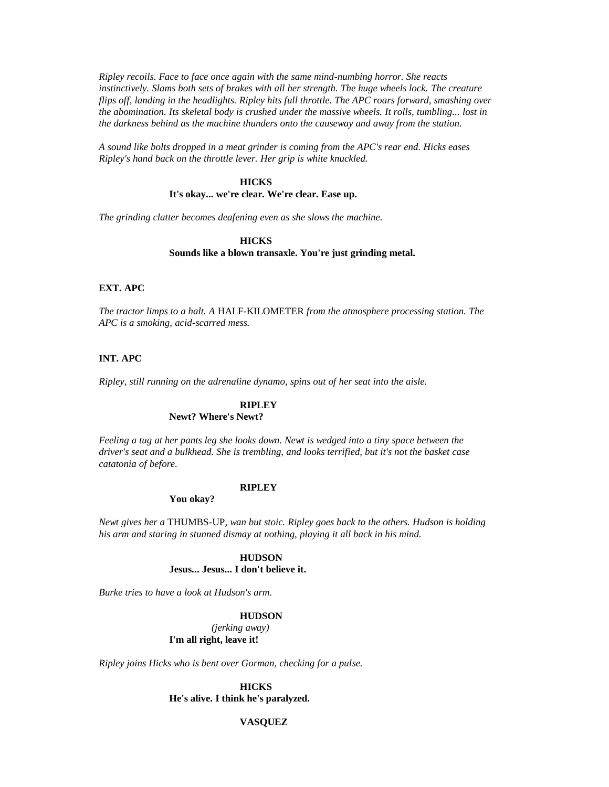*Ripley recoils. Face to face once again with the same mind-numbing horror. She reacts instinctively. Slams both sets of brakes with all her strength. The huge wheels lock. The creature flips off, landing in the headlights. Ripley hits full throttle. The APC roars forward, smashing over the abomination. Its skeletal body is crushed under the massive wheels. It rolls, tumbling... lost in the darkness behind as the machine thunders onto the causeway and away from the station.*

*A sound like bolts dropped in a meat grinder is coming from the APC's rear end. Hicks eases Ripley's hand back on the throttle lever. Her grip is white knuckled.*

### **HICKS**

#### **It's okay... we're clear. We're clear. Ease up.**

*The grinding clatter becomes deafening even as she slows the machine.*

### **HICKS Sounds like a blown transaxle. You're just grinding metal.**

#### **EXT. APC**

*The tractor limps to a halt. A* HALF-KILOMETER *from the atmosphere processing station. The APC is a smoking, acid-scarred mess.*

## **INT. APC**

*Ripley, still running on the adrenaline dynamo, spins out of her seat into the aisle.*

# **RIPLEY**

## **Newt? Where's Newt?**

*Feeling a tug at her pants leg she looks down. Newt is wedged into a tiny space between the driver's seat and a bulkhead. She is trembling, and looks terrified, but it's not the basket case catatonia of before.*

## **RIPLEY**

**You okay?**

*Newt gives her a* THUMBS-UP*, wan but stoic. Ripley goes back to the others. Hudson is holding his arm and staring in stunned dismay at nothing, playing it all back in his mind.*

> **HUDSON Jesus... Jesus... I don't believe it.**

*Burke tries to have a look at Hudson's arm.*

#### **HUDSON**

*(jerking away)* **I'm all right, leave it!**

*Ripley joins Hicks who is bent over Gorman, checking for a pulse.*

**HICKS He's alive. I think he's paralyzed.**

## **VASQUEZ**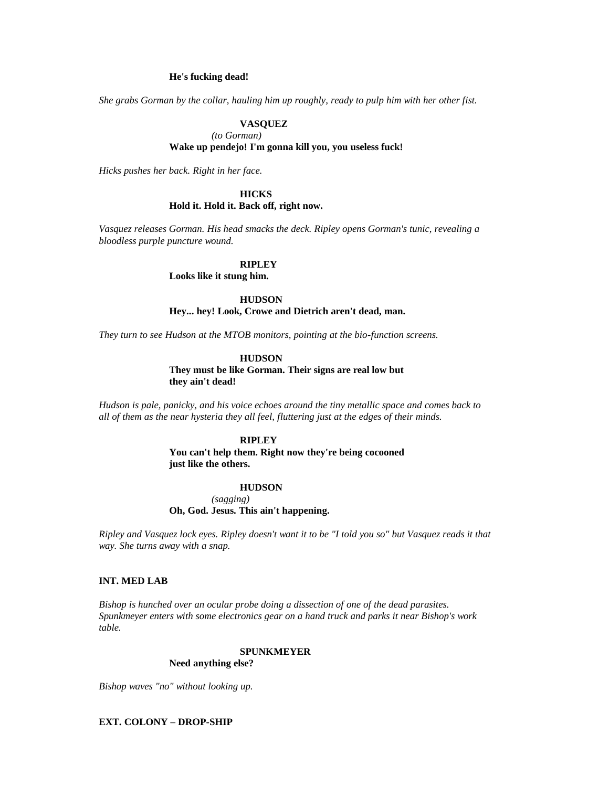#### **He's fucking dead!**

*She grabs Gorman by the collar, hauling him up roughly, ready to pulp him with her other fist.*

### **VASQUEZ**

#### *(to Gorman)*

### **Wake up pendejo! I'm gonna kill you, you useless fuck!**

*Hicks pushes her back. Right in her face.*

### **HICKS**

### **Hold it. Hold it. Back off, right now.**

*Vasquez releases Gorman. His head smacks the deck. Ripley opens Gorman's tunic, revealing a bloodless purple puncture wound.*

#### **RIPLEY**

**Looks like it stung him.**

**HUDSON**

**Hey... hey! Look, Crowe and Dietrich aren't dead, man.**

*They turn to see Hudson at the MTOB monitors, pointing at the bio-function screens.*

### **HUDSON**

**They must be like Gorman. Their signs are real low but they ain't dead!**

*Hudson is pale, panicky, and his voice echoes around the tiny metallic space and comes back to all of them as the near hysteria they all feel, fluttering just at the edges of their minds.*

### **RIPLEY**

**You can't help them. Right now they're being cocooned just like the others.**

### **HUDSON**

*(sagging)* **Oh, God. Jesus. This ain't happening.**

*Ripley and Vasquez lock eyes. Ripley doesn't want it to be "I told you so" but Vasquez reads it that way. She turns away with a snap.*

## **INT. MED LAB**

*Bishop is hunched over an ocular probe doing a dissection of one of the dead parasites. Spunkmeyer enters with some electronics gear on a hand truck and parks it near Bishop's work table.*

## **SPUNKMEYER**

### **Need anything else?**

*Bishop waves "no" without looking up.*

### **EXT. COLONY – DROP-SHIP**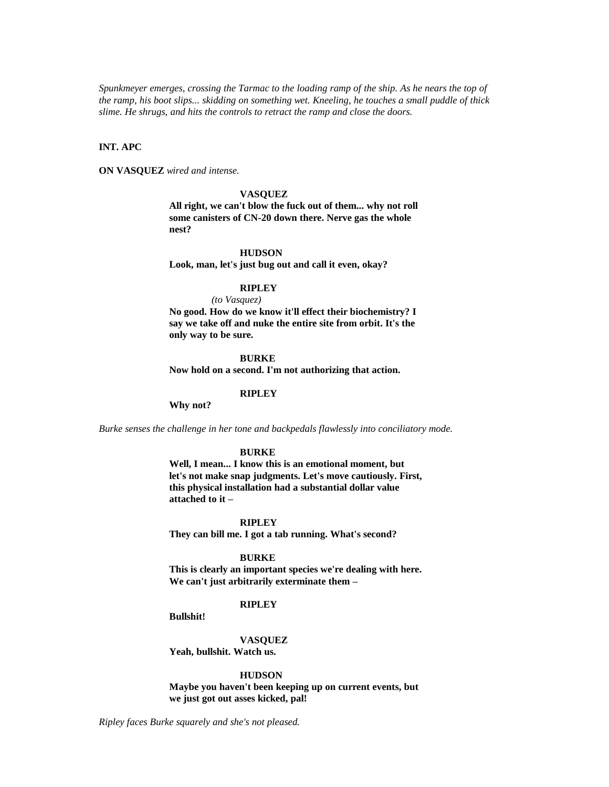*Spunkmeyer emerges, crossing the Tarmac to the loading ramp of the ship. As he nears the top of the ramp, his boot slips... skidding on something wet. Kneeling, he touches a small puddle of thick slime. He shrugs, and hits the controls to retract the ramp and close the doors.*

## **INT. APC**

**ON VASQUEZ** *wired and intense.*

#### **VASQUEZ**

**All right, we can't blow the fuck out of them... why not roll some canisters of CN-20 down there. Nerve gas the whole nest?**

### **HUDSON**

**Look, man, let's just bug out and call it even, okay?**

#### **RIPLEY**

*(to Vasquez)*

**No good. How do we know it'll effect their biochemistry? I say we take off and nuke the entire site from orbit. It's the only way to be sure.**

#### **BURKE**

**Now hold on a second. I'm not authorizing that action.**

## **RIPLEY**

**Why not?**

*Burke senses the challenge in her tone and backpedals flawlessly into conciliatory mode.*

#### **BURKE**

**Well, I mean... I know this is an emotional moment, but let's not make snap judgments. Let's move cautiously. First, this physical installation had a substantial dollar value attached to it –**

#### **RIPLEY**

**They can bill me. I got a tab running. What's second?**

#### **BURKE**

**This is clearly an important species we're dealing with here. We can't just arbitrarily exterminate them –**

### **RIPLEY**

**Bullshit!**

**VASQUEZ Yeah, bullshit. Watch us.**

**HUDSON**

**Maybe you haven't been keeping up on current events, but we just got out asses kicked, pal!**

*Ripley faces Burke squarely and she's not pleased.*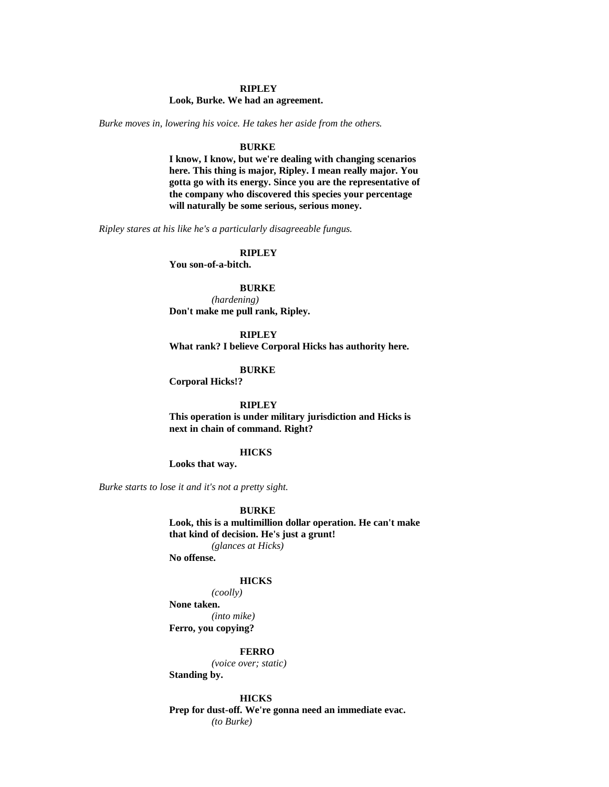### **RIPLEY**

#### **Look, Burke. We had an agreement.**

*Burke moves in, lowering his voice. He takes her aside from the others.*

#### **BURKE**

**I know, I know, but we're dealing with changing scenarios here. This thing is major, Ripley. I mean really major. You gotta go with its energy. Since you are the representative of the company who discovered this species your percentage will naturally be some serious, serious money.**

*Ripley stares at his like he's a particularly disagreeable fungus.*

## **RIPLEY**

**You son-of-a-bitch.**

#### **BURKE**

*(hardening)* **Don't make me pull rank, Ripley.**

**RIPLEY What rank? I believe Corporal Hicks has authority here.**

#### **BURKE**

**Corporal Hicks!?**

## **RIPLEY**

**This operation is under military jurisdiction and Hicks is next in chain of command. Right?**

#### **HICKS**

**Looks that way.**

*Burke starts to lose it and it's not a pretty sight.*

#### **BURKE**

**Look, this is a multimillion dollar operation. He can't make that kind of decision. He's just a grunt!** *(glances at Hicks)*

**No offense.**

#### **HICKS**

*(coolly)* **None taken.** *(into mike)* **Ferro, you copying?**

### **FERRO**

*(voice over; static)*

**Standing by.**

### **HICKS**

**Prep for dust-off. We're gonna need an immediate evac.** *(to Burke)*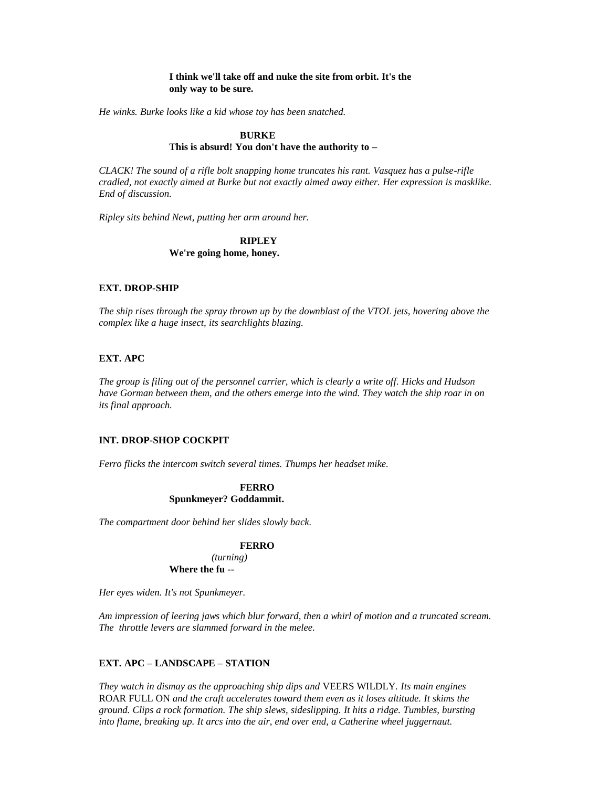## **I think we'll take off and nuke the site from orbit. It's the only way to be sure.**

*He winks. Burke looks like a kid whose toy has been snatched.*

### **BURKE**

## **This is absurd! You don't have the authority to –**

*CLACK! The sound of a rifle bolt snapping home truncates his rant. Vasquez has a pulse-rifle cradled, not exactly aimed at Burke but not exactly aimed away either. Her expression is masklike. End of discussion.*

*Ripley sits behind Newt, putting her arm around her.*

### **RIPLEY**

**We're going home, honey.**

## **EXT. DROP-SHIP**

*The ship rises through the spray thrown up by the downblast of the VTOL jets, hovering above the complex like a huge insect, its searchlights blazing.*

## **EXT. APC**

*The group is filing out of the personnel carrier, which is clearly a write off. Hicks and Hudson have Gorman between them, and the others emerge into the wind. They watch the ship roar in on its final approach.*

### **INT. DROP-SHOP COCKPIT**

*Ferro flicks the intercom switch several times. Thumps her headset mike.*

### **FERRO Spunkmeyer? Goddammit.**

*The compartment door behind her slides slowly back.*

### **FERRO**

*(turning)* **Where the fu --**

*Her eyes widen. It's not Spunkmeyer.*

*Am impression of leering jaws which blur forward, then a whirl of motion and a truncated scream. The throttle levers are slammed forward in the melee.*

## **EXT. APC – LANDSCAPE – STATION**

*They watch in dismay as the approaching ship dips and* VEERS WILDLY*. Its main engines*  ROAR FULL ON *and the craft accelerates toward them even as it loses altitude. It skims the ground. Clips a rock formation. The ship slews, sideslipping. It hits a ridge. Tumbles, bursting into flame, breaking up. It arcs into the air, end over end, a Catherine wheel juggernaut.*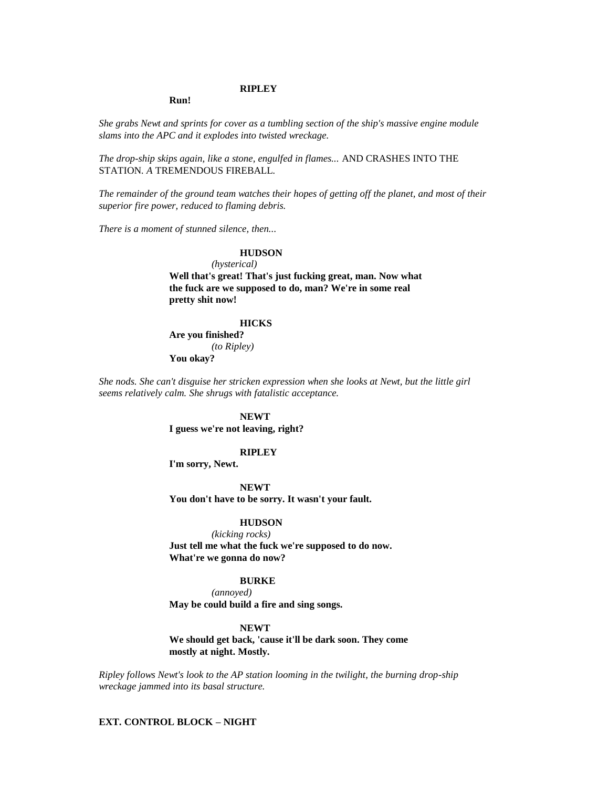### **RIPLEY**

**Run!**

*She grabs Newt and sprints for cover as a tumbling section of the ship's massive engine module slams into the APC and it explodes into twisted wreckage.*

*The drop-ship skips again, like a stone, engulfed in flames...* AND CRASHES INTO THE STATION*. A* TREMENDOUS FIREBALL*.*

*The remainder of the ground team watches their hopes of getting off the planet, and most of their superior fire power, reduced to flaming debris.*

*There is a moment of stunned silence, then...* 

## **HUDSON**

*(hysterical)*

**Well that's great! That's just fucking great, man. Now what the fuck are we supposed to do, man? We're in some real pretty shit now!**

### **HICKS**

**Are you finished?** *(to Ripley)* **You okay?**

*She nods. She can't disguise her stricken expression when she looks at Newt, but the little girl seems relatively calm. She shrugs with fatalistic acceptance.*

#### **NEWT**

**I guess we're not leaving, right?**

#### **RIPLEY**

**I'm sorry, Newt.**

**NEWT You don't have to be sorry. It wasn't your fault.**

#### **HUDSON**

*(kicking rocks)* **Just tell me what the fuck we're supposed to do now. What're we gonna do now?**

### **BURKE**

*(annoyed)*

**May be could build a fire and sing songs.**

### **NEWT**

**We should get back, 'cause it'll be dark soon. They come mostly at night. Mostly.**

*Ripley follows Newt's look to the AP station looming in the twilight, the burning drop-ship wreckage jammed into its basal structure.*

### **EXT. CONTROL BLOCK – NIGHT**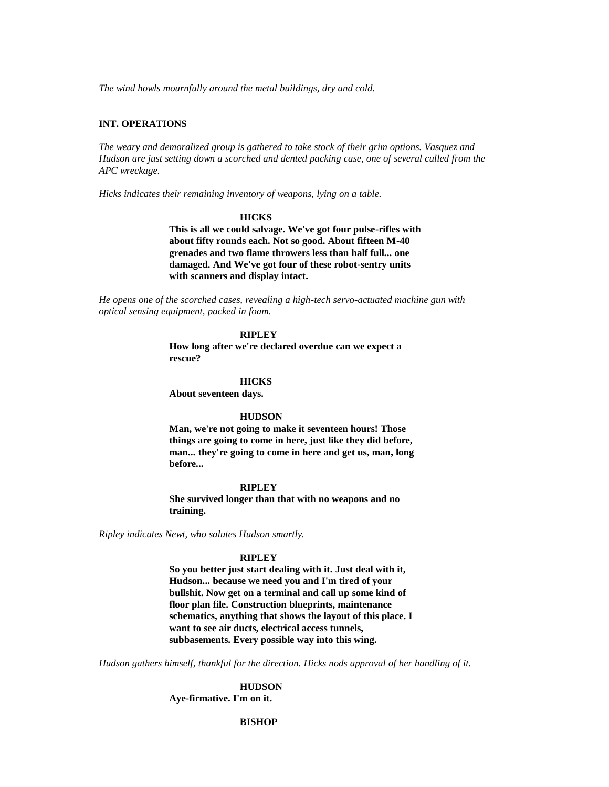*The wind howls mournfully around the metal buildings, dry and cold.*

### **INT. OPERATIONS**

*The weary and demoralized group is gathered to take stock of their grim options. Vasquez and Hudson are just setting down a scorched and dented packing case, one of several culled from the APC wreckage.*

*Hicks indicates their remaining inventory of weapons, lying on a table.*

#### **HICKS**

**This is all we could salvage. We've got four pulse-rifles with about fifty rounds each. Not so good. About fifteen M-40 grenades and two flame throwers less than half full... one damaged. And We've got four of these robot-sentry units with scanners and display intact.**

*He opens one of the scorched cases, revealing a high-tech servo-actuated machine gun with optical sensing equipment, packed in foam.*

### **RIPLEY**

**How long after we're declared overdue can we expect a rescue?**

#### **HICKS**

**About seventeen days.**

#### **HUDSON**

**Man, we're not going to make it seventeen hours! Those things are going to come in here, just like they did before, man... they're going to come in here and get us, man, long before...** 

#### **RIPLEY**

**She survived longer than that with no weapons and no training.**

*Ripley indicates Newt, who salutes Hudson smartly.*

#### **RIPLEY**

**So you better just start dealing with it. Just deal with it, Hudson... because we need you and I'm tired of your bullshit. Now get on a terminal and call up some kind of floor plan file. Construction blueprints, maintenance schematics, anything that shows the layout of this place. I want to see air ducts, electrical access tunnels, subbasements. Every possible way into this wing.**

*Hudson gathers himself, thankful for the direction. Hicks nods approval of her handling of it.*

**HUDSON Aye-firmative. I'm on it.**

### **BISHOP**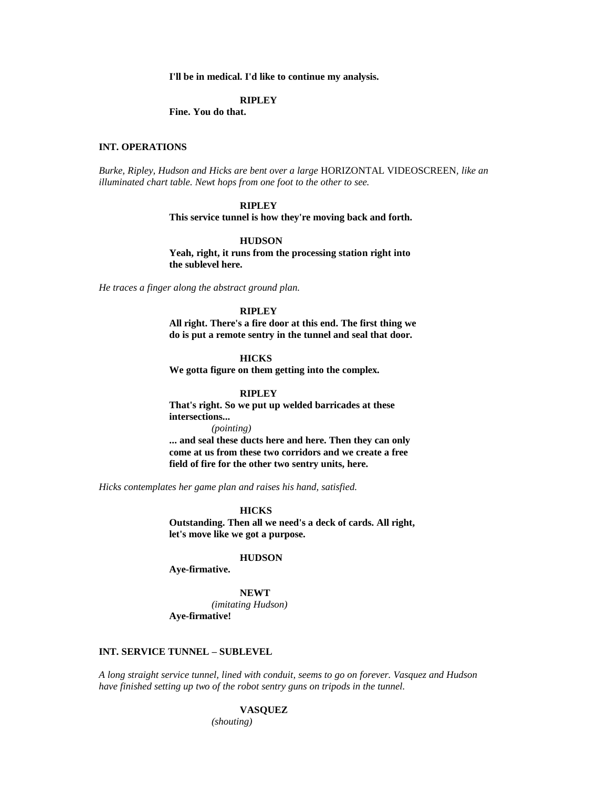**I'll be in medical. I'd like to continue my analysis.**

#### **RIPLEY**

**Fine. You do that.**

### **INT. OPERATIONS**

*Burke, Ripley, Hudson and Hicks are bent over a large* HORIZONTAL VIDEOSCREEN*, like an illuminated chart table. Newt hops from one foot to the other to see.*

### **RIPLEY**

**This service tunnel is how they're moving back and forth.**

### **HUDSON**

**Yeah, right, it runs from the processing station right into the sublevel here.**

*He traces a finger along the abstract ground plan.*

## **RIPLEY**

**All right. There's a fire door at this end. The first thing we do is put a remote sentry in the tunnel and seal that door.**

#### **HICKS**

**We gotta figure on them getting into the complex.**

#### **RIPLEY**

**That's right. So we put up welded barricades at these intersections...**  *(pointing)* **... and seal these ducts here and here. Then they can only come at us from these two corridors and we create a free** 

**field of fire for the other two sentry units, here.**

*Hicks contemplates her game plan and raises his hand, satisfied.*

**HICKS**

**Outstanding. Then all we need's a deck of cards. All right, let's move like we got a purpose.**

## **HUDSON**

**Aye-firmative.**

#### **NEWT**

*(imitating Hudson)* **Aye-firmative!**

### **INT. SERVICE TUNNEL – SUBLEVEL**

*A long straight service tunnel, lined with conduit, seems to go on forever. Vasquez and Hudson have finished setting up two of the robot sentry guns on tripods in the tunnel.*

#### **VASQUEZ**

*(shouting)*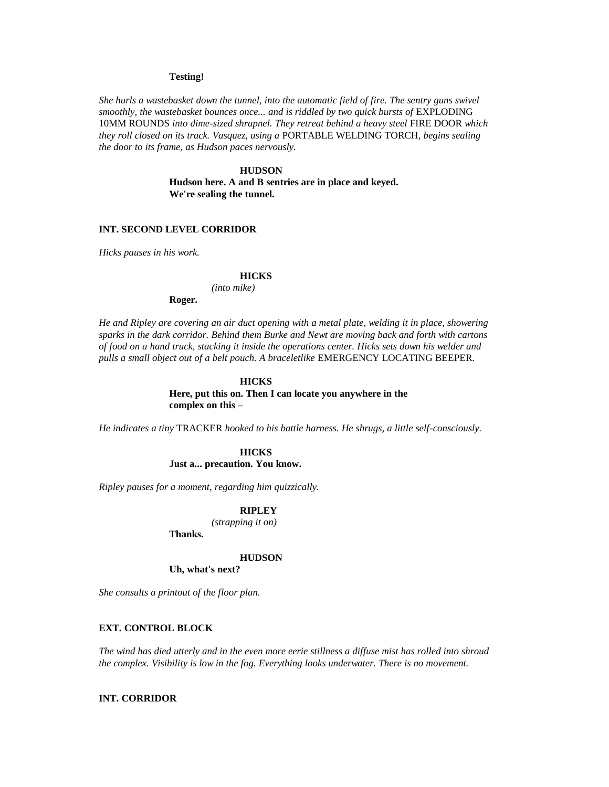## **Testing!**

*She hurls a wastebasket down the tunnel, into the automatic field of fire. The sentry guns swivel smoothly, the wastebasket bounces once... and is riddled by two quick bursts of EXPLODING* 10MM ROUNDS *into dime-sized shrapnel. They retreat behind a heavy steel* FIRE DOOR *which they roll closed on its track. Vasquez, using a* PORTABLE WELDING TORCH*, begins sealing the door to its frame, as Hudson paces nervously.*

> **HUDSON Hudson here. A and B sentries are in place and keyed. We're sealing the tunnel.**

## **INT. SECOND LEVEL CORRIDOR**

*Hicks pauses in his work.*

#### **HICKS**

*(into mike)*

**Roger.**

*He and Ripley are covering an air duct opening with a metal plate, welding it in place, showering sparks in the dark corridor. Behind them Burke and Newt are moving back and forth with cartons of food on a hand truck, stacking it inside the operations center. Hicks sets down his welder and pulls a small object out of a belt pouch. A braceletlike* EMERGENCY LOCATING BEEPER*.*

## **HICKS Here, put this on. Then I can locate you anywhere in the complex on this –**

*He indicates a tiny* TRACKER *hooked to his battle harness. He shrugs, a little self-consciously.*

### **HICKS Just a... precaution. You know.**

*Ripley pauses for a moment, regarding him quizzically.*

### **RIPLEY**

*(strapping it on)*

**Thanks.**

# **HUDSON**

**Uh, what's next?**

*She consults a printout of the floor plan.*

## **EXT. CONTROL BLOCK**

*The wind has died utterly and in the even more eerie stillness a diffuse mist has rolled into shroud the complex. Visibility is low in the fog. Everything looks underwater. There is no movement.*

### **INT. CORRIDOR**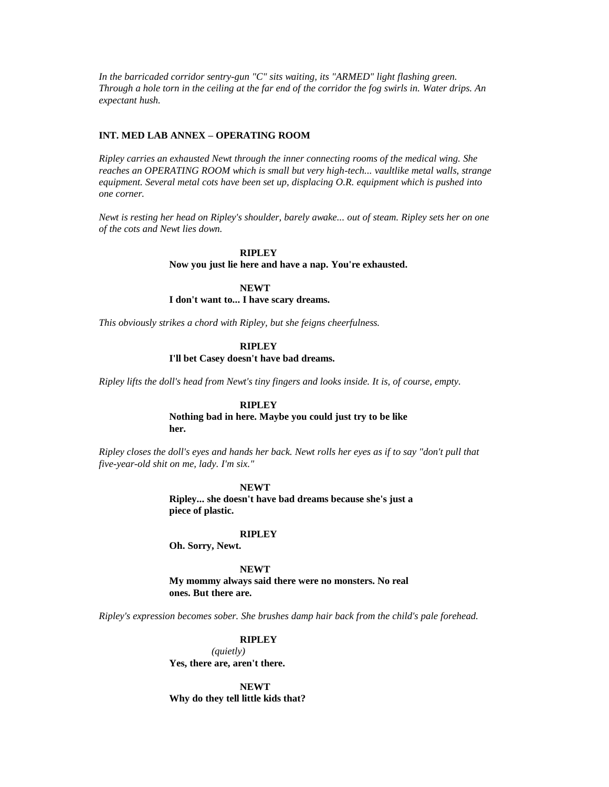*In the barricaded corridor sentry-gun "C" sits waiting, its "ARMED" light flashing green. Through a hole torn in the ceiling at the far end of the corridor the fog swirls in. Water drips. An expectant hush.*

## **INT. MED LAB ANNEX – OPERATING ROOM**

*Ripley carries an exhausted Newt through the inner connecting rooms of the medical wing. She reaches an OPERATING ROOM which is small but very high-tech... vaultlike metal walls, strange equipment. Several metal cots have been set up, displacing O.R. equipment which is pushed into one corner.*

*Newt is resting her head on Ripley's shoulder, barely awake... out of steam. Ripley sets her on one of the cots and Newt lies down.*

> **RIPLEY Now you just lie here and have a nap. You're exhausted.**

**NEWT I don't want to... I have scary dreams.**

*This obviously strikes a chord with Ripley, but she feigns cheerfulness.*

### **RIPLEY**

**I'll bet Casey doesn't have bad dreams.**

*Ripley lifts the doll's head from Newt's tiny fingers and looks inside. It is, of course, empty.*

## **RIPLEY**

**Nothing bad in here. Maybe you could just try to be like her.**

*Ripley closes the doll's eyes and hands her back. Newt rolls her eyes as if to say "don't pull that five-year-old shit on me, lady. I'm six."*

#### **NEWT**

**Ripley... she doesn't have bad dreams because she's just a piece of plastic.**

#### **RIPLEY**

**Oh. Sorry, Newt.**

**NEWT**

**My mommy always said there were no monsters. No real ones. But there are.**

*Ripley's expression becomes sober. She brushes damp hair back from the child's pale forehead.*

**RIPLEY**

*(quietly)* **Yes, there are, aren't there.**

**NEWT Why do they tell little kids that?**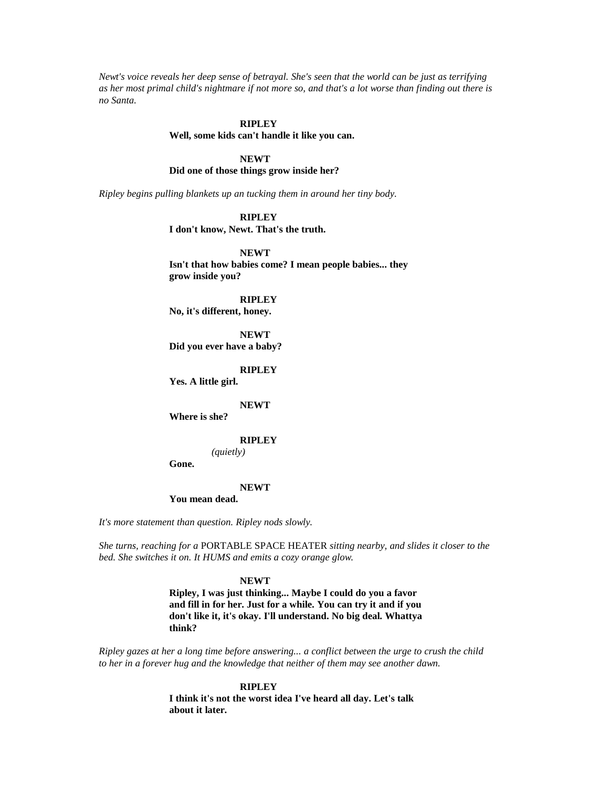*Newt's voice reveals her deep sense of betrayal. She's seen that the world can be just as terrifying as her most primal child's nightmare if not more so, and that's a lot worse than finding out there is no Santa.*

### **RIPLEY**

#### **Well, some kids can't handle it like you can.**

## **NEWT**

**Did one of those things grow inside her?**

*Ripley begins pulling blankets up an tucking them in around her tiny body.*

**RIPLEY**

**I don't know, Newt. That's the truth.**

**NEWT Isn't that how babies come? I mean people babies... they grow inside you?**

**RIPLEY**

**No, it's different, honey.**

**NEWT Did you ever have a baby?**

**RIPLEY**

**Yes. A little girl.**

#### **NEWT**

**Where is she?**

#### **RIPLEY**

*(quietly)*

**Gone.**

#### **NEWT**

## **You mean dead.**

*It's more statement than question. Ripley nods slowly.*

*She turns, reaching for a* PORTABLE SPACE HEATER *sitting nearby, and slides it closer to the bed. She switches it on. It HUMS and emits a cozy orange glow.*

#### **NEWT**

**Ripley, I was just thinking... Maybe I could do you a favor and fill in for her. Just for a while. You can try it and if you don't like it, it's okay. I'll understand. No big deal. Whattya think?** 

*Ripley gazes at her a long time before answering... a conflict between the urge to crush the child to her in a forever hug and the knowledge that neither of them may see another dawn.*

#### **RIPLEY**

**I think it's not the worst idea I've heard all day. Let's talk about it later.**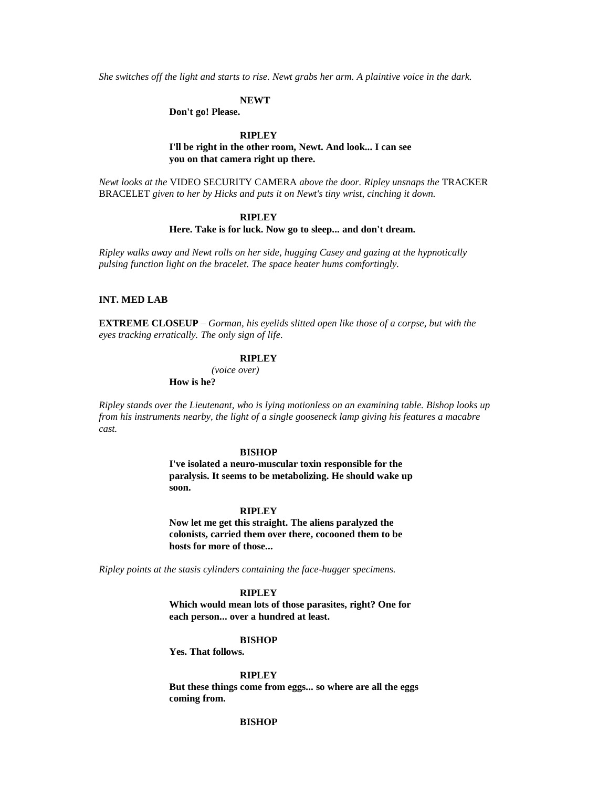*She switches off the light and starts to rise. Newt grabs her arm. A plaintive voice in the dark.*

#### **NEWT**

**Don't go! Please.**

### **RIPLEY**

## **I'll be right in the other room, Newt. And look... I can see you on that camera right up there.**

*Newt looks at the* VIDEO SECURITY CAMERA *above the door. Ripley unsnaps the* TRACKER BRACELET *given to her by Hicks and puts it on Newt's tiny wrist, cinching it down.*

### **RIPLEY**

## **Here. Take is for luck. Now go to sleep... and don't dream.**

*Ripley walks away and Newt rolls on her side, hugging Casey and gazing at the hypnotically pulsing function light on the bracelet. The space heater hums comfortingly.*

#### **INT. MED LAB**

**EXTREME CLOSEUP** – *Gorman, his eyelids slitted open like those of a corpse, but with the eyes tracking erratically. The only sign of life.*

### **RIPLEY**

*(voice over)*

**How is he?**

*Ripley stands over the Lieutenant, who is lying motionless on an examining table. Bishop looks up from his instruments nearby, the light of a single gooseneck lamp giving his features a macabre cast.*

#### **BISHOP**

**I've isolated a neuro-muscular toxin responsible for the paralysis. It seems to be metabolizing. He should wake up soon.**

#### **RIPLEY**

**Now let me get this straight. The aliens paralyzed the colonists, carried them over there, cocooned them to be hosts for more of those...** 

*Ripley points at the stasis cylinders containing the face-hugger specimens.*

### **RIPLEY**

**Which would mean lots of those parasites, right? One for each person... over a hundred at least.**

#### **BISHOP**

**Yes. That follows.**

**RIPLEY**

**But these things come from eggs... so where are all the eggs coming from.**

### **BISHOP**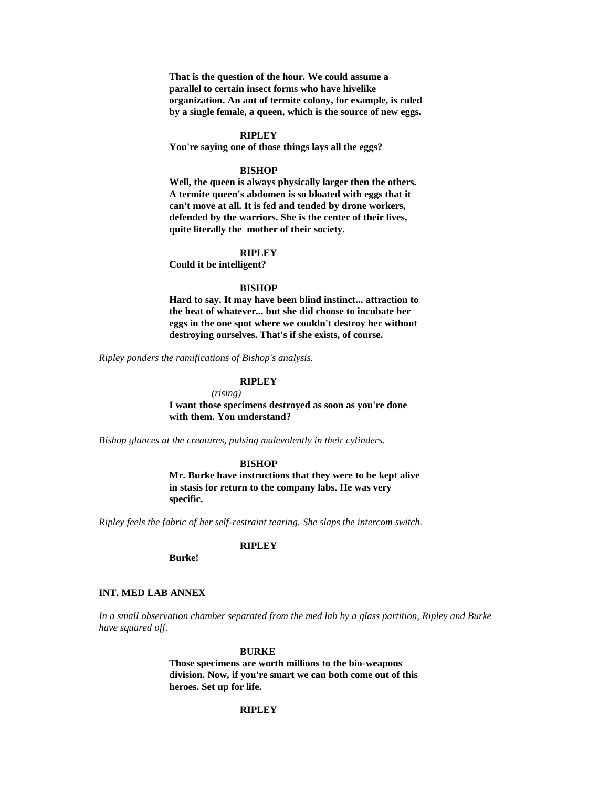**That is the question of the hour. We could assume a parallel to certain insect forms who have hivelike organization. An ant of termite colony, for example, is ruled by a single female, a queen, which is the source of new eggs.**

#### **RIPLEY**

**You're saying one of those things lays all the eggs?**

#### **BISHOP**

**Well, the queen is always physically larger then the others. A termite queen's abdomen is so bloated with eggs that it can't move at all. It is fed and tended by drone workers, defended by the warriors. She is the center of their lives, quite literally the mother of their society.**

## **RIPLEY**

**Could it be intelligent?**

#### **BISHOP**

**Hard to say. It may have been blind instinct... attraction to the heat of whatever... but she did choose to incubate her eggs in the one spot where we couldn't destroy her without destroying ourselves. That's if she exists, of course.**

*Ripley ponders the ramifications of Bishop's analysis.*

## **RIPLEY**

*(rising)* **I want those specimens destroyed as soon as you're done with them. You understand?**

*Bishop glances at the creatures, pulsing malevolently in their cylinders.*

### **BISHOP**

**Mr. Burke have instructions that they were to be kept alive in stasis for return to the company labs. He was very specific.**

*Ripley feels the fabric of her self-restraint tearing. She slaps the intercom switch.*

## **RIPLEY**

**Burke!**

#### **INT. MED LAB ANNEX**

*In a small observation chamber separated from the med lab by a glass partition, Ripley and Burke have squared off.*

#### **BURKE**

**Those specimens are worth millions to the bio-weapons division. Now, if you're smart we can both come out of this heroes. Set up for life.**

### **RIPLEY**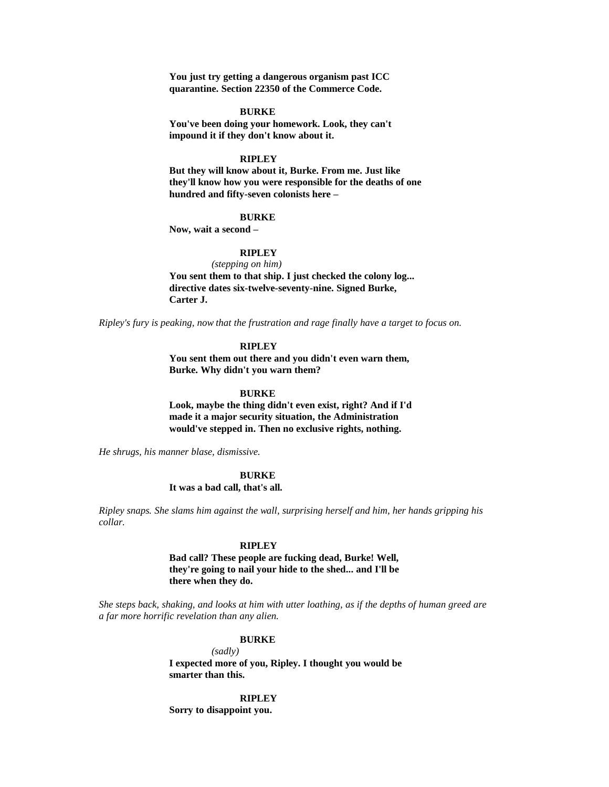**You just try getting a dangerous organism past ICC quarantine. Section 22350 of the Commerce Code.**

#### **BURKE**

**You've been doing your homework. Look, they can't impound it if they don't know about it.**

## **RIPLEY**

**But they will know about it, Burke. From me. Just like they'll know how you were responsible for the deaths of one hundred and fifty-seven colonists here –**

#### **BURKE**

**Now, wait a second –**

## **RIPLEY**

*(stepping on him)*

**You sent them to that ship. I just checked the colony log... directive dates six-twelve-seventy-nine. Signed Burke, Carter J.**

*Ripley's fury is peaking, now that the frustration and rage finally have a target to focus on.*

### **RIPLEY**

**You sent them out there and you didn't even warn them, Burke. Why didn't you warn them?**

**BURKE**

**Look, maybe the thing didn't even exist, right? And if I'd made it a major security situation, the Administration would've stepped in. Then no exclusive rights, nothing.**

*He shrugs, his manner blase, dismissive.*

### **BURKE**

**It was a bad call, that's all.**

*Ripley snaps. She slams him against the wall, surprising herself and him, her hands gripping his collar.*

#### **RIPLEY**

**Bad call? These people are fucking dead, Burke! Well, they're going to nail your hide to the shed... and I'll be there when they do.**

*She steps back, shaking, and looks at him with utter loathing, as if the depths of human greed are a far more horrific revelation than any alien.*

#### **BURKE**

*(sadly)* **I expected more of you, Ripley. I thought you would be smarter than this.**

**RIPLEY**

**Sorry to disappoint you.**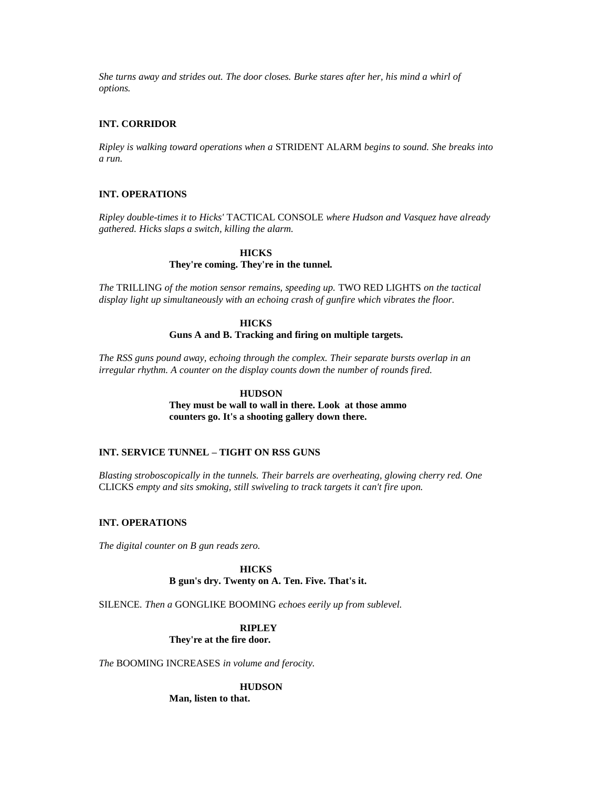*She turns away and strides out. The door closes. Burke stares after her, his mind a whirl of options.*

## **INT. CORRIDOR**

*Ripley is walking toward operations when a* STRIDENT ALARM *begins to sound. She breaks into a run.*

## **INT. OPERATIONS**

*Ripley double-times it to Hicks'* TACTICAL CONSOLE *where Hudson and Vasquez have already gathered. Hicks slaps a switch, killing the alarm.*

# **HICKS They're coming. They're in the tunnel.**

*The* TRILLING *of the motion sensor remains, speeding up.* TWO RED LIGHTS *on the tactical display light up simultaneously with an echoing crash of gunfire which vibrates the floor.*

## **HICKS**

### **Guns A and B. Tracking and firing on multiple targets.**

*The RSS guns pound away, echoing through the complex. Their separate bursts overlap in an irregular rhythm. A counter on the display counts down the number of rounds fired.*

## **HUDSON**

**They must be wall to wall in there. Look at those ammo counters go. It's a shooting gallery down there.**

## **INT. SERVICE TUNNEL – TIGHT ON RSS GUNS**

*Blasting stroboscopically in the tunnels. Their barrels are overheating, glowing cherry red. One*  CLICKS *empty and sits smoking, still swiveling to track targets it can't fire upon.*

## **INT. OPERATIONS**

*The digital counter on B gun reads zero.*

# **HICKS**

# **B gun's dry. Twenty on A. Ten. Five. That's it.**

SILENCE*. Then a* GONGLIKE BOOMING *echoes eerily up from sublevel.*

## **RIPLEY**

**They're at the fire door.**

*The* BOOMING INCREASES *in volume and ferocity.*

**HUDSON**

**Man, listen to that.**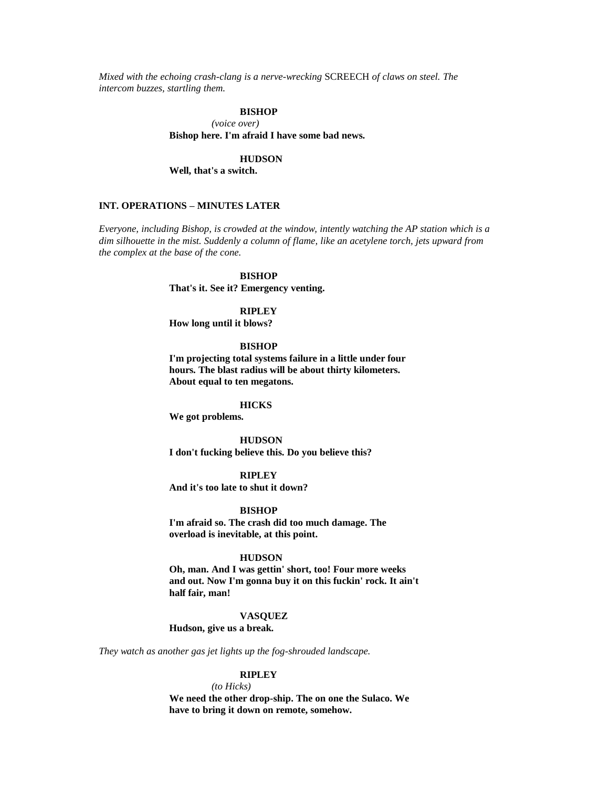*Mixed with the echoing crash-clang is a nerve-wrecking* SCREECH *of claws on steel. The intercom buzzes, startling them.*

### **BISHOP**

*(voice over)* **Bishop here. I'm afraid I have some bad news.**

### **HUDSON**

**Well, that's a switch.**

### **INT. OPERATIONS – MINUTES LATER**

*Everyone, including Bishop, is crowded at the window, intently watching the AP station which is a dim silhouette in the mist. Suddenly a column of flame, like an acetylene torch, jets upward from the complex at the base of the cone.*

### **BISHOP**

**That's it. See it? Emergency venting.**

**RIPLEY**

**How long until it blows?**

#### **BISHOP**

**I'm projecting total systems failure in a little under four hours. The blast radius will be about thirty kilometers. About equal to ten megatons.**

### **HICKS**

**We got problems.**

#### **HUDSON**

**I don't fucking believe this. Do you believe this?**

#### **RIPLEY**

**And it's too late to shut it down?**

**BISHOP**

**I'm afraid so. The crash did too much damage. The overload is inevitable, at this point.**

#### **HUDSON**

**Oh, man. And I was gettin' short, too! Four more weeks and out. Now I'm gonna buy it on this fuckin' rock. It ain't half fair, man!**

#### **VASQUEZ**

**Hudson, give us a break.**

*They watch as another gas jet lights up the fog-shrouded landscape.*

## **RIPLEY**

*(to Hicks)* **We need the other drop-ship. The on one the Sulaco. We have to bring it down on remote, somehow.**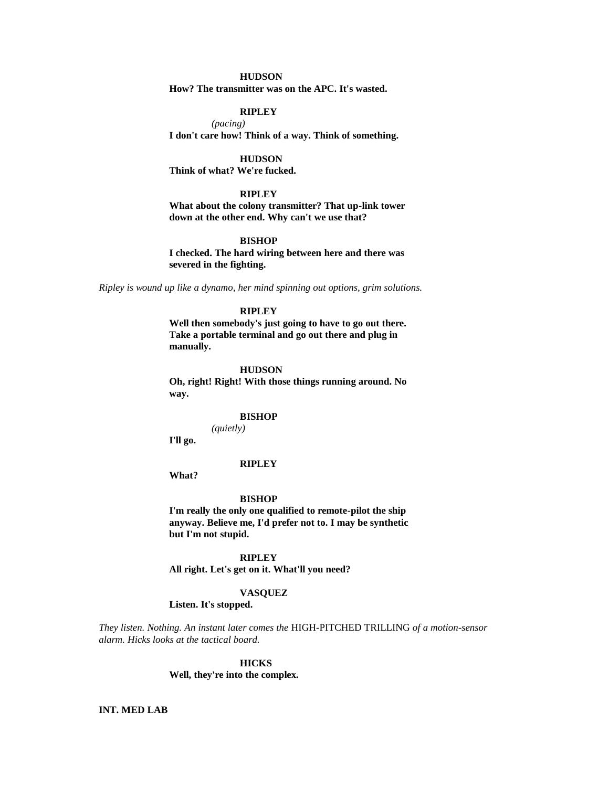## **HUDSON**

**How? The transmitter was on the APC. It's wasted.**

### **RIPLEY**

*(pacing)* **I don't care how! Think of a way. Think of something.**

**HUDSON**

**Think of what? We're fucked.**

#### **RIPLEY**

**What about the colony transmitter? That up-link tower down at the other end. Why can't we use that?**

#### **BISHOP**

**I checked. The hard wiring between here and there was severed in the fighting.**

*Ripley is wound up like a dynamo, her mind spinning out options, grim solutions.*

## **RIPLEY**

**Well then somebody's just going to have to go out there. Take a portable terminal and go out there and plug in manually.**

#### **HUDSON**

**Oh, right! Right! With those things running around. No way.**

#### **BISHOP**

*(quietly)*

**I'll go.**

#### **RIPLEY**

**What?**

#### **BISHOP**

**I'm really the only one qualified to remote-pilot the ship anyway. Believe me, I'd prefer not to. I may be synthetic but I'm not stupid.**

**RIPLEY All right. Let's get on it. What'll you need?**

#### **VASQUEZ**

## **Listen. It's stopped.**

*They listen. Nothing. An instant later comes the* HIGH-PITCHED TRILLING *of a motion-sensor alarm. Hicks looks at the tactical board.*

#### **HICKS**

**Well, they're into the complex.**

### **INT. MED LAB**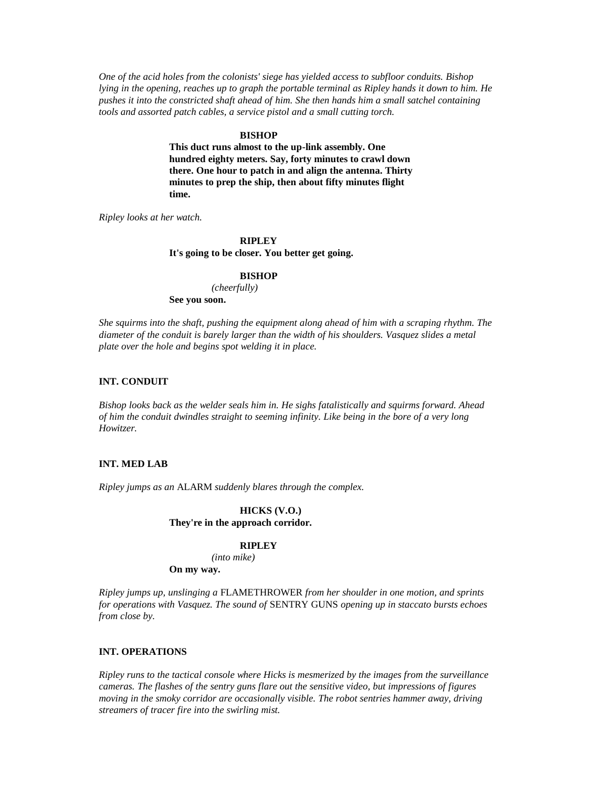*One of the acid holes from the colonists' siege has yielded access to subfloor conduits. Bishop lying in the opening, reaches up to graph the portable terminal as Ripley hands it down to him. He pushes it into the constricted shaft ahead of him. She then hands him a small satchel containing tools and assorted patch cables, a service pistol and a small cutting torch.*

#### **BISHOP**

**This duct runs almost to the up-link assembly. One hundred eighty meters. Say, forty minutes to crawl down there. One hour to patch in and align the antenna. Thirty minutes to prep the ship, then about fifty minutes flight time.** 

*Ripley looks at her watch.*

### **RIPLEY**

**It's going to be closer. You better get going.**

#### **BISHOP**

*(cheerfully)* **See you soon.**

*She squirms into the shaft, pushing the equipment along ahead of him with a scraping rhythm. The diameter of the conduit is barely larger than the width of his shoulders. Vasquez slides a metal plate over the hole and begins spot welding it in place.*

### **INT. CONDUIT**

*Bishop looks back as the welder seals him in. He sighs fatalistically and squirms forward. Ahead of him the conduit dwindles straight to seeming infinity. Like being in the bore of a very long Howitzer.*

#### **INT. MED LAB**

*Ripley jumps as an* ALARM *suddenly blares through the complex.*

#### **HICKS (V.O.) They're in the approach corridor.**

### **RIPLEY**

*(into mike)*

**On my way.**

*Ripley jumps up, unslinging a* FLAMETHROWER *from her shoulder in one motion, and sprints for operations with Vasquez. The sound of* SENTRY GUNS *opening up in staccato bursts echoes from close by.*

## **INT. OPERATIONS**

*Ripley runs to the tactical console where Hicks is mesmerized by the images from the surveillance cameras. The flashes of the sentry guns flare out the sensitive video, but impressions of figures moving in the smoky corridor are occasionally visible. The robot sentries hammer away, driving streamers of tracer fire into the swirling mist.*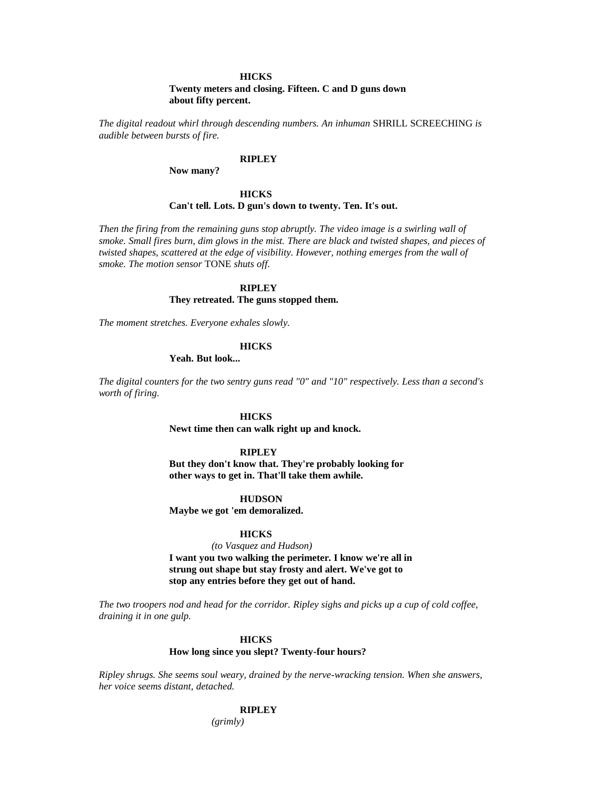### **HICKS**

**Twenty meters and closing. Fifteen. C and D guns down about fifty percent.**

*The digital readout whirl through descending numbers. An inhuman* SHRILL SCREECHING *is audible between bursts of fire.*

# **RIPLEY**

**Now many?**

# **HICKS Can't tell. Lots. D gun's down to twenty. Ten. It's out.**

*Then the firing from the remaining guns stop abruptly. The video image is a swirling wall of smoke. Small fires burn, dim glows in the mist. There are black and twisted shapes, and pieces of twisted shapes, scattered at the edge of visibility. However, nothing emerges from the wall of smoke. The motion sensor* TONE *shuts off.*

### **RIPLEY**

#### **They retreated. The guns stopped them.**

*The moment stretches. Everyone exhales slowly.*

#### **HICKS**

**Yeah. But look...** 

*The digital counters for the two sentry guns read "0" and "10" respectively. Less than a second's worth of firing.*

#### **HICKS**

**Newt time then can walk right up and knock.**

#### **RIPLEY**

**But they don't know that. They're probably looking for other ways to get in. That'll take them awhile.**

#### **HUDSON**

**Maybe we got 'em demoralized.**

### **HICKS**

*(to Vasquez and Hudson)* **I want you two walking the perimeter. I know we're all in strung out shape but stay frosty and alert. We've got to stop any entries before they get out of hand.**

*The two troopers nod and head for the corridor. Ripley sighs and picks up a cup of cold coffee, draining it in one gulp.*

#### **HICKS**

# **How long since you slept? Twenty-four hours?**

*Ripley shrugs. She seems soul weary, drained by the nerve-wracking tension. When she answers, her voice seems distant, detached.*

### **RIPLEY**

*(grimly)*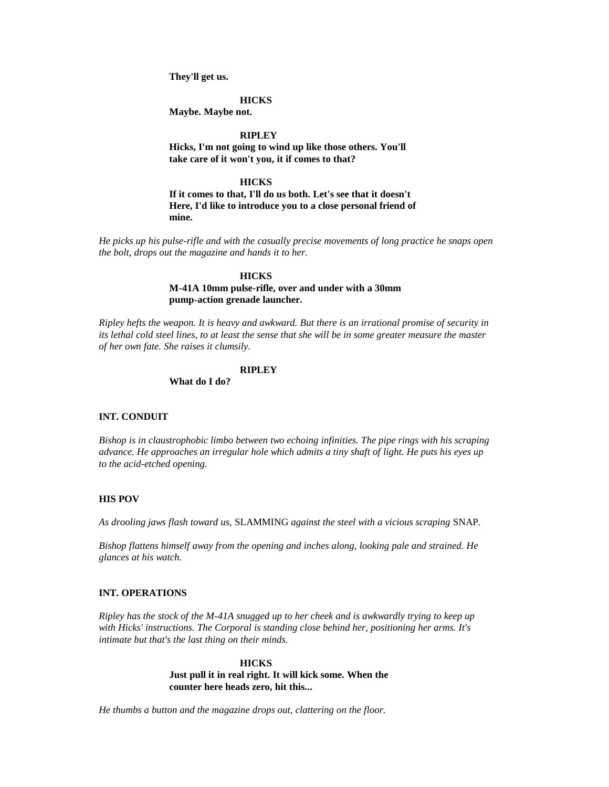**They'll get us.**

**HICKS**

**Maybe. Maybe not.**

**RIPLEY**

**Hicks, I'm not going to wind up like those others. You'll take care of it won't you, it if comes to that?**

**HICKS**

**If it comes to that, I'll do us both. Let's see that it doesn't Here, I'd like to introduce you to a close personal friend of mine.**

*He picks up his pulse-rifle and with the casually precise movements of long practice he snaps open the bolt, drops out the magazine and hands it to her.*

### **HICKS**

**M-41A 10mm pulse-rifle, over and under with a 30mm pump-action grenade launcher.**

*Ripley hefts the weapon. It is heavy and awkward. But there is an irrational promise of security in its lethal cold steel lines, to at least the sense that she will be in some greater measure the master of her own fate. She raises it clumsily.*

### **RIPLEY**

**What do I do?**

### **INT. CONDUIT**

*Bishop is in claustrophobic limbo between two echoing infinities. The pipe rings with his scraping advance. He approaches an irregular hole which admits a tiny shaft of light. He puts his eyes up to the acid-etched opening.*

### **HIS POV**

*As drooling jaws flash toward us,* SLAMMING *against the steel with a vicious scraping* SNAP*.*

*Bishop flattens himself away from the opening and inches along, looking pale and strained. He glances at his watch.*

### **INT. OPERATIONS**

*Ripley has the stock of the M-41A snugged up to her cheek and is awkwardly trying to keep up with Hicks' instructions. The Corporal is standing close behind her, positioning her arms. It's intimate but that's the last thing on their minds.*

> **HICKS Just pull it in real right. It will kick some. When the counter here heads zero, hit this...**

*He thumbs a button and the magazine drops out, clattering on the floor.*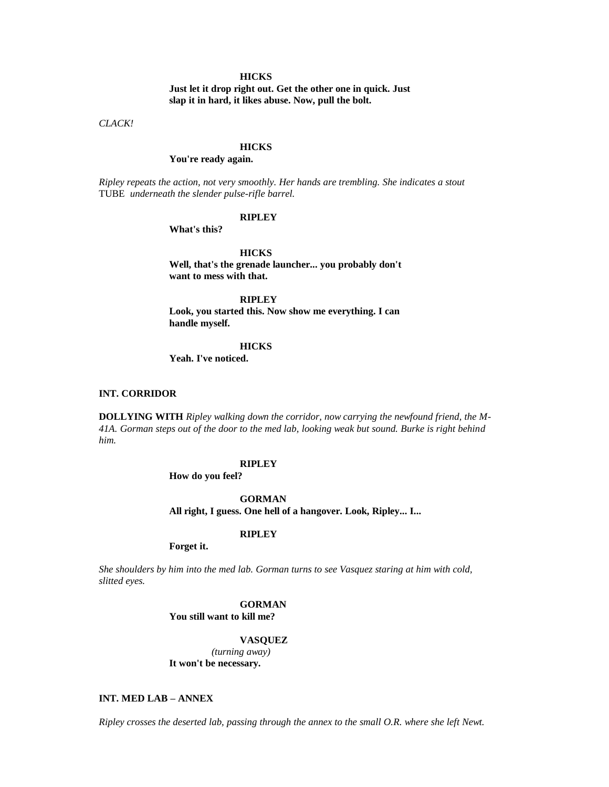### **HICKS**

**Just let it drop right out. Get the other one in quick. Just slap it in hard, it likes abuse. Now, pull the bolt.**

*CLACK!*

### **HICKS**

# **You're ready again.**

*Ripley repeats the action, not very smoothly. Her hands are trembling. She indicates a stout*  TUBE *underneath the slender pulse-rifle barrel.*

#### **RIPLEY**

**What's this?**

**HICKS Well, that's the grenade launcher... you probably don't want to mess with that.**

**RIPLEY Look, you started this. Now show me everything. I can handle myself.**

#### **HICKS**

**Yeah. I've noticed.**

#### **INT. CORRIDOR**

**DOLLYING WITH** *Ripley walking down the corridor, now carrying the newfound friend, the M-41A. Gorman steps out of the door to the med lab, looking weak but sound. Burke is right behind him.*

### **RIPLEY**

**How do you feel?**

**GORMAN**

**All right, I guess. One hell of a hangover. Look, Ripley... I...** 

### **RIPLEY**

**Forget it.**

*She shoulders by him into the med lab. Gorman turns to see Vasquez staring at him with cold, slitted eyes.*

# **GORMAN**

**You still want to kill me?**

### **VASQUEZ**

*(turning away)* **It won't be necessary.**

# **INT. MED LAB – ANNEX**

*Ripley crosses the deserted lab, passing through the annex to the small O.R. where she left Newt.*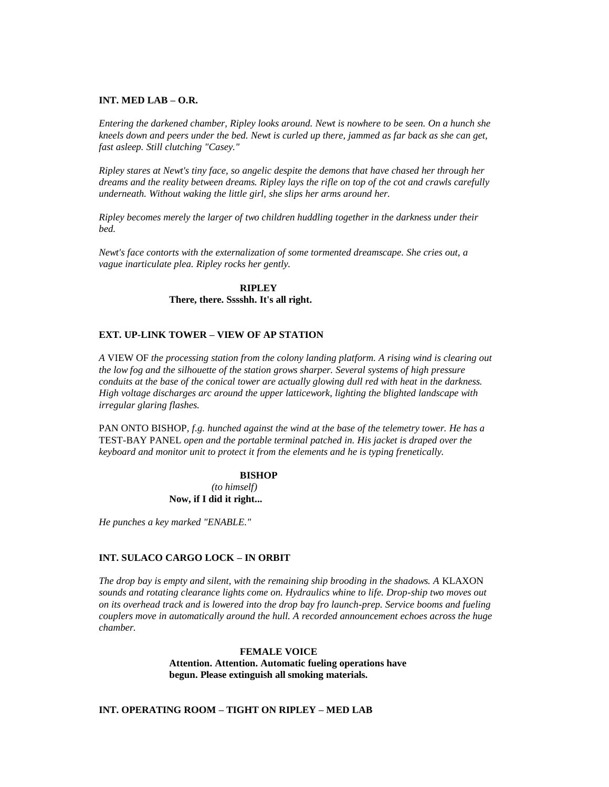### **INT. MED LAB – O.R.**

*Entering the darkened chamber, Ripley looks around. Newt is nowhere to be seen. On a hunch she kneels down and peers under the bed. Newt is curled up there, jammed as far back as she can get, fast asleep. Still clutching "Casey."*

*Ripley stares at Newt's tiny face, so angelic despite the demons that have chased her through her dreams and the reality between dreams. Ripley lays the rifle on top of the cot and crawls carefully underneath. Without waking the little girl, she slips her arms around her.*

*Ripley becomes merely the larger of two children huddling together in the darkness under their bed.*

*Newt's face contorts with the externalization of some tormented dreamscape. She cries out, a vague inarticulate plea. Ripley rocks her gently.*

> **RIPLEY There, there. Sssshh. It's all right.**

### **EXT. UP-LINK TOWER – VIEW OF AP STATION**

*A* VIEW OF *the processing station from the colony landing platform. A rising wind is clearing out the low fog and the silhouette of the station grows sharper. Several systems of high pressure conduits at the base of the conical tower are actually glowing dull red with heat in the darkness. High voltage discharges arc around the upper latticework, lighting the blighted landscape with irregular glaring flashes.*

PAN ONTO BISHOP*, f.g. hunched against the wind at the base of the telemetry tower. He has a*  TEST-BAY PANEL *open and the portable terminal patched in. His jacket is draped over the keyboard and monitor unit to protect it from the elements and he is typing frenetically.*

> **BISHOP** *(to himself)* **Now, if I did it right...**

*He punches a key marked "ENABLE."*

# **INT. SULACO CARGO LOCK – IN ORBIT**

*The drop bay is empty and silent, with the remaining ship brooding in the shadows. A KLAXON sounds and rotating clearance lights come on. Hydraulics whine to life. Drop-ship two moves out on its overhead track and is lowered into the drop bay fro launch-prep. Service booms and fueling couplers move in automatically around the hull. A recorded announcement echoes across the huge chamber.*

> **FEMALE VOICE Attention. Attention. Automatic fueling operations have begun. Please extinguish all smoking materials.**

### **INT. OPERATING ROOM – TIGHT ON RIPLEY – MED LAB**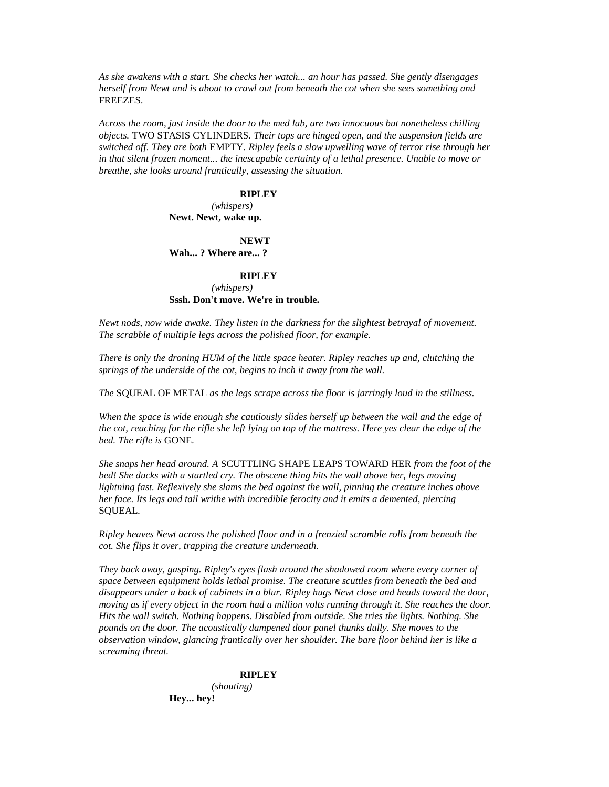*As she awakens with a start. She checks her watch... an hour has passed. She gently disengages herself from Newt and is about to crawl out from beneath the cot when she sees something and*  FREEZES*.*

*Across the room, just inside the door to the med lab, are two innocuous but nonetheless chilling objects.* TWO STASIS CYLINDERS*. Their tops are hinged open, and the suspension fields are switched off. They are both* EMPTY*. Ripley feels a slow upwelling wave of terror rise through her in that silent frozen moment... the inescapable certainty of a lethal presence. Unable to move or breathe, she looks around frantically, assessing the situation.*

### **RIPLEY**

*(whispers)* **Newt. Newt, wake up.**

**NEWT**

**Wah... ? Where are... ?**

#### **RIPLEY**

*(whispers)* **Sssh. Don't move. We're in trouble.**

*Newt nods, now wide awake. They listen in the darkness for the slightest betrayal of movement. The scrabble of multiple legs across the polished floor, for example.*

*There is only the droning HUM of the little space heater. Ripley reaches up and, clutching the springs of the underside of the cot, begins to inch it away from the wall.*

*The* SQUEAL OF METAL *as the legs scrape across the floor is jarringly loud in the stillness.*

*When the space is wide enough she cautiously slides herself up between the wall and the edge of the cot, reaching for the rifle she left lying on top of the mattress. Here yes clear the edge of the bed. The rifle is* GONE*.*

*She snaps her head around. A* SCUTTLING SHAPE LEAPS TOWARD HER *from the foot of the bed! She ducks with a startled cry. The obscene thing hits the wall above her, legs moving lightning fast. Reflexively she slams the bed against the wall, pinning the creature inches above her face. Its legs and tail writhe with incredible ferocity and it emits a demented, piercing*  SQUEAL*.*

*Ripley heaves Newt across the polished floor and in a frenzied scramble rolls from beneath the cot. She flips it over, trapping the creature underneath.*

*They back away, gasping. Ripley's eyes flash around the shadowed room where every corner of space between equipment holds lethal promise. The creature scuttles from beneath the bed and disappears under a back of cabinets in a blur. Ripley hugs Newt close and heads toward the door, moving as if every object in the room had a million volts running through it. She reaches the door. Hits the wall switch. Nothing happens. Disabled from outside. She tries the lights. Nothing. She pounds on the door. The acoustically dampened door panel thunks dully. She moves to the observation window, glancing frantically over her shoulder. The bare floor behind her is like a screaming threat.*

# **RIPLEY**

*(shouting)* **Hey... hey!**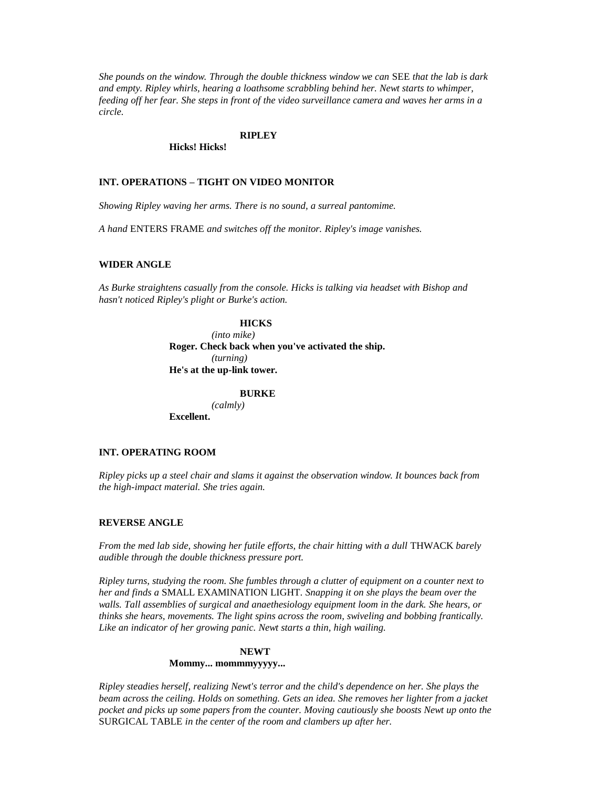*She pounds on the window. Through the double thickness window we can* SEE *that the lab is dark and empty. Ripley whirls, hearing a loathsome scrabbling behind her. Newt starts to whimper, feeding off her fear. She steps in front of the video surveillance camera and waves her arms in a circle.*

#### **RIPLEY**

**Hicks! Hicks!**

### **INT. OPERATIONS – TIGHT ON VIDEO MONITOR**

*Showing Ripley waving her arms. There is no sound, a surreal pantomime.*

*A hand* ENTERS FRAME *and switches off the monitor. Ripley's image vanishes.*

# **WIDER ANGLE**

*As Burke straightens casually from the console. Hicks is talking via headset with Bishop and hasn't noticed Ripley's plight or Burke's action.*

### **HICKS**

*(into mike)* **Roger. Check back when you've activated the ship.** *(turning)* **He's at the up-link tower.**

# **BURKE**

*(calmly)* **Excellent.**

### **INT. OPERATING ROOM**

*Ripley picks up a steel chair and slams it against the observation window. It bounces back from the high-impact material. She tries again.*

#### **REVERSE ANGLE**

*From the med lab side, showing her futile efforts, the chair hitting with a dull* THWACK *barely audible through the double thickness pressure port.*

*Ripley turns, studying the room. She fumbles through a clutter of equipment on a counter next to her and finds a* SMALL EXAMINATION LIGHT*. Snapping it on she plays the beam over the walls. Tall assemblies of surgical and anaethesiology equipment loom in the dark. She hears, or thinks she hears, movements. The light spins across the room, swiveling and bobbing frantically. Like an indicator of her growing panic. Newt starts a thin, high wailing.*

#### **NEWT Mommy... mommmyyyyy...**

*Ripley steadies herself, realizing Newt's terror and the child's dependence on her. She plays the beam across the ceiling. Holds on something. Gets an idea. She removes her lighter from a jacket pocket and picks up some papers from the counter. Moving cautiously she boosts Newt up onto the*  SURGICAL TABLE *in the center of the room and clambers up after her.*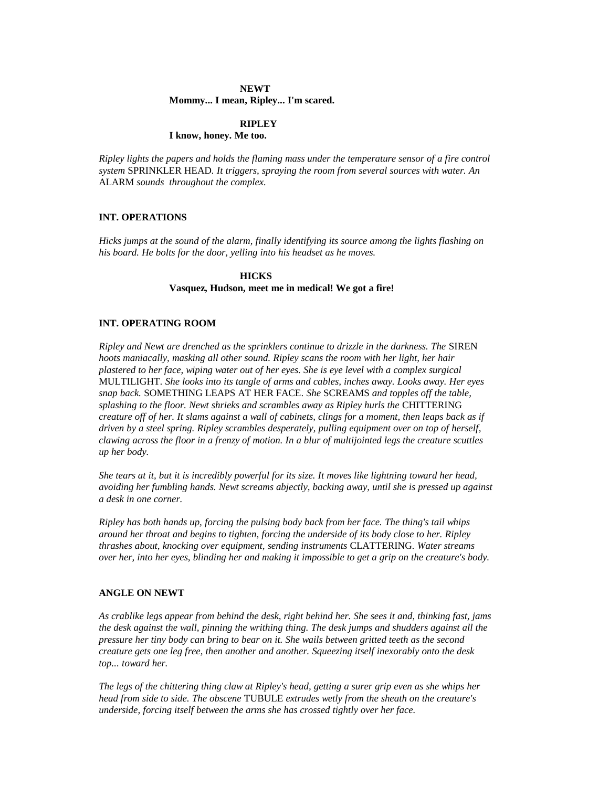# **NEWT Mommy... I mean, Ripley... I'm scared.**

# **RIPLEY**

# **I know, honey. Me too.**

*Ripley lights the papers and holds the flaming mass under the temperature sensor of a fire control system* SPRINKLER HEAD*. It triggers, spraying the room from several sources with water. An*  ALARM *sounds throughout the complex.*

# **INT. OPERATIONS**

*Hicks jumps at the sound of the alarm, finally identifying its source among the lights flashing on his board. He bolts for the door, yelling into his headset as he moves.*

# **HICKS**

### **Vasquez, Hudson, meet me in medical! We got a fire!**

# **INT. OPERATING ROOM**

*Ripley and Newt are drenched as the sprinklers continue to drizzle in the darkness. The SIREN hoots maniacally, masking all other sound. Ripley scans the room with her light, her hair plastered to her face, wiping water out of her eyes. She is eye level with a complex surgical*  MULTILIGHT*. She looks into its tangle of arms and cables, inches away. Looks away. Her eyes snap back.* SOMETHING LEAPS AT HER FACE*. She* SCREAMS *and topples off the table, splashing to the floor. Newt shrieks and scrambles away as Ripley hurls the* CHITTERING *creature off of her. It slams against a wall of cabinets, clings for a moment, then leaps back as if driven by a steel spring. Ripley scrambles desperately, pulling equipment over on top of herself, clawing across the floor in a frenzy of motion. In a blur of multijointed legs the creature scuttles up her body.*

*She tears at it, but it is incredibly powerful for its size. It moves like lightning toward her head, avoiding her fumbling hands. Newt screams abjectly, backing away, until she is pressed up against a desk in one corner.*

*Ripley has both hands up, forcing the pulsing body back from her face. The thing's tail whips around her throat and begins to tighten, forcing the underside of its body close to her. Ripley thrashes about, knocking over equipment, sending instruments* CLATTERING*. Water streams over her, into her eyes, blinding her and making it impossible to get a grip on the creature's body.*

### **ANGLE ON NEWT**

*As crablike legs appear from behind the desk, right behind her. She sees it and, thinking fast, jams the desk against the wall, pinning the writhing thing. The desk jumps and shudders against all the pressure her tiny body can bring to bear on it. She wails between gritted teeth as the second creature gets one leg free, then another and another. Squeezing itself inexorably onto the desk top... toward her.*

*The legs of the chittering thing claw at Ripley's head, getting a surer grip even as she whips her head from side to side. The obscene* TUBULE *extrudes wetly from the sheath on the creature's underside, forcing itself between the arms she has crossed tightly over her face.*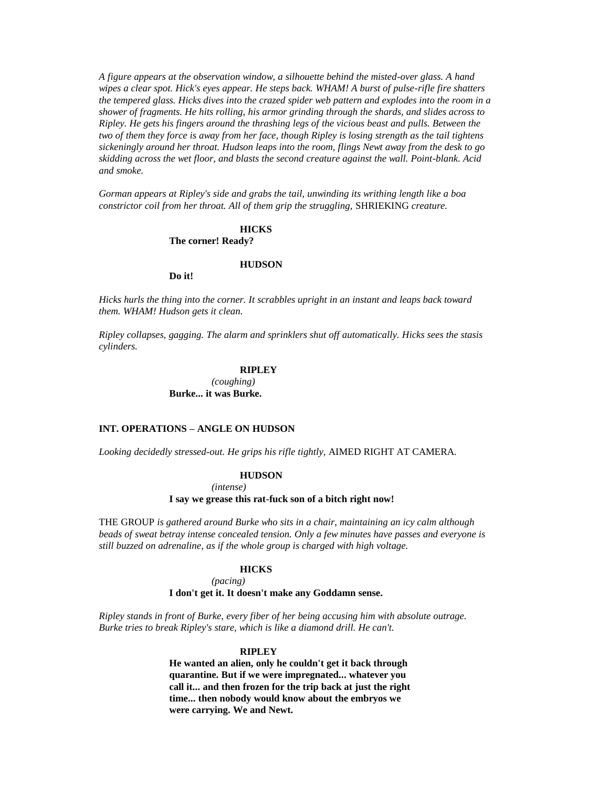*A figure appears at the observation window, a silhouette behind the misted-over glass. A hand wipes a clear spot. Hick's eyes appear. He steps back. WHAM! A burst of pulse-rifle fire shatters the tempered glass. Hicks dives into the crazed spider web pattern and explodes into the room in a shower of fragments. He hits rolling, his armor grinding through the shards, and slides across to Ripley. He gets his fingers around the thrashing legs of the vicious beast and pulls. Between the two of them they force is away from her face, though Ripley is losing strength as the tail tightens sickeningly around her throat. Hudson leaps into the room, flings Newt away from the desk to go skidding across the wet floor, and blasts the second creature against the wall. Point-blank. Acid and smoke.*

*Gorman appears at Ripley's side and grabs the tail, unwinding its writhing length like a boa constrictor coil from her throat. All of them grip the struggling,* SHRIEKING *creature.*

# **HICKS The corner! Ready?**

#### **HUDSON**

**Do it!**

*Hicks hurls the thing into the corner. It scrabbles upright in an instant and leaps back toward them. WHAM! Hudson gets it clean.*

*Ripley collapses, gagging. The alarm and sprinklers shut off automatically. Hicks sees the stasis cylinders.*

#### **RIPLEY**

*(coughing)* **Burke... it was Burke.**

# **INT. OPERATIONS – ANGLE ON HUDSON**

*Looking decidedly stressed-out. He grips his rifle tightly,* AIMED RIGHT AT CAMERA*.*

**HUDSON**

*(intense)*

#### **I say we grease this rat-fuck son of a bitch right now!**

THE GROUP *is gathered around Burke who sits in a chair, maintaining an icy calm although beads of sweat betray intense concealed tension. Only a few minutes have passes and everyone is still buzzed on adrenaline, as if the whole group is charged with high voltage.*

#### **HICKS**

*(pacing)* **I don't get it. It doesn't make any Goddamn sense.**

*Ripley stands in front of Burke, every fiber of her being accusing him with absolute outrage. Burke tries to break Ripley's stare, which is like a diamond drill. He can't.*

# **RIPLEY**

**He wanted an alien, only he couldn't get it back through quarantine. But if we were impregnated... whatever you call it... and then frozen for the trip back at just the right time... then nobody would know about the embryos we were carrying. We and Newt.**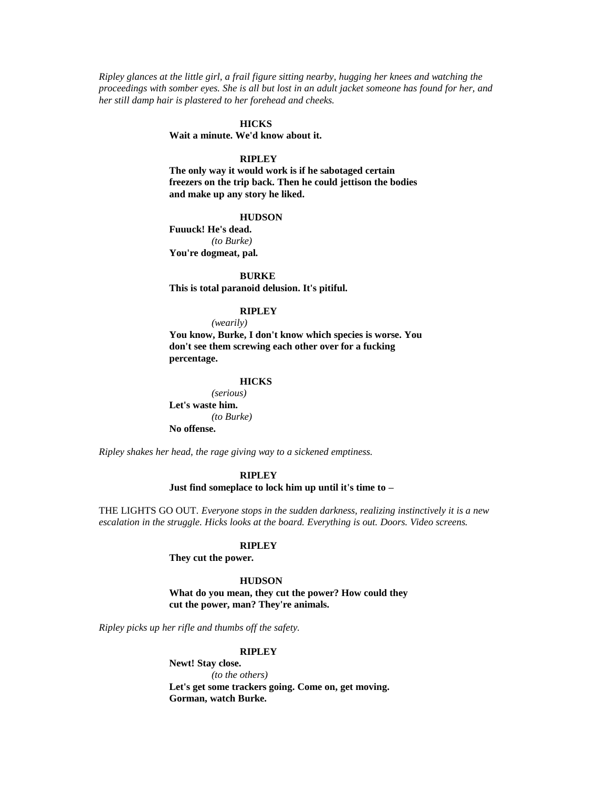*Ripley glances at the little girl, a frail figure sitting nearby, hugging her knees and watching the proceedings with somber eyes. She is all but lost in an adult jacket someone has found for her, and her still damp hair is plastered to her forehead and cheeks.*

# **HICKS**

**Wait a minute. We'd know about it.**

# **RIPLEY**

**The only way it would work is if he sabotaged certain freezers on the trip back. Then he could jettison the bodies and make up any story he liked.**

#### **HUDSON**

**Fuuuck! He's dead.** *(to Burke)* **You're dogmeat, pal.**

**BURKE This is total paranoid delusion. It's pitiful.**

# **RIPLEY**

*(wearily)* **You know, Burke, I don't know which species is worse. You don't see them screwing each other over for a fucking** 

**percentage.**

#### **HICKS**

*(serious)* **Let's waste him.** *(to Burke)* **No offense.**

*Ripley shakes her head, the rage giving way to a sickened emptiness.*

### **RIPLEY**

**Just find someplace to lock him up until it's time to –**

THE LIGHTS GO OUT*. Everyone stops in the sudden darkness, realizing instinctively it is a new escalation in the struggle. Hicks looks at the board. Everything is out. Doors. Video screens.*

### **RIPLEY**

**They cut the power.**

**HUDSON What do you mean, they cut the power? How could they cut the power, man? They're animals.**

*Ripley picks up her rifle and thumbs off the safety.*

# **RIPLEY**

**Newt! Stay close.** *(to the others)* **Let's get some trackers going. Come on, get moving. Gorman, watch Burke.**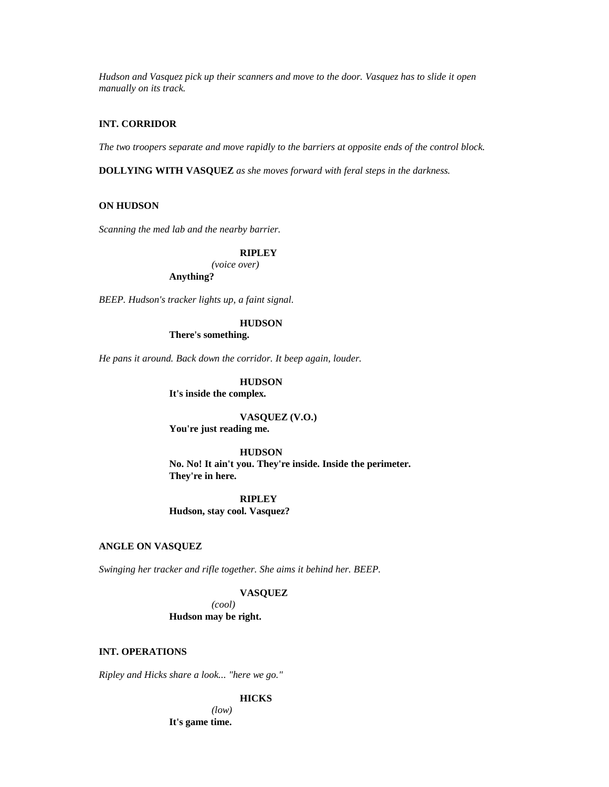*Hudson and Vasquez pick up their scanners and move to the door. Vasquez has to slide it open manually on its track.*

# **INT. CORRIDOR**

*The two troopers separate and move rapidly to the barriers at opposite ends of the control block.*

**DOLLYING WITH VASQUEZ** *as she moves forward with feral steps in the darkness.*

### **ON HUDSON**

*Scanning the med lab and the nearby barrier.*

# **RIPLEY**

*(voice over)*

**Anything?**

*BEEP. Hudson's tracker lights up, a faint signal.*

### **HUDSON**

**There's something.**

*He pans it around. Back down the corridor. It beep again, louder.*

# **HUDSON**

**It's inside the complex.**

# **VASQUEZ (V.O.)**

**You're just reading me.**

#### **HUDSON**

**No. No! It ain't you. They're inside. Inside the perimeter. They're in here.**

**RIPLEY Hudson, stay cool. Vasquez?**

# **ANGLE ON VASQUEZ**

*Swinging her tracker and rifle together. She aims it behind her. BEEP.*

### **VASQUEZ**

*(cool)* **Hudson may be right.**

# **INT. OPERATIONS**

*Ripley and Hicks share a look... "here we go."*

### **HICKS**

*(low)* **It's game time.**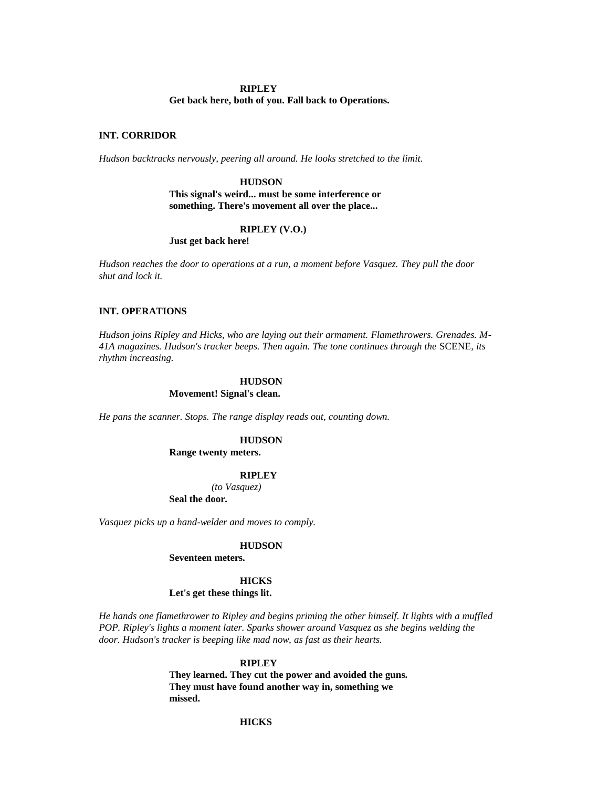# **RIPLEY Get back here, both of you. Fall back to Operations.**

### **INT. CORRIDOR**

*Hudson backtracks nervously, peering all around. He looks stretched to the limit.*

**HUDSON This signal's weird... must be some interference or something. There's movement all over the place...** 

### **RIPLEY (V.O.)**

**Just get back here!**

*Hudson reaches the door to operations at a run, a moment before Vasquez. They pull the door shut and lock it.*

# **INT. OPERATIONS**

*Hudson joins Ripley and Hicks, who are laying out their armament. Flamethrowers. Grenades. M-41A magazines. Hudson's tracker beeps. Then again. The tone continues through the* SCENE*, its rhythm increasing.*

### **HUDSON Movement! Signal's clean.**

*He pans the scanner. Stops. The range display reads out, counting down.*

### **HUDSON**

### **Range twenty meters.**

### **RIPLEY**

*(to Vasquez)* **Seal the door.**

*Vasquez picks up a hand-welder and moves to comply.*

#### **HUDSON**

**Seventeen meters.**

### **HICKS**

#### **Let's get these things lit.**

*He hands one flamethrower to Ripley and begins priming the other himself. It lights with a muffled POP. Ripley's lights a moment later. Sparks shower around Vasquez as she begins welding the door. Hudson's tracker is beeping like mad now, as fast as their hearts.*

#### **RIPLEY**

**They learned. They cut the power and avoided the guns. They must have found another way in, something we missed.**

# **HICKS**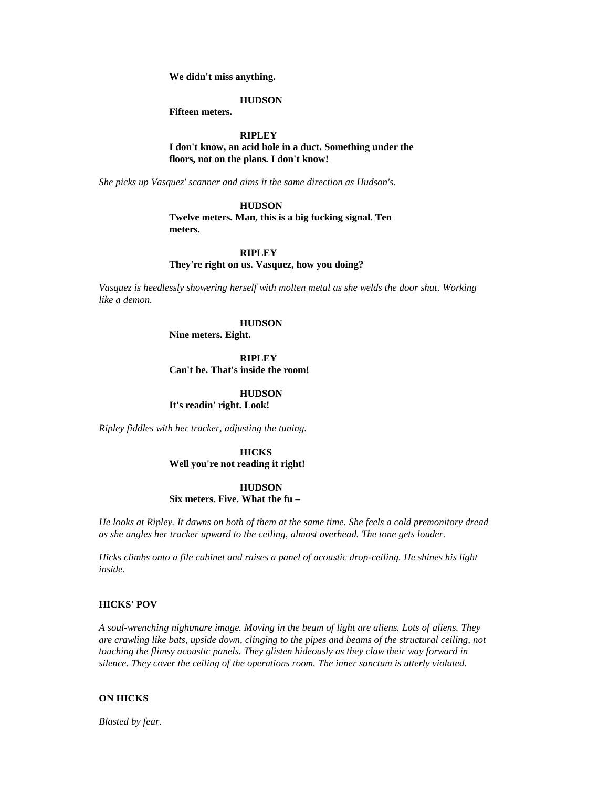**We didn't miss anything.**

### **HUDSON**

**Fifteen meters.**

# **RIPLEY**

**I don't know, an acid hole in a duct. Something under the floors, not on the plans. I don't know!**

*She picks up Vasquez' scanner and aims it the same direction as Hudson's.*

### **HUDSON**

**Twelve meters. Man, this is a big fucking signal. Ten meters.**

# **RIPLEY They're right on us. Vasquez, how you doing?**

*Vasquez is heedlessly showering herself with molten metal as she welds the door shut. Working like a demon.*

### **HUDSON**

**Nine meters. Eight.**

**RIPLEY**

**Can't be. That's inside the room!**

# **HUDSON**

**It's readin' right. Look!**

*Ripley fiddles with her tracker, adjusting the tuning.*

# **HICKS Well you're not reading it right!**

# **HUDSON Six meters. Five. What the fu –**

*He looks at Ripley. It dawns on both of them at the same time. She feels a cold premonitory dread as she angles her tracker upward to the ceiling, almost overhead. The tone gets louder.*

*Hicks climbs onto a file cabinet and raises a panel of acoustic drop-ceiling. He shines his light inside.*

### **HICKS' POV**

*A soul-wrenching nightmare image. Moving in the beam of light are aliens. Lots of aliens. They are crawling like bats, upside down, clinging to the pipes and beams of the structural ceiling, not touching the flimsy acoustic panels. They glisten hideously as they claw their way forward in silence. They cover the ceiling of the operations room. The inner sanctum is utterly violated.*

### **ON HICKS**

*Blasted by fear.*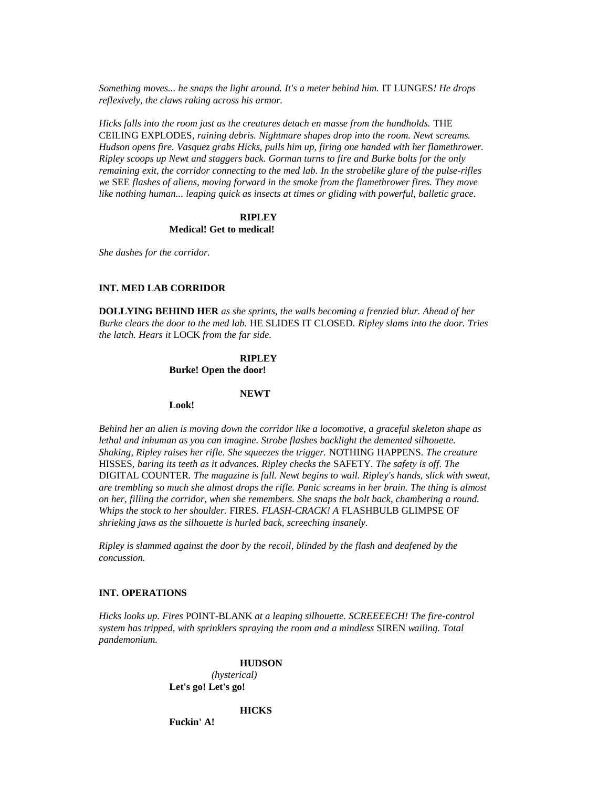*Something moves... he snaps the light around. It's a meter behind him.* IT LUNGES*! He drops reflexively, the claws raking across his armor.*

*Hicks falls into the room just as the creatures detach en masse from the handholds.* THE CEILING EXPLODES*, raining debris. Nightmare shapes drop into the room. Newt screams. Hudson opens fire. Vasquez grabs Hicks, pulls him up, firing one handed with her flamethrower. Ripley scoops up Newt and staggers back. Gorman turns to fire and Burke bolts for the only remaining exit, the corridor connecting to the med lab. In the strobelike glare of the pulse-rifles we* SEE *flashes of aliens, moving forward in the smoke from the flamethrower fires. They move like nothing human... leaping quick as insects at times or gliding with powerful, balletic grace.*

### **RIPLEY Medical! Get to medical!**

*She dashes for the corridor.*

### **INT. MED LAB CORRIDOR**

**DOLLYING BEHIND HER** *as she sprints, the walls becoming a frenzied blur. Ahead of her Burke clears the door to the med lab.* HE SLIDES IT CLOSED*. Ripley slams into the door. Tries the latch. Hears it* LOCK *from the far side.*

### **RIPLEY**

**Burke! Open the door!**

**NEWT**

**Look!**

*Behind her an alien is moving down the corridor like a locomotive, a graceful skeleton shape as lethal and inhuman as you can imagine. Strobe flashes backlight the demented silhouette. Shaking, Ripley raises her rifle. She squeezes the trigger.* NOTHING HAPPENS*. The creature*  HISSES*, baring its teeth as it advances. Ripley checks the* SAFETY*. The safety is off. The*  DIGITAL COUNTER*. The magazine is full. Newt begins to wail. Ripley's hands, slick with sweat, are trembling so much she almost drops the rifle. Panic screams in her brain. The thing is almost on her, filling the corridor, when she remembers. She snaps the bolt back, chambering a round. Whips the stock to her shoulder.* FIRES*. FLASH-CRACK! A* FLASHBULB GLIMPSE OF *shrieking jaws as the silhouette is hurled back, screeching insanely.*

*Ripley is slammed against the door by the recoil, blinded by the flash and deafened by the concussion.*

### **INT. OPERATIONS**

*Hicks looks up. Fires* POINT-BLANK *at a leaping silhouette. SCREEEECH! The fire-control system has tripped, with sprinklers spraying the room and a mindless* SIREN *wailing. Total pandemonium.*

> **HUDSON** *(hysterical)* **Let's go! Let's go!**

> > **HICKS**

**Fuckin' A!**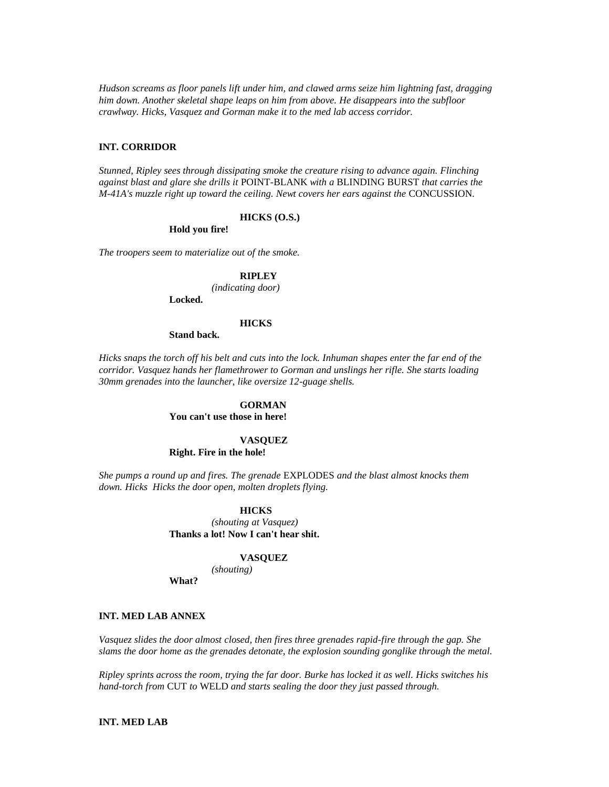*Hudson screams as floor panels lift under him, and clawed arms seize him lightning fast, dragging him down. Another skeletal shape leaps on him from above. He disappears into the subfloor crawlway. Hicks, Vasquez and Gorman make it to the med lab access corridor.*

# **INT. CORRIDOR**

*Stunned, Ripley sees through dissipating smoke the creature rising to advance again. Flinching against blast and glare she drills it* POINT-BLANK *with a* BLINDING BURST *that carries the M-41A's muzzle right up toward the ceiling. Newt covers her ears against the* CONCUSSION*.*

#### **HICKS (O.S.)**

**Hold you fire!**

*The troopers seem to materialize out of the smoke.*

# **RIPLEY**

*(indicating door)*

**Locked.**

### **HICKS**

**Stand back.**

*Hicks snaps the torch off his belt and cuts into the lock. Inhuman shapes enter the far end of the corridor. Vasquez hands her flamethrower to Gorman and unslings her rifle. She starts loading 30mm grenades into the launcher, like oversize 12-guage shells.*

# **GORMAN**

**You can't use those in here!**

### **VASQUEZ**

**Right. Fire in the hole!**

*She pumps a round up and fires. The grenade* EXPLODES *and the blast almost knocks them down. Hicks Hicks the door open, molten droplets flying.*

#### **HICKS**

*(shouting at Vasquez)* **Thanks a lot! Now I can't hear shit.**

#### **VASQUEZ**

*(shouting)* **What?**

#### **INT. MED LAB ANNEX**

*Vasquez slides the door almost closed, then fires three grenades rapid-fire through the gap. She slams the door home as the grenades detonate, the explosion sounding gonglike through the metal.*

*Ripley sprints across the room, trying the far door. Burke has locked it as well. Hicks switches his hand-torch from* CUT *to* WELD *and starts sealing the door they just passed through.*

# **INT. MED LAB**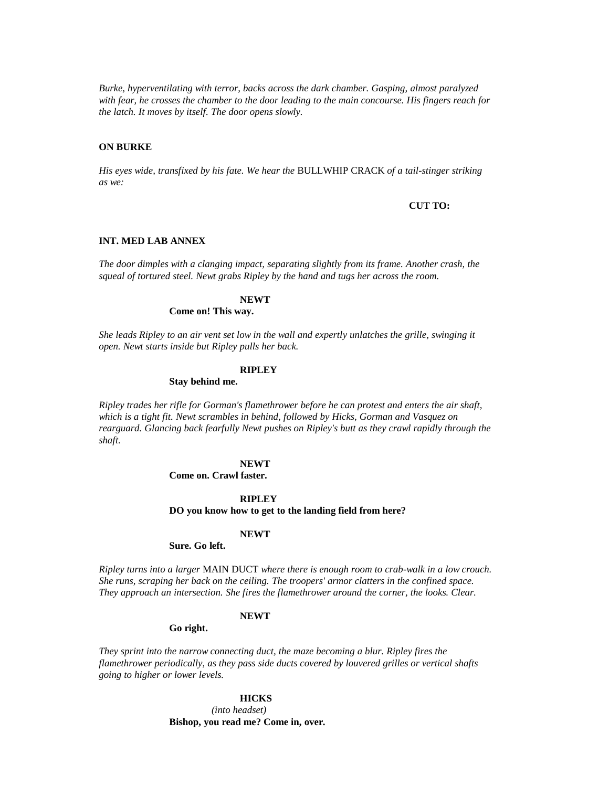*Burke, hyperventilating with terror, backs across the dark chamber. Gasping, almost paralyzed with fear, he crosses the chamber to the door leading to the main concourse. His fingers reach for the latch. It moves by itself. The door opens slowly.*

# **ON BURKE**

*His eyes wide, transfixed by his fate. We hear the* BULLWHIP CRACK *of a tail-stinger striking as we:*

#### **CUT TO:**

### **INT. MED LAB ANNEX**

*The door dimples with a clanging impact, separating slightly from its frame. Another crash, the squeal of tortured steel. Newt grabs Ripley by the hand and tugs her across the room.*

### **NEWT**

### **Come on! This way.**

*She leads Ripley to an air vent set low in the wall and expertly unlatches the grille, swinging it open. Newt starts inside but Ripley pulls her back.*

### **RIPLEY**

#### **Stay behind me.**

*Ripley trades her rifle for Gorman's flamethrower before he can protest and enters the air shaft, which is a tight fit. Newt scrambles in behind, followed by Hicks, Gorman and Vasquez on rearguard. Glancing back fearfully Newt pushes on Ripley's butt as they crawl rapidly through the shaft.*

### **NEWT**

**Come on. Crawl faster.**

#### **RIPLEY**

#### **DO you know how to get to the landing field from here?**

#### **NEWT**

### **Sure. Go left.**

*Ripley turns into a larger* MAIN DUCT *where there is enough room to crab-walk in a low crouch. She runs, scraping her back on the ceiling. The troopers' armor clatters in the confined space. They approach an intersection. She fires the flamethrower around the corner, the looks. Clear.*

### **NEWT**

### **Go right.**

*They sprint into the narrow connecting duct, the maze becoming a blur. Ripley fires the flamethrower periodically, as they pass side ducts covered by louvered grilles or vertical shafts going to higher or lower levels.*

### **HICKS**

*(into headset)* **Bishop, you read me? Come in, over.**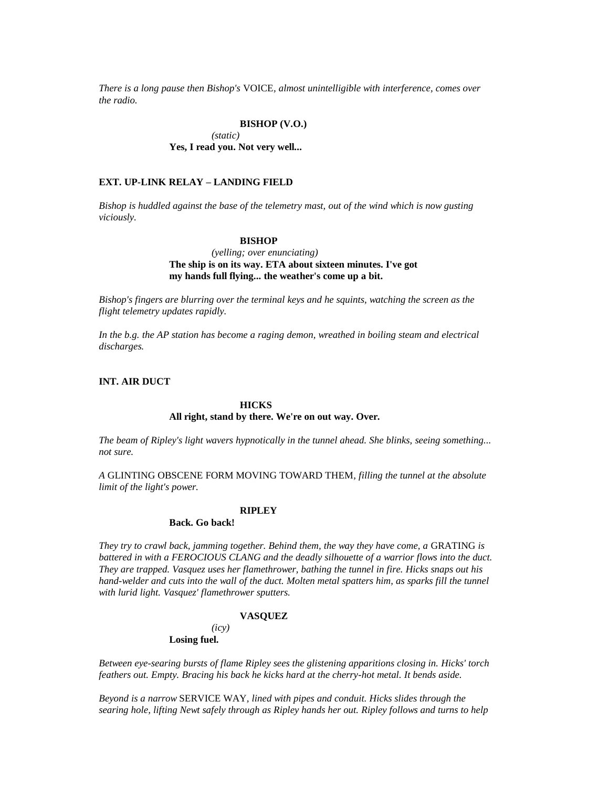*There is a long pause then Bishop's* VOICE*, almost unintelligible with interference, comes over the radio.*

### **BISHOP (V.O.)**

*(static)* **Yes, I read you. Not very well...** 

### **EXT. UP-LINK RELAY – LANDING FIELD**

*Bishop is huddled against the base of the telemetry mast, out of the wind which is now gusting viciously.*

### **BISHOP**

# *(yelling; over enunciating)* **The ship is on its way. ETA about sixteen minutes. I've got my hands full flying... the weather's come up a bit.**

*Bishop's fingers are blurring over the terminal keys and he squints, watching the screen as the flight telemetry updates rapidly.*

*In the b.g. the AP station has become a raging demon, wreathed in boiling steam and electrical discharges.*

### **INT. AIR DUCT**

### **HICKS**

### **All right, stand by there. We're on out way. Over.**

*The beam of Ripley's light wavers hypnotically in the tunnel ahead. She blinks, seeing something... not sure.*

*A* GLINTING OBSCENE FORM MOVING TOWARD THEM*, filling the tunnel at the absolute limit of the light's power.*

#### **RIPLEY**

# **Back. Go back!**

*They try to crawl back, jamming together. Behind them, the way they have come, a* GRATING *is battered in with a FEROCIOUS CLANG and the deadly silhouette of a warrior flows into the duct. They are trapped. Vasquez uses her flamethrower, bathing the tunnel in fire. Hicks snaps out his hand-welder and cuts into the wall of the duct. Molten metal spatters him, as sparks fill the tunnel with lurid light. Vasquez' flamethrower sputters.*

#### **VASQUEZ**

# *(icy)*

# **Losing fuel.**

*Between eye-searing bursts of flame Ripley sees the glistening apparitions closing in. Hicks' torch feathers out. Empty. Bracing his back he kicks hard at the cherry-hot metal. It bends aside.*

*Beyond is a narrow* SERVICE WAY*, lined with pipes and conduit. Hicks slides through the searing hole, lifting Newt safely through as Ripley hands her out. Ripley follows and turns to help*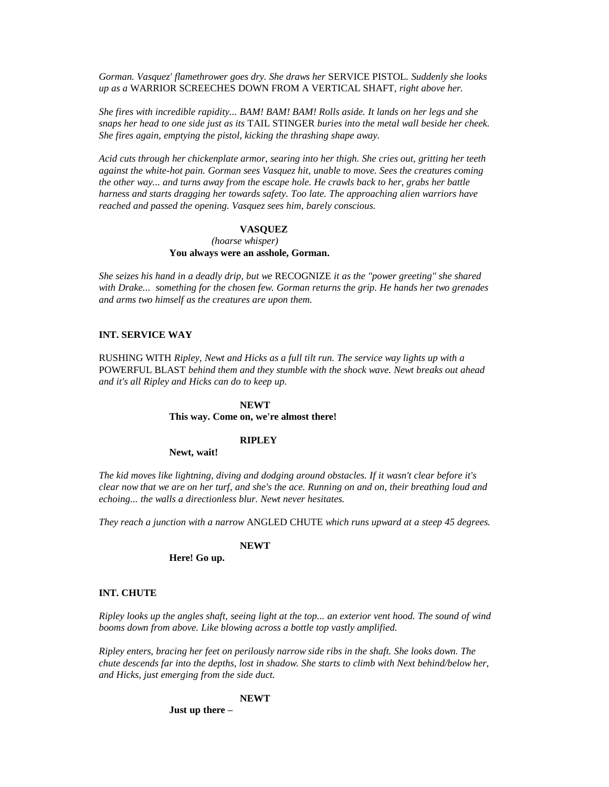*Gorman. Vasquez' flamethrower goes dry. She draws her* SERVICE PISTOL*. Suddenly she looks up as a* WARRIOR SCREECHES DOWN FROM A VERTICAL SHAFT*, right above her.*

*She fires with incredible rapidity... BAM! BAM! BAM! Rolls aside. It lands on her legs and she snaps her head to one side just as its* TAIL STINGER *buries into the metal wall beside her cheek. She fires again, emptying the pistol, kicking the thrashing shape away.*

*Acid cuts through her chickenplate armor, searing into her thigh. She cries out, gritting her teeth against the white-hot pain. Gorman sees Vasquez hit, unable to move. Sees the creatures coming the other way... and turns away from the escape hole. He crawls back to her, grabs her battle harness and starts dragging her towards safety. Too late. The approaching alien warriors have reached and passed the opening. Vasquez sees him, barely conscious.*

#### **VASQUEZ**

### *(hoarse whisper)* **You always were an asshole, Gorman.**

*She seizes his hand in a deadly drip, but we* RECOGNIZE *it as the "power greeting" she shared with Drake... something for the chosen few. Gorman returns the grip. He hands her two grenades and arms two himself as the creatures are upon them.*

### **INT. SERVICE WAY**

RUSHING WITH *Ripley, Newt and Hicks as a full tilt run. The service way lights up with a*  POWERFUL BLAST *behind them and they stumble with the shock wave. Newt breaks out ahead and it's all Ripley and Hicks can do to keep up.*

### **NEWT**

### **This way. Come on, we're almost there!**

### **RIPLEY**

#### **Newt, wait!**

*The kid moves like lightning, diving and dodging around obstacles. If it wasn't clear before it's clear now that we are on her turf, and she's the ace. Running on and on, their breathing loud and echoing... the walls a directionless blur. Newt never hesitates.*

*They reach a junction with a narrow* ANGLED CHUTE *which runs upward at a steep 45 degrees.*

### **NEWT**

### **Here! Go up.**

#### **INT. CHUTE**

*Ripley looks up the angles shaft, seeing light at the top... an exterior vent hood. The sound of wind booms down from above. Like blowing across a bottle top vastly amplified.*

*Ripley enters, bracing her feet on perilously narrow side ribs in the shaft. She looks down. The chute descends far into the depths, lost in shadow. She starts to climb with Next behind/below her, and Hicks, just emerging from the side duct.*

# **NEWT**

**Just up there –**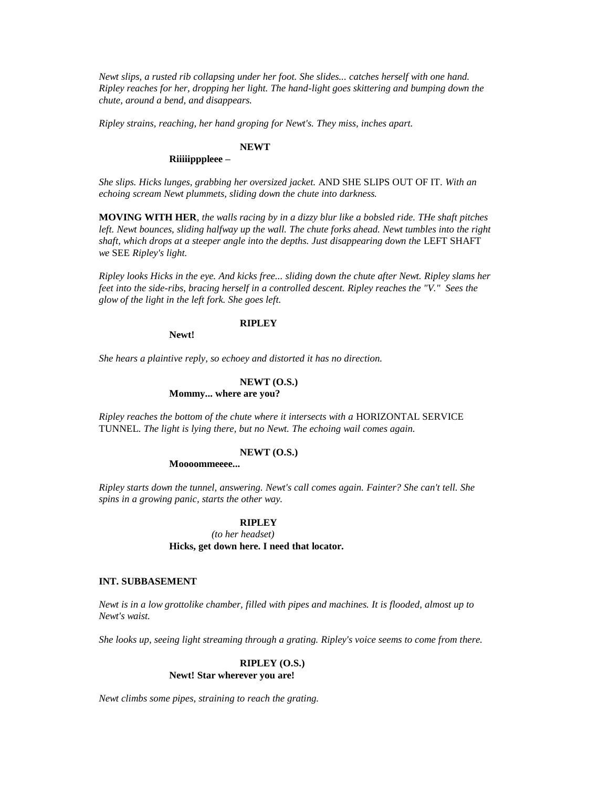*Newt slips, a rusted rib collapsing under her foot. She slides... catches herself with one hand. Ripley reaches for her, dropping her light. The hand-light goes skittering and bumping down the chute, around a bend, and disappears.*

*Ripley strains, reaching, her hand groping for Newt's. They miss, inches apart.*

# **NEWT**

# **Riiiiipppleee –**

*She slips. Hicks lunges, grabbing her oversized jacket.* AND SHE SLIPS OUT OF IT*. With an echoing scream Newt plummets, sliding down the chute into darkness.*

**MOVING WITH HER***, the walls racing by in a dizzy blur like a bobsled ride. THe shaft pitches left. Newt bounces, sliding halfway up the wall. The chute forks ahead. Newt tumbles into the right shaft, which drops at a steeper angle into the depths. Just disappearing down the LEFT SHAFT we* SEE *Ripley's light.*

*Ripley looks Hicks in the eye. And kicks free... sliding down the chute after Newt. Ripley slams her feet into the side-ribs, bracing herself in a controlled descent. Ripley reaches the "V." Sees the glow of the light in the left fork. She goes left.*

# **RIPLEY**

**Newt!**

*She hears a plaintive reply, so echoey and distorted it has no direction.*

# **NEWT (O.S.)**

# **Mommy... where are you?**

*Ripley reaches the bottom of the chute where it intersects with a HORIZONTAL SERVICE* TUNNEL*. The light is lying there, but no Newt. The echoing wail comes again.*

### **NEWT (O.S.)**

### **Moooommeeee...**

*Ripley starts down the tunnel, answering. Newt's call comes again. Fainter? She can't tell. She spins in a growing panic, starts the other way.*

### **RIPLEY**

*(to her headset)* **Hicks, get down here. I need that locator.**

### **INT. SUBBASEMENT**

*Newt is in a low grottolike chamber, filled with pipes and machines. It is flooded, almost up to Newt's waist.*

*She looks up, seeing light streaming through a grating. Ripley's voice seems to come from there.*

### **RIPLEY (O.S.) Newt! Star wherever you are!**

*Newt climbs some pipes, straining to reach the grating.*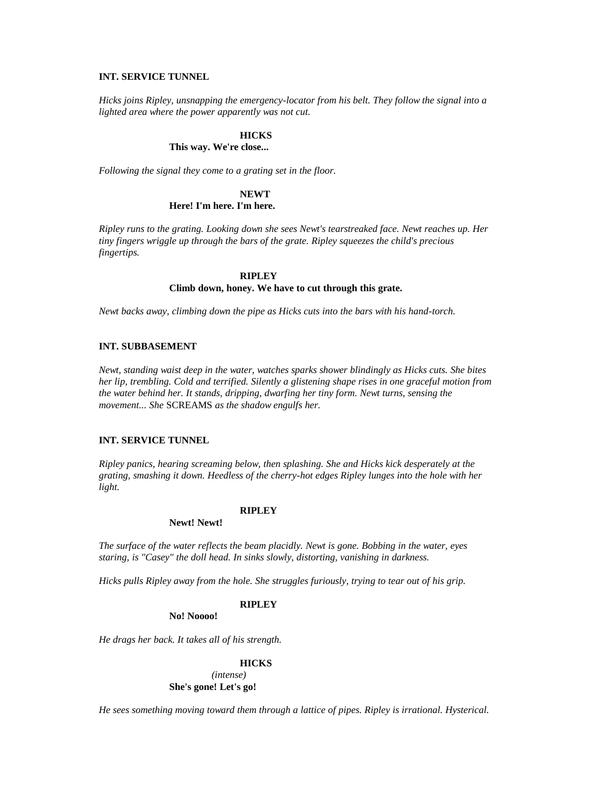# **INT. SERVICE TUNNEL**

*Hicks joins Ripley, unsnapping the emergency-locator from his belt. They follow the signal into a lighted area where the power apparently was not cut.*

### **HICKS**

# **This way. We're close...**

*Following the signal they come to a grating set in the floor.*

# **NEWT Here! I'm here. I'm here.**

*Ripley runs to the grating. Looking down she sees Newt's tearstreaked face. Newt reaches up. Her tiny fingers wriggle up through the bars of the grate. Ripley squeezes the child's precious fingertips.*

### **RIPLEY**

### **Climb down, honey. We have to cut through this grate.**

*Newt backs away, climbing down the pipe as Hicks cuts into the bars with his hand-torch.*

# **INT. SUBBASEMENT**

*Newt, standing waist deep in the water, watches sparks shower blindingly as Hicks cuts. She bites her lip, trembling. Cold and terrified. Silently a glistening shape rises in one graceful motion from the water behind her. It stands, dripping, dwarfing her tiny form. Newt turns, sensing the movement... She* SCREAMS *as the shadow engulfs her.*

# **INT. SERVICE TUNNEL**

*Ripley panics, hearing screaming below, then splashing. She and Hicks kick desperately at the grating, smashing it down. Heedless of the cherry-hot edges Ripley lunges into the hole with her light.*

### **RIPLEY**

### **Newt! Newt!**

*The surface of the water reflects the beam placidly. Newt is gone. Bobbing in the water, eyes staring, is "Casey" the doll head. In sinks slowly, distorting, vanishing in darkness.*

*Hicks pulls Ripley away from the hole. She struggles furiously, trying to tear out of his grip.*

### **RIPLEY**

**No! Noooo!**

*He drags her back. It takes all of his strength.*

### **HICKS**

*(intense)* **She's gone! Let's go!**

*He sees something moving toward them through a lattice of pipes. Ripley is irrational. Hysterical.*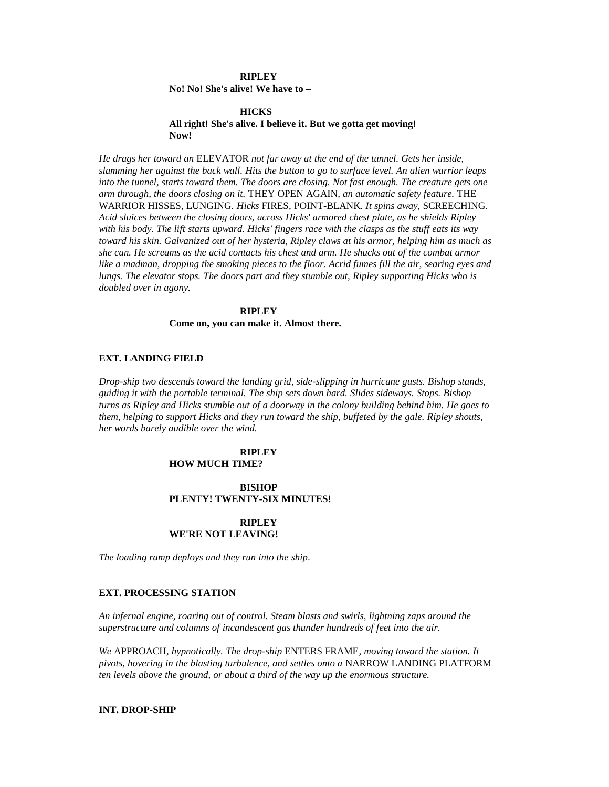### **RIPLEY**

**No! No! She's alive! We have to –**

### **HICKS All right! She's alive. I believe it. But we gotta get moving! Now!**

*He drags her toward an* ELEVATOR *not far away at the end of the tunnel. Gets her inside, slamming her against the back wall. Hits the button to go to surface level. An alien warrior leaps into the tunnel, starts toward them. The doors are closing. Not fast enough. The creature gets one arm through, the doors closing on it.* THEY OPEN AGAIN*, an automatic safety feature.* THE WARRIOR HISSES, LUNGING*. Hicks* FIRES*,* POINT-BLANK*. It spins away,* SCREECHING*. Acid sluices between the closing doors, across Hicks' armored chest plate, as he shields Ripley with his body. The lift starts upward. Hicks' fingers race with the clasps as the stuff eats its way toward his skin. Galvanized out of her hysteria, Ripley claws at his armor, helping him as much as she can. He screams as the acid contacts his chest and arm. He shucks out of the combat armor like a madman, dropping the smoking pieces to the floor. Acrid fumes fill the air, searing eyes and lungs. The elevator stops. The doors part and they stumble out, Ripley supporting Hicks who is doubled over in agony.*

# **RIPLEY**

**Come on, you can make it. Almost there.**

#### **EXT. LANDING FIELD**

*Drop-ship two descends toward the landing grid, side-slipping in hurricane gusts. Bishop stands, guiding it with the portable terminal. The ship sets down hard. Slides sideways. Stops. Bishop turns as Ripley and Hicks stumble out of a doorway in the colony building behind him. He goes to them, helping to support Hicks and they run toward the ship, buffeted by the gale. Ripley shouts, her words barely audible over the wind.*

#### **RIPLEY HOW MUCH TIME?**

# **BISHOP PLENTY! TWENTY-SIX MINUTES!**

### **RIPLEY WE'RE NOT LEAVING!**

*The loading ramp deploys and they run into the ship.*

### **EXT. PROCESSING STATION**

*An infernal engine, roaring out of control. Steam blasts and swirls, lightning zaps around the superstructure and columns of incandescent gas thunder hundreds of feet into the air.*

*We* APPROACH*, hypnotically. The drop-ship* ENTERS FRAME*, moving toward the station. It pivots, hovering in the blasting turbulence, and settles onto a* NARROW LANDING PLATFORM *ten levels above the ground, or about a third of the way up the enormous structure.*

### **INT. DROP-SHIP**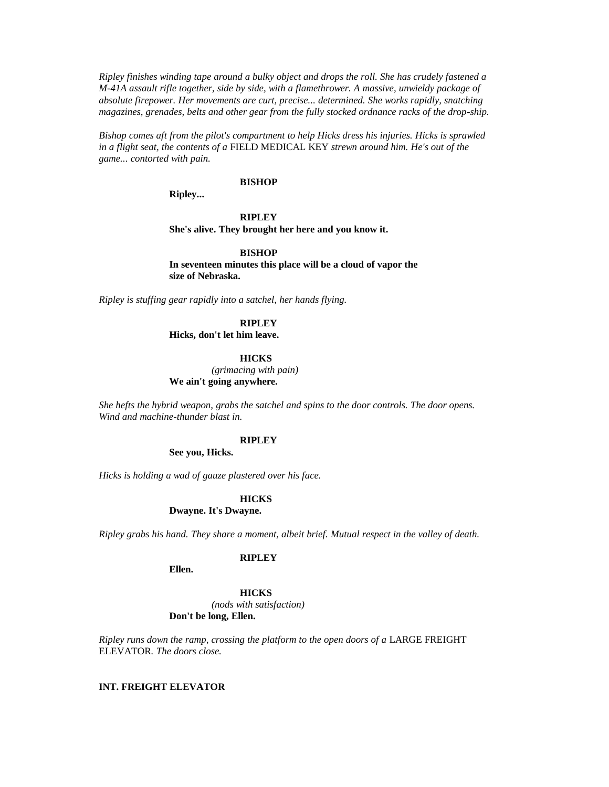*Ripley finishes winding tape around a bulky object and drops the roll. She has crudely fastened a M-41A assault rifle together, side by side, with a flamethrower. A massive, unwieldy package of absolute firepower. Her movements are curt, precise... determined. She works rapidly, snatching magazines, grenades, belts and other gear from the fully stocked ordnance racks of the drop-ship.*

*Bishop comes aft from the pilot's compartment to help Hicks dress his injuries. Hicks is sprawled in a flight seat, the contents of a* FIELD MEDICAL KEY *strewn around him. He's out of the game... contorted with pain.*

### **BISHOP**

**Ripley...** 

**RIPLEY She's alive. They brought her here and you know it.**

**BISHOP In seventeen minutes this place will be a cloud of vapor the size of Nebraska.**

*Ripley is stuffing gear rapidly into a satchel, her hands flying.*

# **RIPLEY**

**Hicks, don't let him leave.**

#### **HICKS**

*(grimacing with pain)*

# **We ain't going anywhere.**

*She hefts the hybrid weapon, grabs the satchel and spins to the door controls. The door opens. Wind and machine-thunder blast in.*

### **RIPLEY**

**See you, Hicks.**

*Hicks is holding a wad of gauze plastered over his face.*

#### **HICKS**

**Dwayne. It's Dwayne.**

*Ripley grabs his hand. They share a moment, albeit brief. Mutual respect in the valley of death.*

# **RIPLEY**

**Ellen.**

**HICKS** *(nods with satisfaction)* **Don't be long, Ellen.**

*Ripley runs down the ramp, crossing the platform to the open doors of a LARGE FREIGHT* ELEVATOR*. The doors close.*

### **INT. FREIGHT ELEVATOR**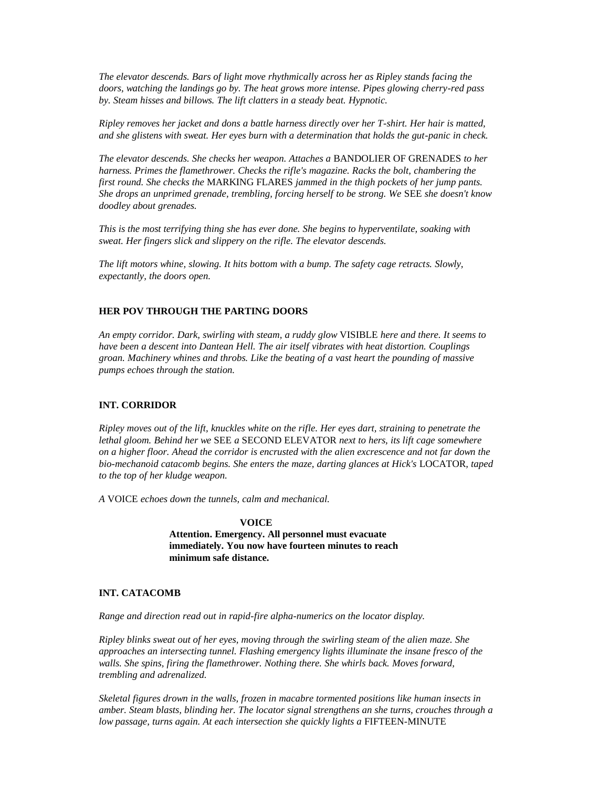*The elevator descends. Bars of light move rhythmically across her as Ripley stands facing the doors, watching the landings go by. The heat grows more intense. Pipes glowing cherry-red pass by. Steam hisses and billows. The lift clatters in a steady beat. Hypnotic.*

*Ripley removes her jacket and dons a battle harness directly over her T-shirt. Her hair is matted, and she glistens with sweat. Her eyes burn with a determination that holds the gut-panic in check.*

*The elevator descends. She checks her weapon. Attaches a* BANDOLIER OF GRENADES *to her harness. Primes the flamethrower. Checks the rifle's magazine. Racks the bolt, chambering the first round. She checks the* MARKING FLARES *jammed in the thigh pockets of her jump pants. She drops an unprimed grenade, trembling, forcing herself to be strong. We* SEE *she doesn't know doodley about grenades.*

*This is the most terrifying thing she has ever done. She begins to hyperventilate, soaking with sweat. Her fingers slick and slippery on the rifle. The elevator descends.*

*The lift motors whine, slowing. It hits bottom with a bump. The safety cage retracts. Slowly, expectantly, the doors open.*

# **HER POV THROUGH THE PARTING DOORS**

*An empty corridor. Dark, swirling with steam, a ruddy glow* VISIBLE *here and there. It seems to have been a descent into Dantean Hell. The air itself vibrates with heat distortion. Couplings groan. Machinery whines and throbs. Like the beating of a vast heart the pounding of massive pumps echoes through the station.*

# **INT. CORRIDOR**

*Ripley moves out of the lift, knuckles white on the rifle. Her eyes dart, straining to penetrate the lethal gloom. Behind her we* SEE *a* SECOND ELEVATOR *next to hers, its lift cage somewhere on a higher floor. Ahead the corridor is encrusted with the alien excrescence and not far down the bio-mechanoid catacomb begins. She enters the maze, darting glances at Hick's* LOCATOR*, taped to the top of her kludge weapon.*

*A* VOICE *echoes down the tunnels, calm and mechanical.*

#### **VOICE**

**Attention. Emergency. All personnel must evacuate immediately. You now have fourteen minutes to reach minimum safe distance.**

### **INT. CATACOMB**

*Range and direction read out in rapid-fire alpha-numerics on the locator display.*

*Ripley blinks sweat out of her eyes, moving through the swirling steam of the alien maze. She approaches an intersecting tunnel. Flashing emergency lights illuminate the insane fresco of the walls. She spins, firing the flamethrower. Nothing there. She whirls back. Moves forward, trembling and adrenalized.*

*Skeletal figures drown in the walls, frozen in macabre tormented positions like human insects in amber. Steam blasts, blinding her. The locator signal strengthens an she turns, crouches through a low passage, turns again. At each intersection she quickly lights a FIFTEEN-MINUTE*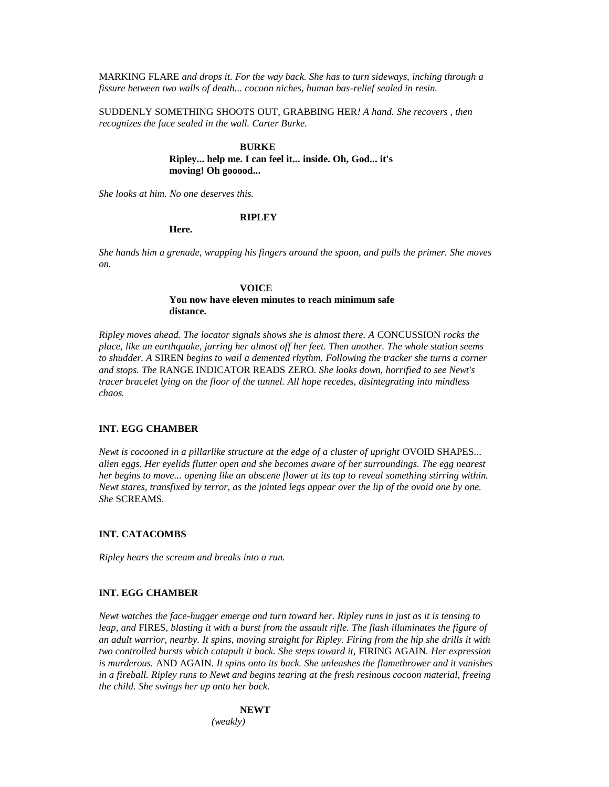MARKING FLARE *and drops it. For the way back. She has to turn sideways, inching through a fissure between two walls of death... cocoon niches, human bas-relief sealed in resin.*

SUDDENLY SOMETHING SHOOTS OUT, GRABBING HER*! A hand. She recovers , then recognizes the face sealed in the wall. Carter Burke.*

### **BURKE**

**Ripley... help me. I can feel it... inside. Oh, God... it's moving! Oh gooood...** 

*She looks at him. No one deserves this.*

#### **RIPLEY**

**Here.**

*She hands him a grenade, wrapping his fingers around the spoon, and pulls the primer. She moves on.*

#### **VOICE**

### **You now have eleven minutes to reach minimum safe distance.**

*Ripley moves ahead. The locator signals shows she is almost there. A* CONCUSSION *rocks the place, like an earthquake, jarring her almost off her feet. Then another. The whole station seems to shudder. A* SIREN *begins to wail a demented rhythm. Following the tracker she turns a corner and stops. The* RANGE INDICATOR READS ZERO*. She looks down, horrified to see Newt's tracer bracelet lying on the floor of the tunnel. All hope recedes, disintegrating into mindless chaos.*

# **INT. EGG CHAMBER**

*Newt is cocooned in a pillarlike structure at the edge of a cluster of upright OVOID SHAPES... alien eggs. Her eyelids flutter open and she becomes aware of her surroundings. The egg nearest her begins to move... opening like an obscene flower at its top to reveal something stirring within. Newt stares, transfixed by terror, as the jointed legs appear over the lip of the ovoid one by one. She* SCREAMS*.*

# **INT. CATACOMBS**

*Ripley hears the scream and breaks into a run.*

### **INT. EGG CHAMBER**

*Newt watches the face-hugger emerge and turn toward her. Ripley runs in just as it is tensing to leap, and* FIRES*, blasting it with a burst from the assault rifle. The flash illuminates the figure of an adult warrior, nearby. It spins, moving straight for Ripley. Firing from the hip she drills it with two controlled bursts which catapult it back. She steps toward it,* FIRING AGAIN*. Her expression is murderous.* AND AGAIN*. It spins onto its back. She unleashes the flamethrower and it vanishes in a fireball. Ripley runs to Newt and begins tearing at the fresh resinous cocoon material, freeing the child. She swings her up onto her back.*

# **NEWT**

*(weakly)*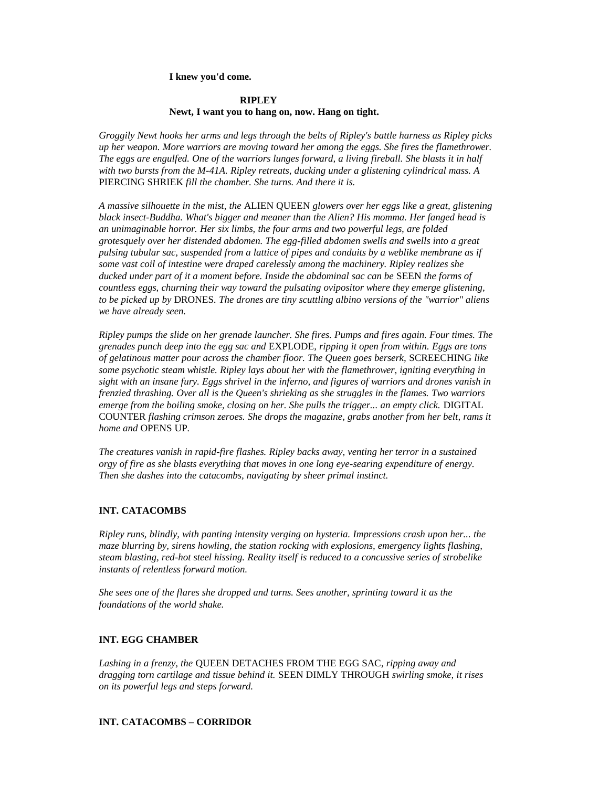### **I knew you'd come.**

### **RIPLEY Newt, I want you to hang on, now. Hang on tight.**

*Groggily Newt hooks her arms and legs through the belts of Ripley's battle harness as Ripley picks up her weapon. More warriors are moving toward her among the eggs. She fires the flamethrower. The eggs are engulfed. One of the warriors lunges forward, a living fireball. She blasts it in half with two bursts from the M-41A. Ripley retreats, ducking under a glistening cylindrical mass. A*  PIERCING SHRIEK *fill the chamber. She turns. And there it is.*

*A massive silhouette in the mist, the* ALIEN QUEEN *glowers over her eggs like a great, glistening black insect-Buddha. What's bigger and meaner than the Alien? His momma. Her fanged head is an unimaginable horror. Her six limbs, the four arms and two powerful legs, are folded grotesquely over her distended abdomen. The egg-filled abdomen swells and swells into a great pulsing tubular sac, suspended from a lattice of pipes and conduits by a weblike membrane as if some vast coil of intestine were draped carelessly among the machinery. Ripley realizes she ducked under part of it a moment before. Inside the abdominal sac can be* SEEN *the forms of countless eggs, churning their way toward the pulsating ovipositor where they emerge glistening, to be picked up by* DRONES*. The drones are tiny scuttling albino versions of the "warrior" aliens we have already seen.*

*Ripley pumps the slide on her grenade launcher. She fires. Pumps and fires again. Four times. The grenades punch deep into the egg sac and* EXPLODE*, ripping it open from within. Eggs are tons of gelatinous matter pour across the chamber floor. The Queen goes berserk,* SCREECHING *like some psychotic steam whistle. Ripley lays about her with the flamethrower, igniting everything in sight with an insane fury. Eggs shrivel in the inferno, and figures of warriors and drones vanish in frenzied thrashing. Over all is the Queen's shrieking as she struggles in the flames. Two warriors emerge from the boiling smoke, closing on her. She pulls the trigger... an empty click.* DIGITAL COUNTER *flashing crimson zeroes. She drops the magazine, grabs another from her belt, rams it home and* OPENS UP*.*

*The creatures vanish in rapid-fire flashes. Ripley backs away, venting her terror in a sustained orgy of fire as she blasts everything that moves in one long eye-searing expenditure of energy. Then she dashes into the catacombs, navigating by sheer primal instinct.*

# **INT. CATACOMBS**

*Ripley runs, blindly, with panting intensity verging on hysteria. Impressions crash upon her... the maze blurring by, sirens howling, the station rocking with explosions, emergency lights flashing, steam blasting, red-hot steel hissing. Reality itself is reduced to a concussive series of strobelike instants of relentless forward motion.*

*She sees one of the flares she dropped and turns. Sees another, sprinting toward it as the foundations of the world shake.*

# **INT. EGG CHAMBER**

*Lashing in a frenzy, the* QUEEN DETACHES FROM THE EGG SAC*, ripping away and dragging torn cartilage and tissue behind it.* SEEN DIMLY THROUGH *swirling smoke, it rises on its powerful legs and steps forward.*

# **INT. CATACOMBS – CORRIDOR**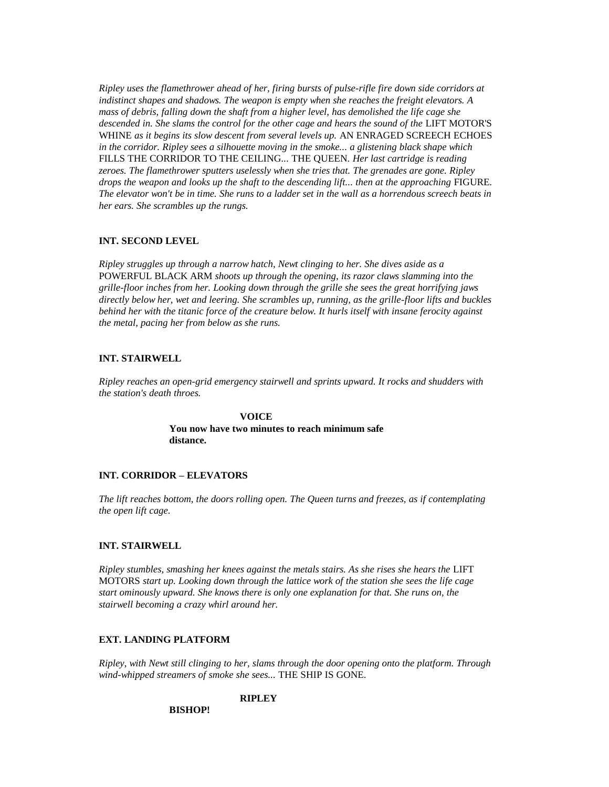*Ripley uses the flamethrower ahead of her, firing bursts of pulse-rifle fire down side corridors at indistinct shapes and shadows. The weapon is empty when she reaches the freight elevators. A mass of debris, falling down the shaft from a higher level, has demolished the life cage she*  descended in. She slams the control for the other cage and hears the sound of the LIFT MOTOR'S WHINE *as it begins its slow descent from several levels up.* AN ENRAGED SCREECH ECHOES *in the corridor. Ripley sees a silhouette moving in the smoke... a glistening black shape which*  FILLS THE CORRIDOR TO THE CEILING*...* THE QUEEN*. Her last cartridge is reading zeroes. The flamethrower sputters uselessly when she tries that. The grenades are gone. Ripley drops the weapon and looks up the shaft to the descending lift... then at the approaching FIGURE. The elevator won't be in time. She runs to a ladder set in the wall as a horrendous screech beats in her ears. She scrambles up the rungs.*

### **INT. SECOND LEVEL**

*Ripley struggles up through a narrow hatch, Newt clinging to her. She dives aside as a*  POWERFUL BLACK ARM *shoots up through the opening, its razor claws slamming into the grille-floor inches from her. Looking down through the grille she sees the great horrifying jaws directly below her, wet and leering. She scrambles up, running, as the grille-floor lifts and buckles behind her with the titanic force of the creature below. It hurls itself with insane ferocity against the metal, pacing her from below as she runs.*

### **INT. STAIRWELL**

*Ripley reaches an open-grid emergency stairwell and sprints upward. It rocks and shudders with the station's death throes.*

# **VOICE You now have two minutes to reach minimum safe distance.**

# **INT. CORRIDOR – ELEVATORS**

*The lift reaches bottom, the doors rolling open. The Queen turns and freezes, as if contemplating the open lift cage.*

### **INT. STAIRWELL**

*Ripley stumbles, smashing her knees against the metals stairs. As she rises she hears the LIFT* MOTORS *start up. Looking down through the lattice work of the station she sees the life cage start ominously upward. She knows there is only one explanation for that. She runs on, the stairwell becoming a crazy whirl around her.*

### **EXT. LANDING PLATFORM**

*Ripley, with Newt still clinging to her, slams through the door opening onto the platform. Through wind-whipped streamers of smoke she sees...* THE SHIP IS GONE*.*

# **RIPLEY**

### **BISHOP!**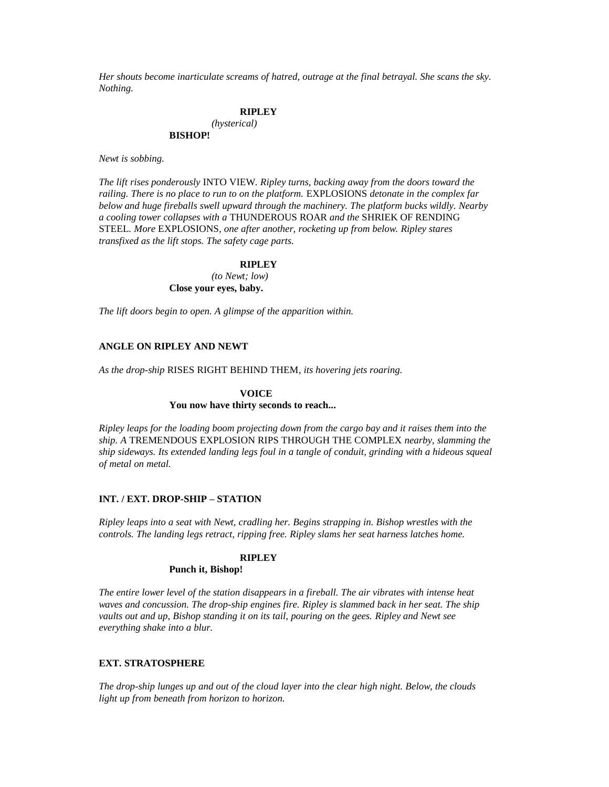*Her shouts become inarticulate screams of hatred, outrage at the final betrayal. She scans the sky. Nothing.*

### **RIPLEY** *(hysterical)* **BISHOP!**

*Newt is sobbing.*

*The lift rises ponderously* INTO VIEW*. Ripley turns, backing away from the doors toward the railing. There is no place to run to on the platform.* EXPLOSIONS *detonate in the complex far below and huge fireballs swell upward through the machinery. The platform bucks wildly. Nearby a cooling tower collapses with a* THUNDEROUS ROAR *and the* SHRIEK OF RENDING STEEL*. More* EXPLOSIONS*, one after another, rocketing up from below. Ripley stares transfixed as the lift stops. The safety cage parts.*

### **RIPLEY**

*(to Newt; low)* **Close your eyes, baby.**

*The lift doors begin to open. A glimpse of the apparition within.*

# **ANGLE ON RIPLEY AND NEWT**

*As the drop-ship* RISES RIGHT BEHIND THEM*, its hovering jets roaring.*

### **VOICE**

### **You now have thirty seconds to reach...**

*Ripley leaps for the loading boom projecting down from the cargo bay and it raises them into the ship. A* TREMENDOUS EXPLOSION RIPS THROUGH THE COMPLEX *nearby, slamming the ship sideways. Its extended landing legs foul in a tangle of conduit, grinding with a hideous squeal of metal on metal.*

### **INT. / EXT. DROP-SHIP – STATION**

*Ripley leaps into a seat with Newt, cradling her. Begins strapping in. Bishop wrestles with the controls. The landing legs retract, ripping free. Ripley slams her seat harness latches home.*

### **RIPLEY**

# **Punch it, Bishop!**

*The entire lower level of the station disappears in a fireball. The air vibrates with intense heat waves and concussion. The drop-ship engines fire. Ripley is slammed back in her seat. The ship vaults out and up, Bishop standing it on its tail, pouring on the gees. Ripley and Newt see everything shake into a blur.*

### **EXT. STRATOSPHERE**

*The drop-ship lunges up and out of the cloud layer into the clear high night. Below, the clouds light up from beneath from horizon to horizon.*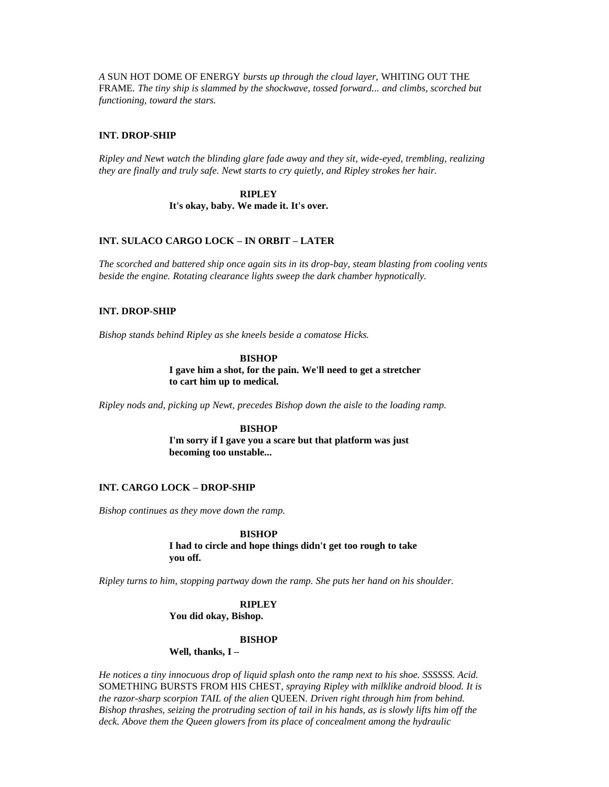*A* SUN HOT DOME OF ENERGY *bursts up through the cloud layer,* WHITING OUT THE FRAME*. The tiny ship is slammed by the shockwave, tossed forward... and climbs, scorched but functioning, toward the stars.*

# **INT. DROP-SHIP**

*Ripley and Newt watch the blinding glare fade away and they sit, wide-eyed, trembling, realizing they are finally and truly safe. Newt starts to cry quietly, and Ripley strokes her hair.*

### **RIPLEY**

**It's okay, baby. We made it. It's over.**

# **INT. SULACO CARGO LOCK – IN ORBIT – LATER**

*The scorched and battered ship once again sits in its drop-bay, steam blasting from cooling vents beside the engine. Rotating clearance lights sweep the dark chamber hypnotically.*

# **INT. DROP-SHIP**

*Bishop stands behind Ripley as she kneels beside a comatose Hicks.*

**BISHOP I gave him a shot, for the pain. We'll need to get a stretcher to cart him up to medical.**

*Ripley nods and, picking up Newt, precedes Bishop down the aisle to the loading ramp.*

**BISHOP I'm sorry if I gave you a scare but that platform was just becoming too unstable...** 

### **INT. CARGO LOCK – DROP-SHIP**

*Bishop continues as they move down the ramp.*

**BISHOP I had to circle and hope things didn't get too rough to take you off.**

*Ripley turns to him, stopping partway down the ramp. She puts her hand on his shoulder.*

**RIPLEY You did okay, Bishop.**

# **BISHOP**

**Well, thanks, I –**

*He notices a tiny innocuous drop of liquid splash onto the ramp next to his shoe. SSSSSS. Acid.*  SOMETHING BURSTS FROM HIS CHEST*, spraying Ripley with milklike android blood. It is the razor-sharp scorpion TAIL of the alien* QUEEN*. Driven right through him from behind. Bishop thrashes, seizing the protruding section of tail in his hands, as is slowly lifts him off the deck. Above them the Queen glowers from its place of concealment among the hydraulic*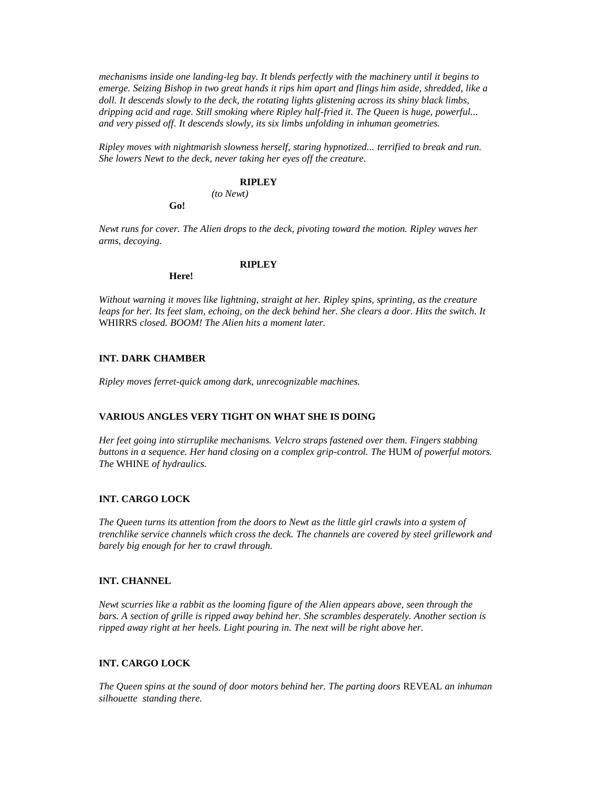*mechanisms inside one landing-leg bay. It blends perfectly with the machinery until it begins to emerge. Seizing Bishop in two great hands it rips him apart and flings him aside, shredded, like a doll. It descends slowly to the deck, the rotating lights glistening across its shiny black limbs, dripping acid and rage. Still smoking where Ripley half-fried it. The Queen is huge, powerful... and very pissed off. It descends slowly, its six limbs unfolding in inhuman geometries.*

*Ripley moves with nightmarish slowness herself, staring hypnotized... terrified to break and run. She lowers Newt to the deck, never taking her eyes off the creature.*

### **RIPLEY**

**RIPLEY**

*(to Newt)*

*Newt runs for cover. The Alien drops to the deck, pivoting toward the motion. Ripley waves her arms, decoying.*

**Here!**

**Go!**

*Without warning it moves like lightning, straight at her. Ripley spins, sprinting, as the creature*  leaps for her. Its feet slam, echoing, on the deck behind her. She clears a door. Hits the switch. It WHIRRS *closed. BOOM! The Alien hits a moment later.*

# **INT. DARK CHAMBER**

*Ripley moves ferret-quick among dark, unrecognizable machines.*

### **VARIOUS ANGLES VERY TIGHT ON WHAT SHE IS DOING**

*Her feet going into stirruplike mechanisms. Velcro straps fastened over them. Fingers stabbing buttons in a sequence. Her hand closing on a complex grip-control. The* HUM *of powerful motors. The* WHINE *of hydraulics.*

### **INT. CARGO LOCK**

*The Queen turns its attention from the doors to Newt as the little girl crawls into a system of trenchlike service channels which cross the deck. The channels are covered by steel grillework and barely big enough for her to crawl through.*

# **INT. CHANNEL**

*Newt scurries like a rabbit as the looming figure of the Alien appears above, seen through the bars. A section of grille is ripped away behind her. She scrambles desperately. Another section is ripped away right at her heels. Light pouring in. The next will be right above her.*

# **INT. CARGO LOCK**

*The Queen spins at the sound of door motors behind her. The parting doors* REVEAL *an inhuman silhouette standing there.*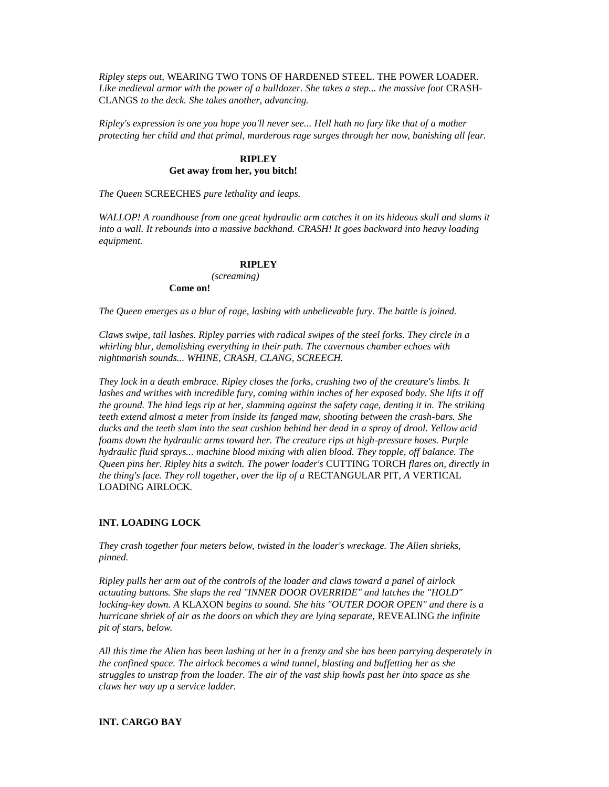*Ripley steps out,* WEARING TWO TONS OF HARDENED STEEL. THE POWER LOADER*.*  Like medieval armor with the power of a bulldozer. She takes a step... the massive foot CRASH-CLANGS *to the deck. She takes another, advancing.*

*Ripley's expression is one you hope you'll never see... Hell hath no fury like that of a mother protecting her child and that primal, murderous rage surges through her now, banishing all fear.*

# **RIPLEY Get away from her, you bitch!**

*The Queen* SCREECHES *pure lethality and leaps.*

*WALLOP! A roundhouse from one great hydraulic arm catches it on its hideous skull and slams it into a wall. It rebounds into a massive backhand. CRASH! It goes backward into heavy loading equipment.*

# **RIPLEY**

*(screaming)* **Come on!**

*The Queen emerges as a blur of rage, lashing with unbelievable fury. The battle is joined.*

*Claws swipe, tail lashes. Ripley parries with radical swipes of the steel forks. They circle in a whirling blur, demolishing everything in their path. The cavernous chamber echoes with nightmarish sounds... WHINE, CRASH, CLANG, SCREECH.*

*They lock in a death embrace. Ripley closes the forks, crushing two of the creature's limbs. It lashes and writhes with incredible fury, coming within inches of her exposed body. She lifts it off the ground. The hind legs rip at her, slamming against the safety cage, denting it in. The striking teeth extend almost a meter from inside its fanged maw, shooting between the crash-bars. She ducks and the teeth slam into the seat cushion behind her dead in a spray of drool. Yellow acid foams down the hydraulic arms toward her. The creature rips at high-pressure hoses. Purple hydraulic fluid sprays... machine blood mixing with alien blood. They topple, off balance. The Queen pins her. Ripley hits a switch. The power loader's* CUTTING TORCH *flares on, directly in the thing's face. They roll together, over the lip of a* RECTANGULAR PIT*, A* VERTICAL LOADING AIRLOCK*.*

# **INT. LOADING LOCK**

*They crash together four meters below, twisted in the loader's wreckage. The Alien shrieks, pinned.*

*Ripley pulls her arm out of the controls of the loader and claws toward a panel of airlock actuating buttons. She slaps the red "INNER DOOR OVERRIDE" and latches the "HOLD" locking-key down. A* KLAXON *begins to sound. She hits "OUTER DOOR OPEN" and there is a hurricane shriek of air as the doors on which they are lying separate,* REVEALING *the infinite pit of stars, below.*

*All this time the Alien has been lashing at her in a frenzy and she has been parrying desperately in the confined space. The airlock becomes a wind tunnel, blasting and buffetting her as she struggles to unstrap from the loader. The air of the vast ship howls past her into space as she claws her way up a service ladder.*

# **INT. CARGO BAY**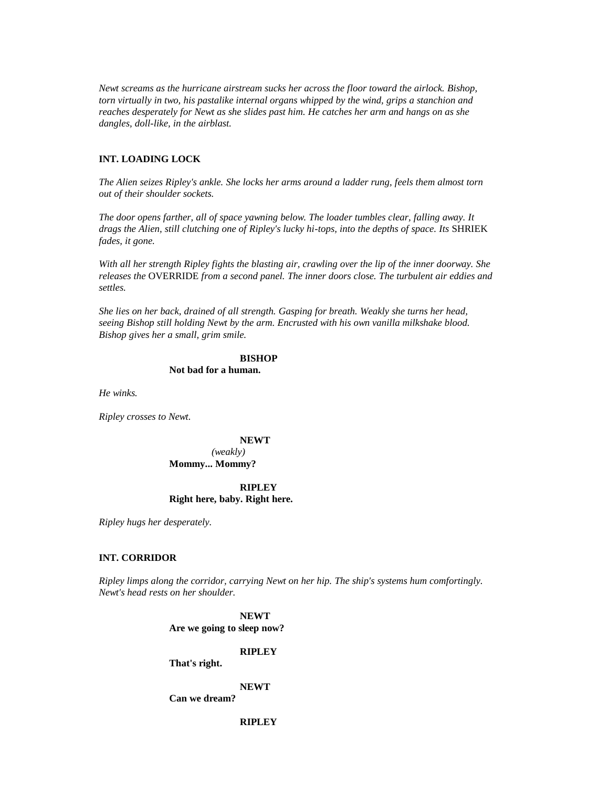*Newt screams as the hurricane airstream sucks her across the floor toward the airlock. Bishop, torn virtually in two, his pastalike internal organs whipped by the wind, grips a stanchion and reaches desperately for Newt as she slides past him. He catches her arm and hangs on as she dangles, doll-like, in the airblast.*

### **INT. LOADING LOCK**

*The Alien seizes Ripley's ankle. She locks her arms around a ladder rung, feels them almost torn out of their shoulder sockets.*

*The door opens farther, all of space yawning below. The loader tumbles clear, falling away. It drags the Alien, still clutching one of Ripley's lucky hi-tops, into the depths of space. Its* SHRIEK *fades, it gone.*

*With all her strength Ripley fights the blasting air, crawling over the lip of the inner doorway. She releases the* OVERRIDE *from a second panel. The inner doors close. The turbulent air eddies and settles.*

*She lies on her back, drained of all strength. Gasping for breath. Weakly she turns her head, seeing Bishop still holding Newt by the arm. Encrusted with his own vanilla milkshake blood. Bishop gives her a small, grim smile.*

#### **BISHOP**

**Not bad for a human.**

*He winks.*

*Ripley crosses to Newt.*

### **NEWT**

### *(weakly)* **Mommy... Mommy?**

# **RIPLEY**

# **Right here, baby. Right here.**

*Ripley hugs her desperately.*

### **INT. CORRIDOR**

*Ripley limps along the corridor, carrying Newt on her hip. The ship's systems hum comfortingly. Newt's head rests on her shoulder.*

> **NEWT Are we going to sleep now?**

# **RIPLEY**

**That's right.**

#### **NEWT**

**Can we dream?**

### **RIPLEY**